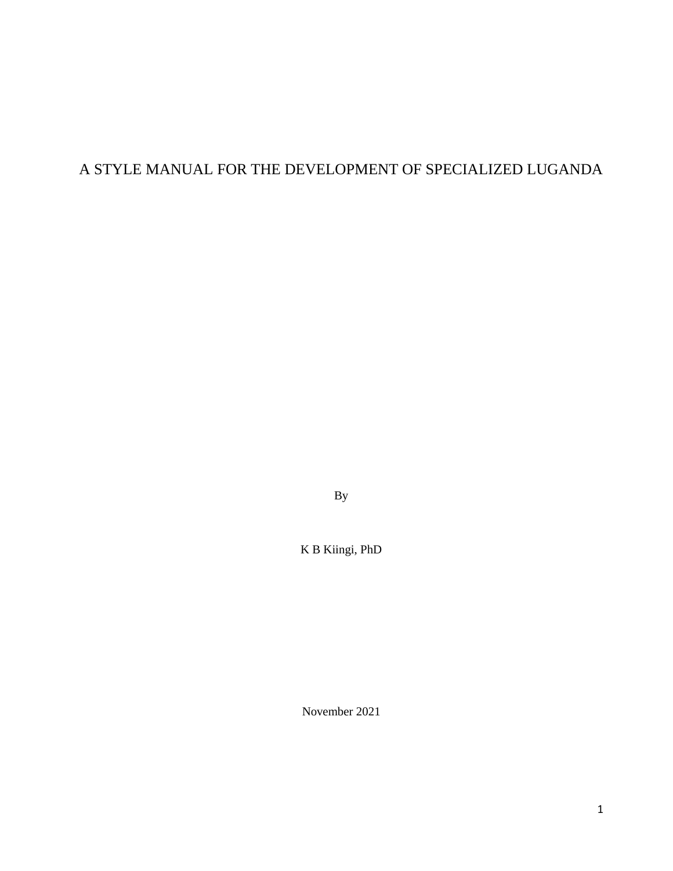# A STYLE MANUAL FOR THE DEVELOPMENT OF SPECIALIZED LUGANDA

By

K B Kiingi, PhD

November 2021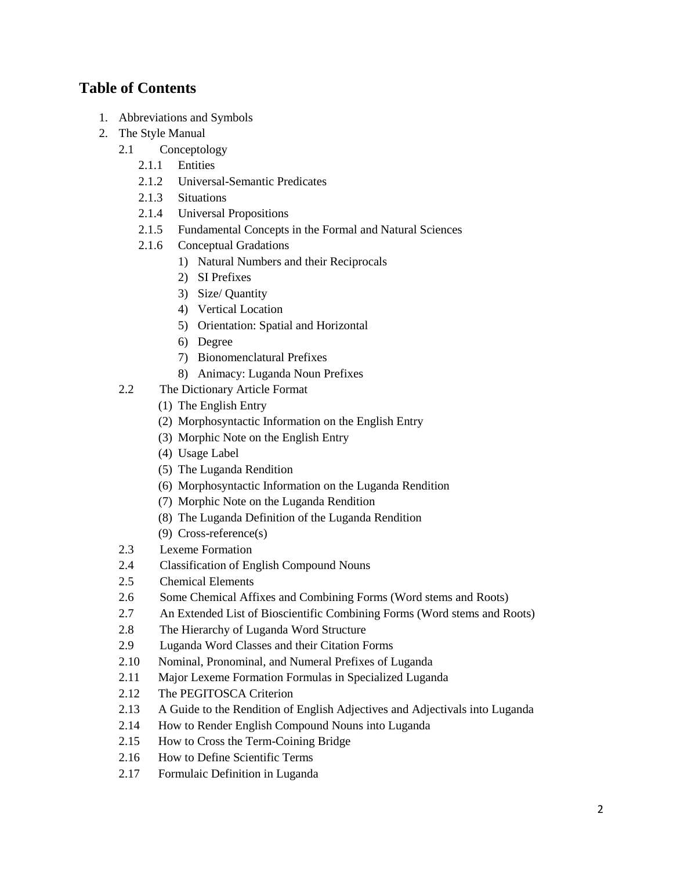# **Table of Contents**

- 1. Abbreviations and Symbols
- 2. The Style Manual
	- 2.1 Conceptology
		- 2.1.1 Entities
		- 2.1.2 Universal-Semantic Predicates
		- 2.1.3 Situations
		- 2.1.4 Universal Propositions
		- 2.1.5 Fundamental Concepts in the Formal and Natural Sciences
		- 2.1.6 Conceptual Gradations
			- 1) Natural Numbers and their Reciprocals
			- 2) SI Prefixes
			- 3) Size/ Quantity
			- 4) Vertical Location
			- 5) Orientation: Spatial and Horizontal
			- 6) Degree
			- 7) Bionomenclatural Prefixes
			- 8) Animacy: Luganda Noun Prefixes
	- 2.2 The Dictionary Article Format
		- (1) The English Entry
		- (2) Morphosyntactic Information on the English Entry
		- (3) Morphic Note on the English Entry
		- (4) Usage Label
		- (5) The Luganda Rendition
		- (6) Morphosyntactic Information on the Luganda Rendition
		- (7) Morphic Note on the Luganda Rendition
		- (8) The Luganda Definition of the Luganda Rendition
		- (9) Cross-reference(s)
	- 2.3 Lexeme Formation
	- 2.4 Classification of English Compound Nouns
	- 2.5 Chemical Elements
	- 2.6 Some Chemical Affixes and Combining Forms (Word stems and Roots)
	- 2.7 An Extended List of Bioscientific Combining Forms (Word stems and Roots)
	- 2.8 The Hierarchy of Luganda Word Structure
	- 2.9 Luganda Word Classes and their Citation Forms
	- 2.10 Nominal, Pronominal, and Numeral Prefixes of Luganda
	- 2.11 Major Lexeme Formation Formulas in Specialized Luganda
	- 2.12 The PEGITOSCA Criterion
	- 2.13 A Guide to the Rendition of English Adjectives and Adjectivals into Luganda
	- 2.14 How to Render English Compound Nouns into Luganda
	- 2.15 How to Cross the Term-Coining Bridge
	- 2.16 How to Define Scientific Terms
	- 2.17 Formulaic Definition in Luganda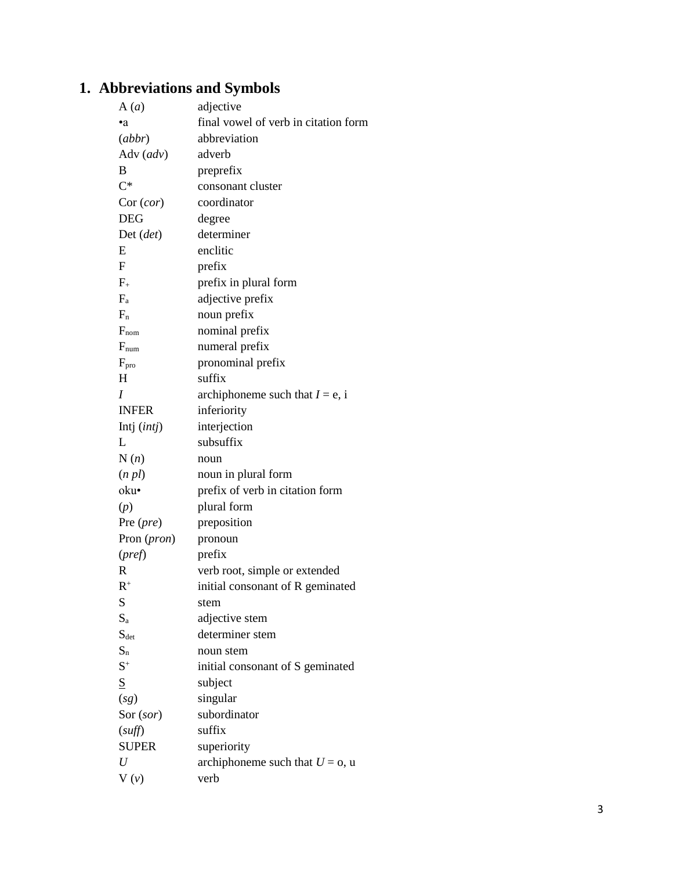# **1. Abbreviations and Symbols**

| A(a)                 | adjective                            |
|----------------------|--------------------------------------|
| ٠a                   | final vowel of verb in citation form |
| (abbr)               | abbreviation                         |
| Adv $(adv)$          | adverb                               |
| B                    | preprefix                            |
| $C^*$                | consonant cluster                    |
| Cor (cor)            | coordinator                          |
| <b>DEG</b>           | degree                               |
| $Det$ ( <i>det</i> ) | determiner                           |
| E                    | enclitic                             |
| F                    | prefix                               |
| $F_{+}$              | prefix in plural form                |
| $F_a$                | adjective prefix                     |
| $F_n$                | noun prefix                          |
| $F_{nom}$            | nominal prefix                       |
| $F_{num}$            | numeral prefix                       |
| $F_{\text{pro}}$     | pronominal prefix                    |
| H                    | suffix                               |
| I                    | archiphoneme such that $I = e$ , i   |
| <b>INFER</b>         | inferiority                          |
| Intj $(intj)$        | interjection                         |
| L                    | subsuffix                            |
| N(n)                 | noun                                 |
| (n pl)               | noun in plural form                  |
| oku•                 | prefix of verb in citation form      |
| (p)                  | plural form                          |
| Pre $(\text{pre})$   | preposition                          |
| Pron (pron)          | pronoun                              |
| $(\text{pref})$      | prefix                               |
| R                    | verb root, simple or extended        |
| $R^+$                | initial consonant of R geminated     |
| S                    | stem                                 |
| $S_{a}$              | adjective stem                       |
| $S_{\text{det}}$     | determiner stem                      |
| $S_n$                | noun stem                            |
| $S^+$                | initial consonant of S geminated     |
| S                    | subject                              |
| (sg)                 | singular                             |
| Sor (sor)            | subordinator                         |
| (suff)               | suffix                               |
| <b>SUPER</b>         | superiority                          |
| U                    | archiphoneme such that $U = 0$ , u   |
| $V(\nu)$             | verb                                 |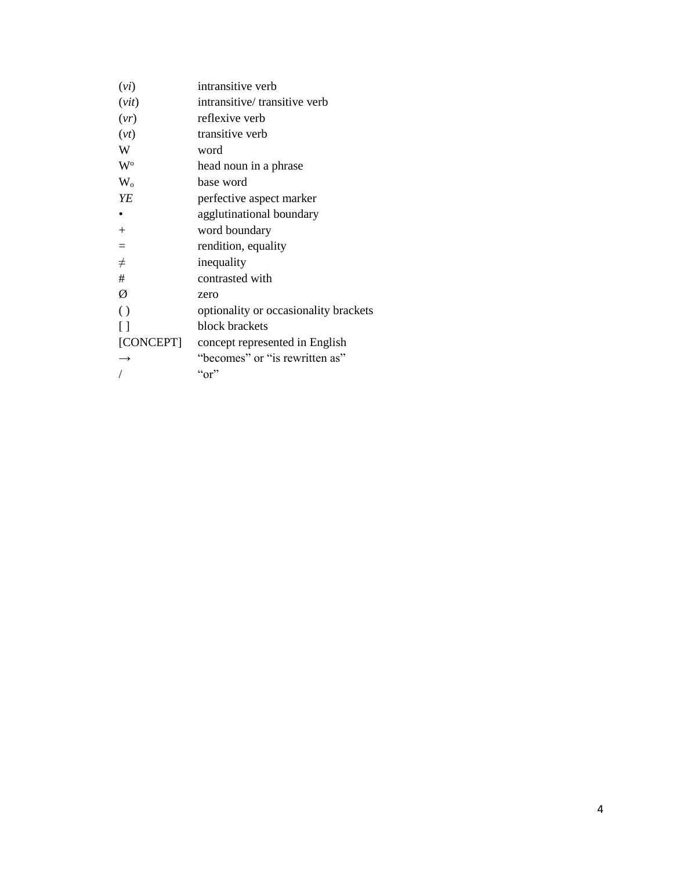| (vi)               | intransitive verb                     |
|--------------------|---------------------------------------|
| (vit)              | intransitive/transitive verb          |
| (vr)               | reflexive verb                        |
| (vt)               | transitive verb                       |
| W                  | word                                  |
| $W^{\mathrm{o}}$   | head noun in a phrase                 |
| $W_{o}$            | base word                             |
| YE                 | perfective aspect marker              |
|                    | agglutinational boundary              |
| $\overline{+}$     | word boundary                         |
| $=$                | rendition, equality                   |
| $\neq$             | inequality                            |
| #                  | contrasted with                       |
| Ø                  | zero                                  |
| $\left( \ \right)$ | optionality or occasionality brackets |
| Ħ                  | block brackets                        |
| [CONCEPT]          | concept represented in English        |
| $\rightarrow$      | "becomes" or "is rewritten as"        |
|                    | ``or"                                 |
|                    |                                       |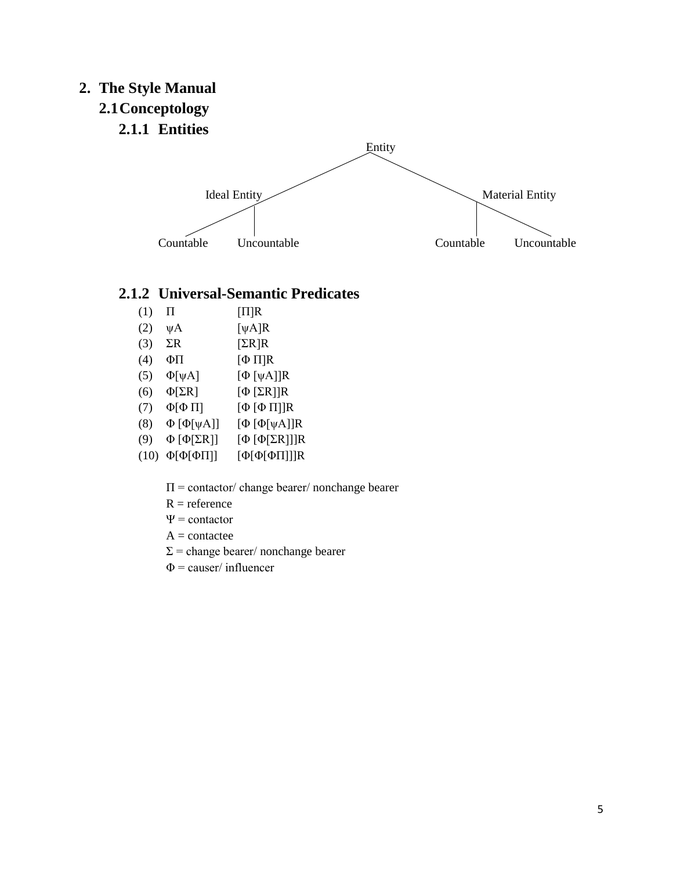# **2. The Style Manual 2.1Conceptology**



# **2.1.2 Universal-Semantic Predicates**

- (1)  $\Pi$   $[\Pi]$ R
- (2)  $\psi$ A [ψA]R
- (3)  $\Sigma$ R [ $\Sigma$ R]R
- (4) ΦΠ [Φ Π]R
- (5)  $\Phi[\psi A]$  [Φ [ψA]]R
- (6)  $\Phi[\Sigma \mathbf{R}]$  [Φ [ΣR]]R
- (7)  $\Phi[\Phi \Pi]$   $[\Phi [\Phi \Pi]]R$
- (8) Φ [Φ[ψA]] [Φ [Φ[ψA]]R
- (9) Φ [Φ[ΣR]] [Φ [Φ[ΣR]]]R
- (10) Φ[Φ[ΦΠ]] [Φ[Φ[ΦΠ]]]R
	- $\Pi$  = contactor/ change bearer/ nonchange bearer
	- $R = reference$
	- $\Psi$  = contactor
	- $A = \text{contactee}$
	- $\Sigma$  = change bearer/ nonchange bearer
	- $\Phi$  = causer/ influencer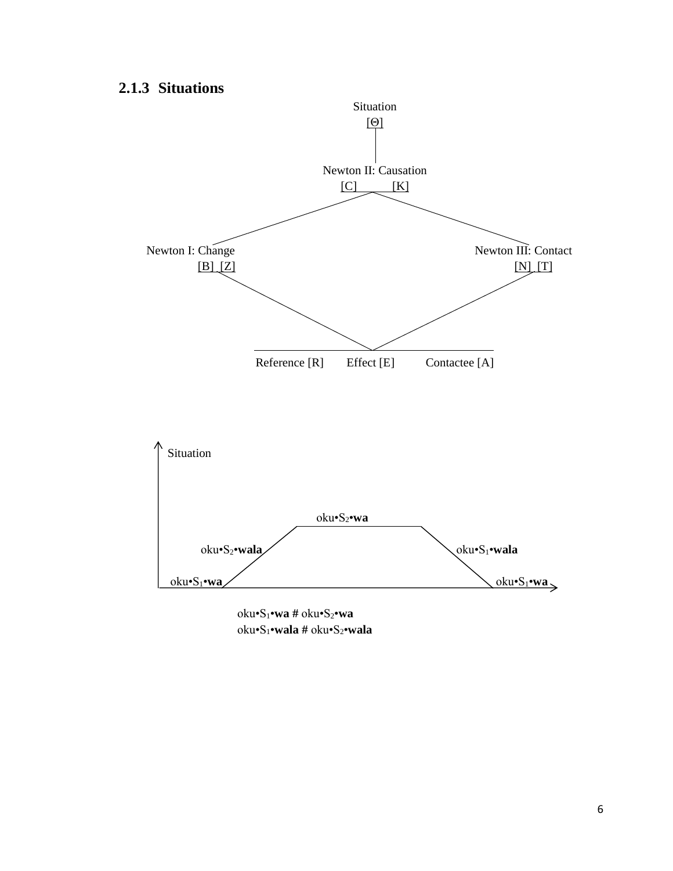# **2.1.3 Situations**



oku•S1•**wa #** oku•S2•**wa** oku•S1•**wala #** oku•S2•**wala**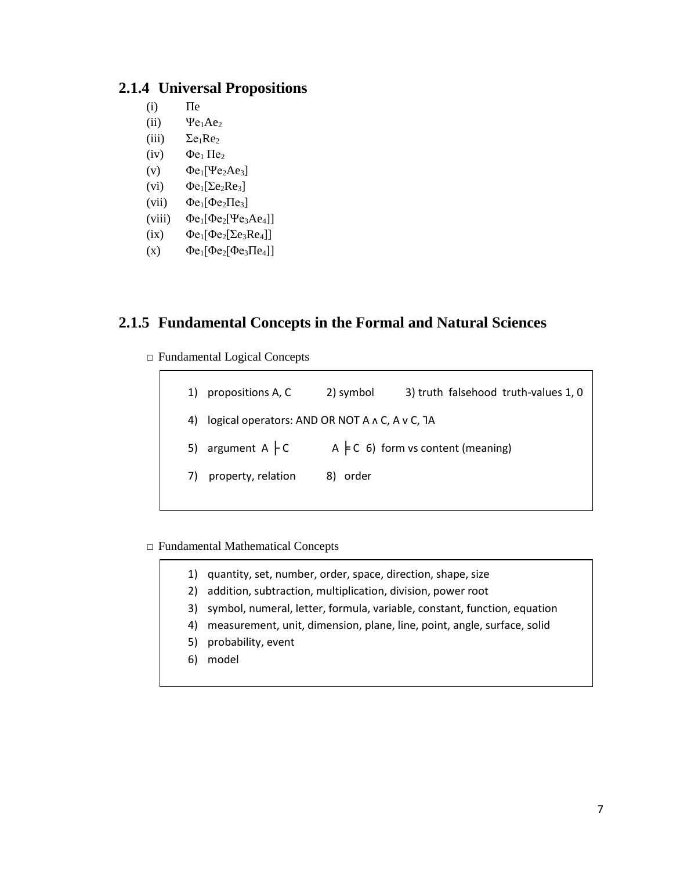### **2.1.4 Universal Propositions**

- $(i)$   $\Pi$ e
- (ii)  $\psi_{e_1Ae_2}$
- (iii)  $\Sigma e_1Re_2$
- (iv)  $\Phi e_1 \Pi e_2$
- (v)  $\Phi e_1[\Psi e_2Ae_3]$
- (vi)  $\Phi e_1[\Sigma e_2Re_3]$
- (vii)  $\Phi$ e<sub>1</sub>[ $\Phi$ e<sub>2</sub> $\Pi$ e<sub>3</sub>]
- (viii)  $\Phi$ e<sub>1</sub>[ $\Phi$ e<sub>2</sub>[ $\Psi$ e<sub>3</sub>Ae<sub>4</sub>]]
- (ix)  $\Phi e_1[\Phi e_2[\Sigma e_3 Re_4]]$
- (x)  $\Phi e_1[\Phi e_2[\Phi e_3\Pi e_4]]$

### **2.1.5 Fundamental Concepts in the Formal and Natural Sciences**

□ Fundamental Logical Concepts

| propositions A, C<br>1)                              | 2) symbol | 3) truth falsehood truth-values 1, 0       |
|------------------------------------------------------|-----------|--------------------------------------------|
| logical operators: AND OR NOT A A C, A v C, 1A<br>4) |           |                                            |
| 5) argument $A \nvert C$                             |           | A $\models$ C 6) form vs content (meaning) |
| property, relation                                   | 8) order  |                                            |
|                                                      |           |                                            |

- □ Fundamental Mathematical Concepts
	- 1) quantity, set, number, order, space, direction, shape, size
		- 2) addition, subtraction, multiplication, division, power root
		- 3) symbol, numeral, letter, formula, variable, constant, function, equation
		- 4) measurement, unit, dimension, plane, line, point, angle, surface, solid
		- 5) probability, event
		- 6) model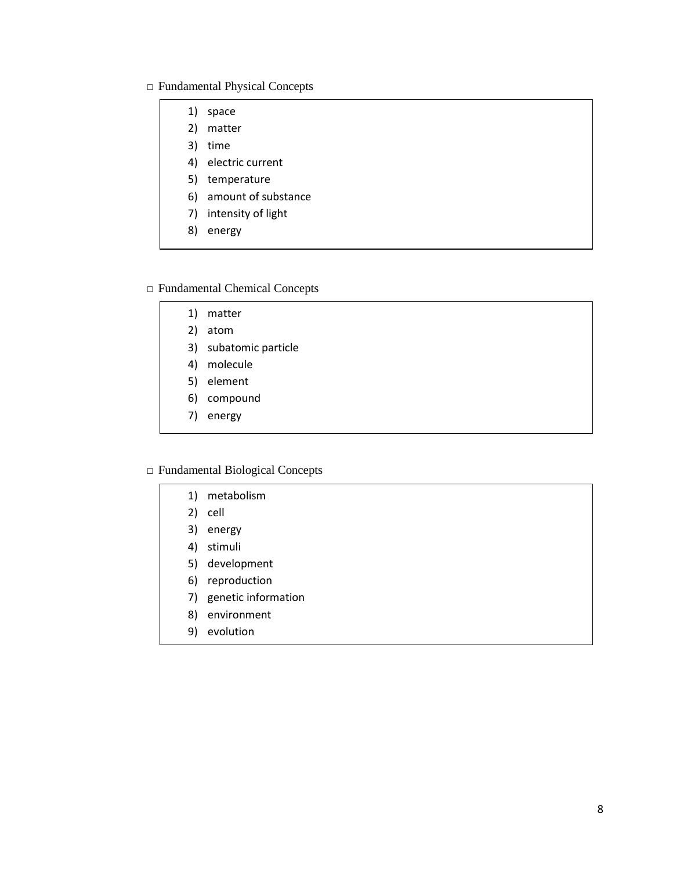#### □ Fundamental Physical Concepts

- 1) space 2) matter
- 
- 3) time
- 4) electric current
- 5) temperature
- 6) amount of substance
- 7) intensity of light
- 8) energy

#### □ Fundamental Chemical Concepts

- 1) matter
- 2) atom
- 3) subatomic particle
- 4) molecule
- 5) element
- 6) compound
- 7) energy

#### □ Fundamental Biological Concepts

- 1) metabolism
- 2) cell
- 3) energy
- 4) stimuli
- 5) development
- 6) reproduction
- 7) genetic information
- 8) environment
- 9) evolution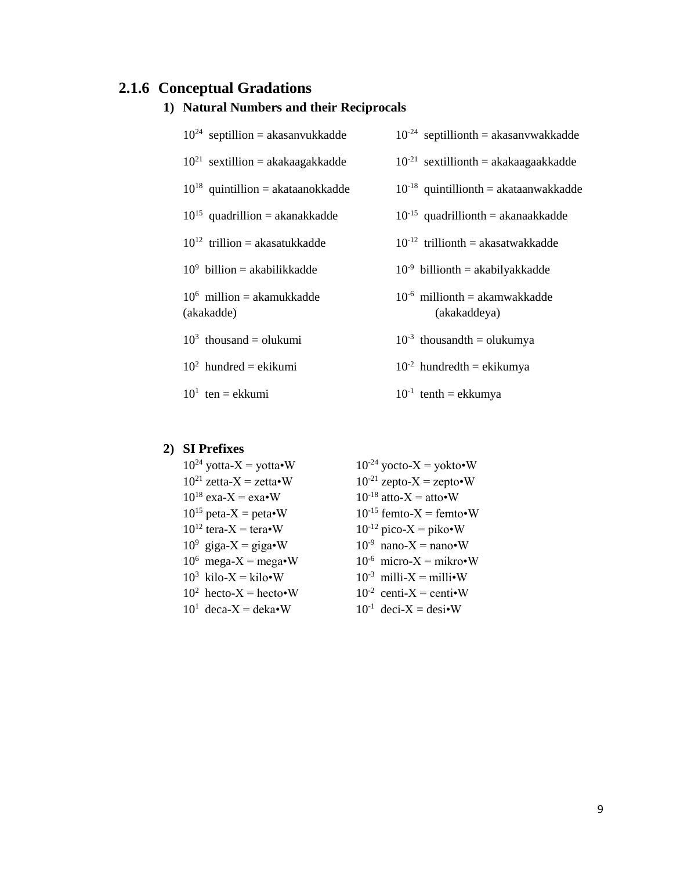# **2.1.6 Conceptual Gradations**

| $10^{24}$ septillion = akasanvukkadde      | $10^{-24}$ septillionth = akasanywakkadde          |
|--------------------------------------------|----------------------------------------------------|
| $10^{21}$ sextillion = akakaagakkadde      | $10^{-21}$ sextillionth = akakaagaakkadde          |
| $10^{18}$ quintillion = akataanokkadde     | $10^{-18}$ quintillionth = akataanwakkadde         |
| $10^{15}$ quadrillion = akanakkadde        | $10^{-15}$ quadrillionth = akanaakkadde            |
| $10^{12}$ trillion = akasatukkadde         | $10^{-12}$ trillionth = akasatwakkadde             |
| $10^9$ billion = akabilikkadde             | $10^{-9}$ billionth = akabilyakkadde               |
| $10^6$ million = akamukkadde<br>(akakadde) | $10^{-6}$ millionth = akamwakkadde<br>(akakaddeya) |
| $103$ thousand = olukumi                   | $10^{-3}$ thousandth = olukumya                    |
| $102$ hundred = ekikumi                    | $10^{-2}$ hundredth = ekikumya                     |
| $101$ ten = ekkumi                         | $10^{-1}$ tenth = ekkumya                          |

### **1) Natural Numbers and their Reciprocals**

#### **2) SI Prefixes**

 $10^{24}$  yotta-X = yotta•W  $10^{-24}$  yocto-X = yokto•W  $10^{21}$  zetta-X = zetta•W  $10^{-21}$  zepto-X = zepto•W  $10^{18}$  exa-X = exa•W  $10^{-18}$  atto-X = atto•W<br> $10^{15}$  peta-X = peta•W  $10^{-15}$  femto-X = femto  $10^{15}$  peta-X = peta•W  $10^{-15}$  femto-X = femto•W<br> $10^{12}$  tera-X = tera•W  $10^{-12}$  pico-X = piko•W  $10^9$  giga-X = giga•W 10  $10^6$  mega-X = mega•W  $10^{-6}$  $10^3$  kilo-X = kilo•W  $10^{-3}$  $10^2$  hecto-X = hecto•W  $10^{-2}$  $10^1 \text{ decay} = \text{deka} \cdot \text{W}$   $10^{-1}$ 

 $10^{-12}$  pico-X = piko•W  $^{-9}$  nano-X = nano•W  $10^{-6}$  micro-X = mikro•W  $10^{-3}$  milli-X = milli•W  $10^{-2}$  centi-X = centi•W  $10^{-1}$  deci-X = desi•W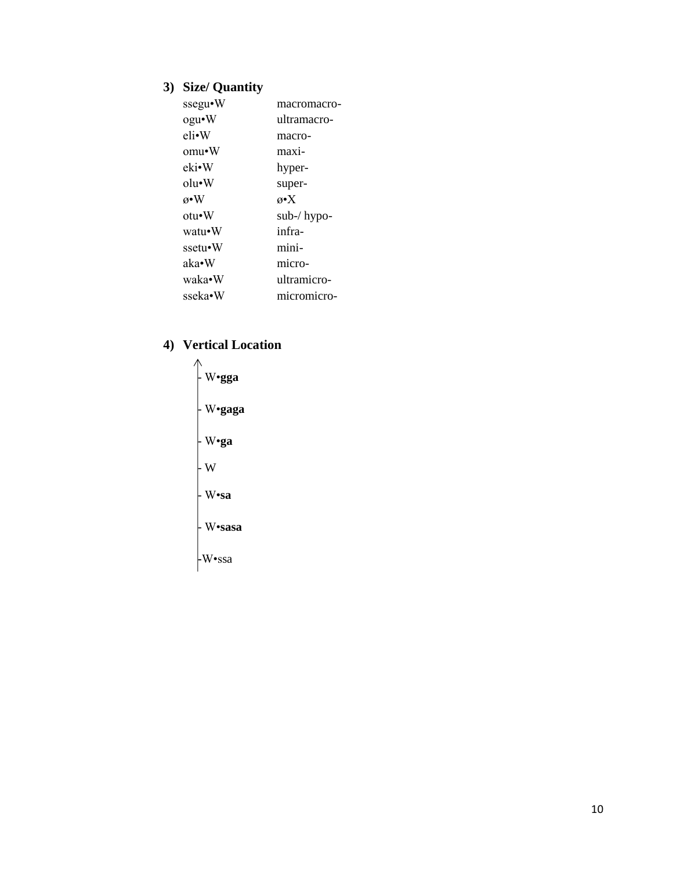# **3) Size/ Quantity**

| ssegu•W           | macromacro-        |
|-------------------|--------------------|
| ogu•W             | ultramacro-        |
| eli•W             | macro-             |
| omu•W             | maxi-              |
| eki•W             | hyper-             |
| $_{\text{olu-W}}$ | super-             |
| $\alpha \cdot W$  | $\alpha \bullet X$ |
| $otu \cdot W$     | sub-/ hypo-        |
| watu•W            | infra-             |
| ssetu•W           | mini-              |
| aka•W             | micro-             |
| waka•W            | ultramicro-        |
| sseka•W           | micromicro-        |

# **4) Vertical Location**

- W•**gga** - W•**gaga** - W•**ga**  $\vert w \vert$ - W•**sa** - W•**sasa -**W•ssa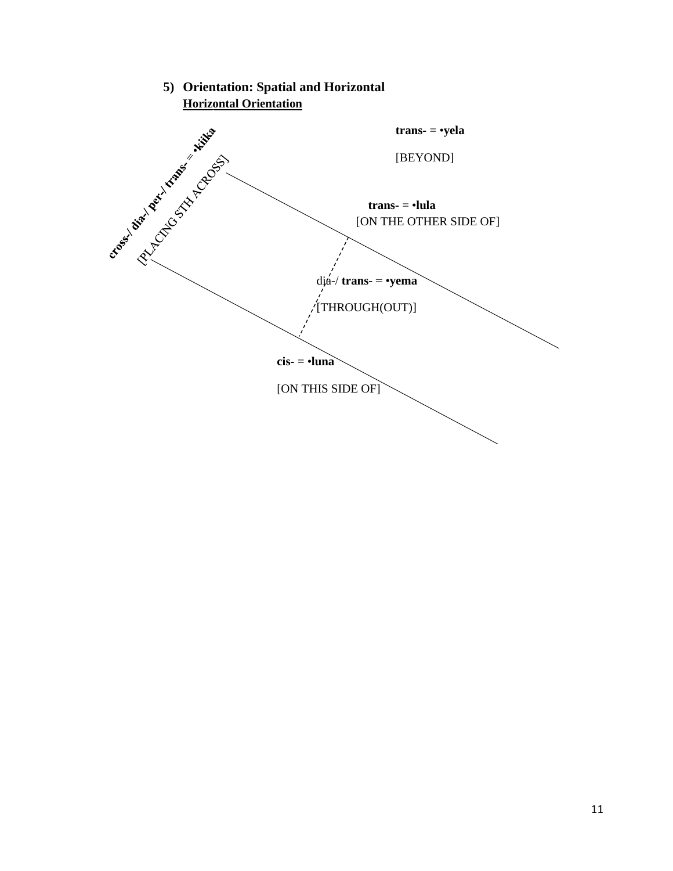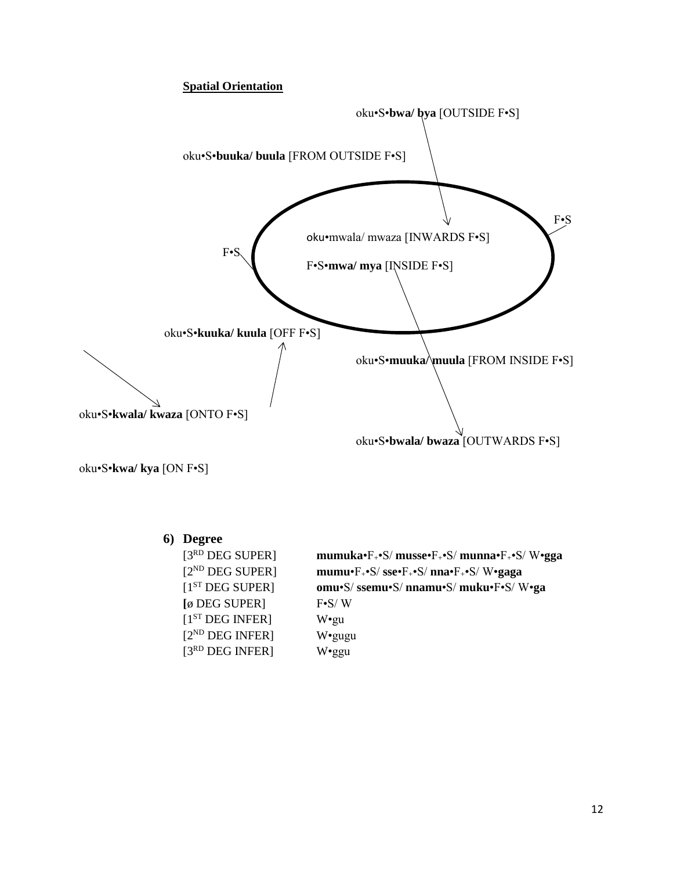#### **Spatial Orientation**



oku•S•**kwa/ kya** [ON F•S]

### **6) Degree**

| [3RD DEG SUPER]             | mumuka• $F_+$ • $S/m$ usse• $F_+$ • $S/m$ unna• $F_+$ • $S/N$ •gga        |
|-----------------------------|---------------------------------------------------------------------------|
| $[2^{ND}$ DEG SUPER]        | mumu•F <sub>+</sub> •S/sse•F <sub>+</sub> •S/nna•F <sub>+</sub> •S/W•gaga |
| [1 <sup>ST</sup> DEC SUPER] | omu•S/ssemu•S/nnamu•S/muku•F•S/W•ga                                       |
| [ø DEG SUPER]               | $F-S/W$                                                                   |
| $[1ST$ DEG INFER]           | W•gu                                                                      |
| $[2^{ND}$ DEG INFER]        | W•gugu                                                                    |
| $[3RD$ DEG INFER]           | $W$ •ggu                                                                  |
|                             |                                                                           |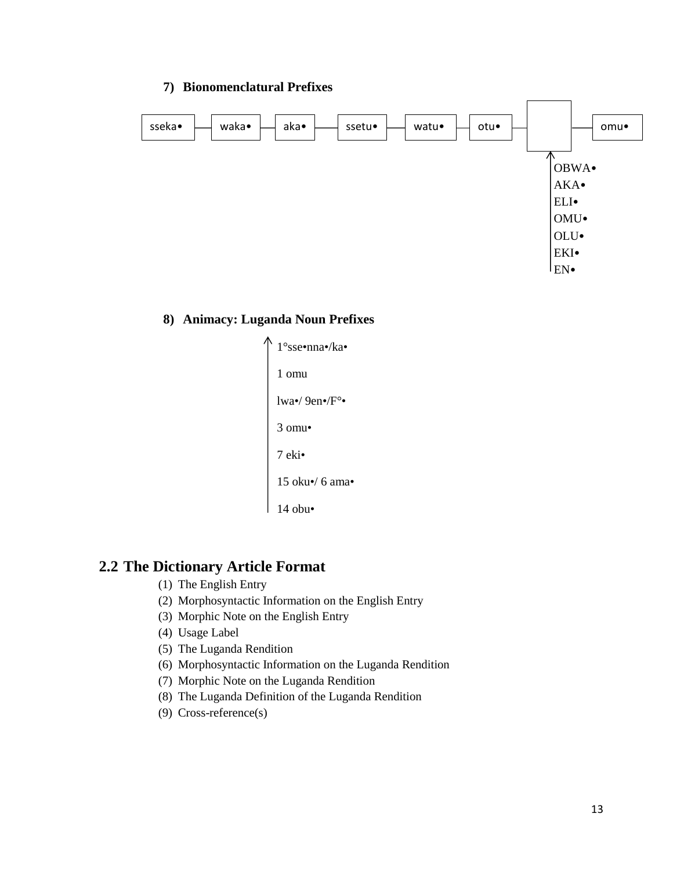#### **7) Bionomenclatural Prefixes**



#### **8) Animacy: Luganda Noun Prefixes**



# **2.2 The Dictionary Article Format**

- (1) The English Entry
- (2) Morphosyntactic Information on the English Entry
- (3) Morphic Note on the English Entry
- (4) Usage Label
- (5) The Luganda Rendition
- (6) Morphosyntactic Information on the Luganda Rendition
- (7) Morphic Note on the Luganda Rendition
- (8) The Luganda Definition of the Luganda Rendition
- (9) Cross-reference(s)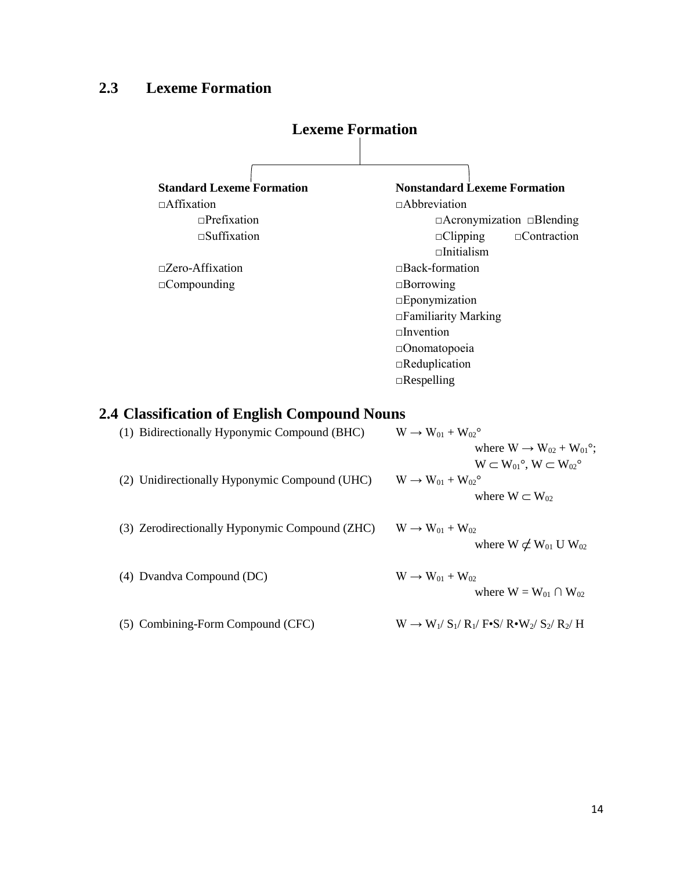# **2.3 Lexeme Formation**



| (1) Bidirectionally Hyponymic Compound (BHC)   | $W \rightarrow W_{01} + W_{02}$                         |
|------------------------------------------------|---------------------------------------------------------|
|                                                | where $W \rightarrow W_{02} + W_{01}$ °;                |
|                                                | $W \subset W_{01}^{\circ}$ , $W \subset W_{02}^{\circ}$ |
| (2) Unidirectionally Hyponymic Compound (UHC)  | $W \rightarrow W_{01} + W_{02}^{\circ}$                 |
|                                                | where $W \subset W_{02}$                                |
|                                                |                                                         |
| (3) Zerodirectionally Hyponymic Compound (ZHC) | $W \rightarrow W_{01} + W_{02}$                         |
|                                                | where $W \not\subset W_{01} U W_{02}$                   |
|                                                |                                                         |
| (4) Dvandva Compound (DC)                      | $W \rightarrow W_{01} + W_{02}$                         |
|                                                | where $W = W_{01} \cap W_{02}$                          |
|                                                |                                                         |
| (5) Combining-Form Compound (CFC)              | $W \rightarrow W_1/S_1/R_1/F-S/R\square W_2/S_2/R_2/H$  |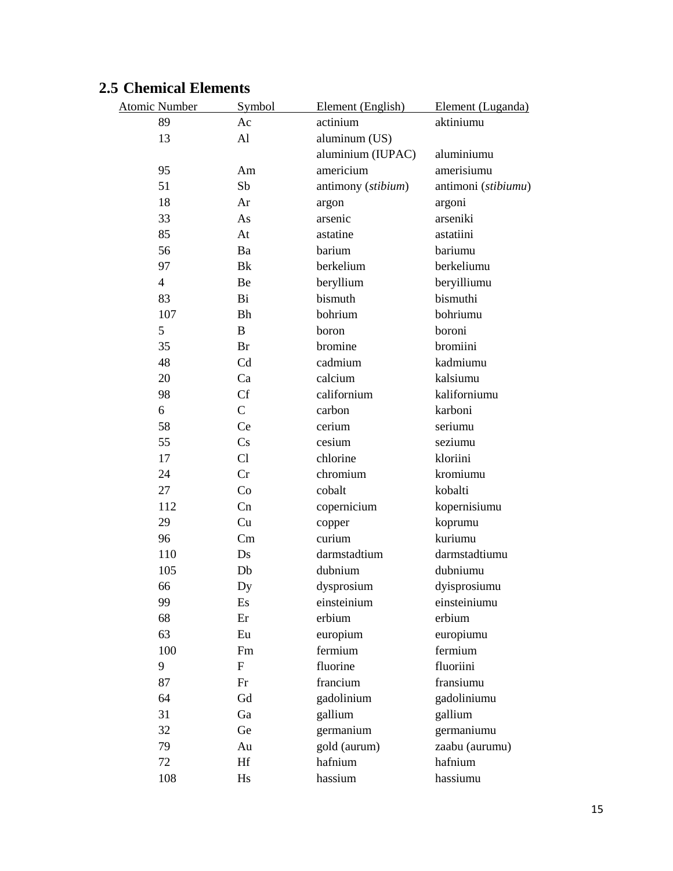# **2.5 Chemical Elements**

| <b>Atomic Number</b> | Symbol       | Element (English)  | Element (Luganda)   |
|----------------------|--------------|--------------------|---------------------|
| 89                   | Ac           | actinium           | aktiniumu           |
| 13                   | Al           | aluminum (US)      |                     |
|                      |              | aluminium (IUPAC)  | aluminiumu          |
| 95                   | Am           | americium          | amerisiumu          |
| 51                   | Sb           | antimony (stibium) | antimoni (stibiumu) |
| 18                   | Ar           | argon              | argoni              |
| 33                   | As           | arsenic            | arseniki            |
| 85                   | At           | astatine           | astatiini           |
| 56                   | Ba           | barium             | bariumu             |
| 97                   | Bk           | berkelium          | berkeliumu          |
| $\overline{4}$       | Be           | beryllium          | beryilliumu         |
| 83                   | Bi           | bismuth            | bismuthi            |
| 107                  | <b>Bh</b>    | bohrium            | bohriumu            |
| 5                    | B            | boron              | boroni              |
| 35                   | Br           | bromine            | bromiini            |
| 48                   | Cd           | cadmium            | kadmiumu            |
| 20                   | Ca           | calcium            | kalsiumu            |
| 98                   | Cf           | californium        | kaliforniumu        |
| 6                    | $\mathsf{C}$ | carbon             | karboni             |
| 58                   | Ce           | cerium             | seriumu             |
| 55                   | Cs           | cesium             | seziumu             |
| 17                   | Cl           | chlorine           | kloriini            |
| 24                   | Cr           | chromium           | kromiumu            |
| 27                   | Co           | cobalt             | kobalti             |
| 112                  | Cn           | copernicium        | kopernisiumu        |
| 29                   | Cu           | copper             | koprumu             |
| 96                   | Cm           | curium             | kuriumu             |
| 110                  | Ds           | darmstadtium       | darmstadtiumu       |
| 105                  | Db           | dubnium            | dubniumu            |
| 66                   | Dy           | dysprosium         | dyisprosiumu        |
| 99                   | Es           | einsteinium        | einsteiniumu        |
| 68                   | Er           | erbium             | erbium              |
| 63                   | Eu           | europium           | europiumu           |
| 100                  | Fm           | fermium            | fermium             |
| 9                    | $\mathbf{F}$ | fluorine           | fluoriini           |
| 87                   | Fr           | francium           | fransiumu           |
| 64                   | Gd           | gadolinium         | gadoliniumu         |
| 31                   | Ga           | gallium            | gallium             |
| 32                   | Ge           | germanium          | germaniumu          |
| 79                   | Au           | gold (aurum)       | zaabu (aurumu)      |
| 72                   | Hf           | hafnium            | hafnium             |
| 108                  | Hs           | hassium            | hassiumu            |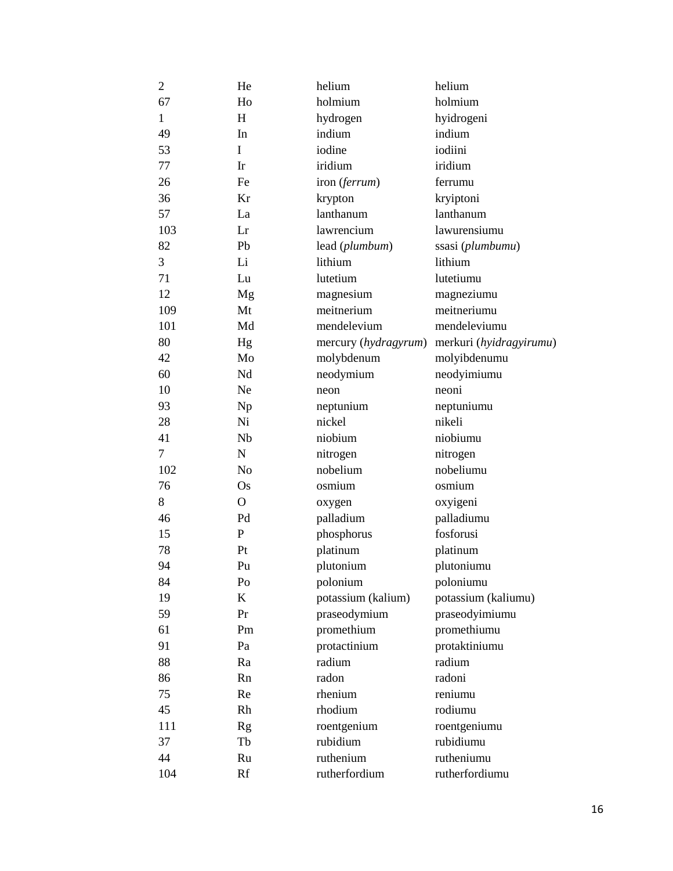| $\overline{2}$ | He             | helium               | helium                  |
|----------------|----------------|----------------------|-------------------------|
| 67             | Ho             | holmium              | holmium                 |
| $\mathbf{1}$   | H              | hydrogen             | hyidrogeni              |
| 49             | In             | indium               | indium                  |
| 53             | I              | iodine               | iodiini                 |
| 77             | Ir             | iridium              | iridium                 |
| 26             | Fe             | iron (ferrum)        | ferrumu                 |
| 36             | Kr             | krypton              | kryiptoni               |
| 57             | La             | lanthanum            | lanthanum               |
| 103            | Lr             | lawrencium           | lawurensiumu            |
| 82             | Pb             | lead (plumbum)       | ssasi (plumbumu)        |
| 3              | Li             | lithium              | lithium                 |
| 71             | Lu             | lutetium             | lutetiumu               |
| 12             | Mg             | magnesium            | magneziumu              |
| 109            | Mt             | meitnerium           | meitneriumu             |
| 101            | Md             | mendelevium          | mendeleviumu            |
| 80             | Hg             | mercury (hydragyrum) | merkuri (hyidragyirumu) |
| 42             | Mo             | molybdenum           | molyibdenumu            |
| 60             | Nd             | neodymium            | neodyimiumu             |
| 10             | Ne             | neon                 | neoni                   |
| 93             | Np             | neptunium            | neptuniumu              |
| 28             | Ni             | nickel               | nikeli                  |
| 41             | Nb             | niobium              | niobiumu                |
| 7              | $\mathbf N$    | nitrogen             | nitrogen                |
| 102            | N <sub>o</sub> | nobelium             | nobeliumu               |
| 76             | Os             | osmium               | osmium                  |
| 8              | $\mathbf{O}$   | oxygen               | oxyigeni                |
| 46             | Pd             | palladium            | palladiumu              |
| 15             | P              | phosphorus           | fosforusi               |
| 78             | Pt             | platinum             | platinum                |
| 94             | Pu             | plutonium            | plutoniumu              |
| 84             | Po             | polonium             | poloniumu               |
| 19             | $\mathbf K$    | potassium (kalium)   | potassium (kaliumu)     |
| 59             | Pr             | praseodymium         | praseodyimiumu          |
| 61             | Pm             | promethium           | promethiumu             |
| 91             | Pa             | protactinium         | protaktiniumu           |
| 88             | Ra             | radium               | radium                  |
| 86             | Rn             | radon                | radoni                  |
| 75             | Re             | rhenium              | reniumu                 |
| 45             | Rh             | rhodium              | rodiumu                 |
| 111            | Rg             | roentgenium          | roentgeniumu            |
| 37             | Tb             | rubidium             | rubidiumu               |
| 44             | Ru             | ruthenium            | rutheniumu              |
| 104            | Rf             | rutherfordium        | rutherfordiumu          |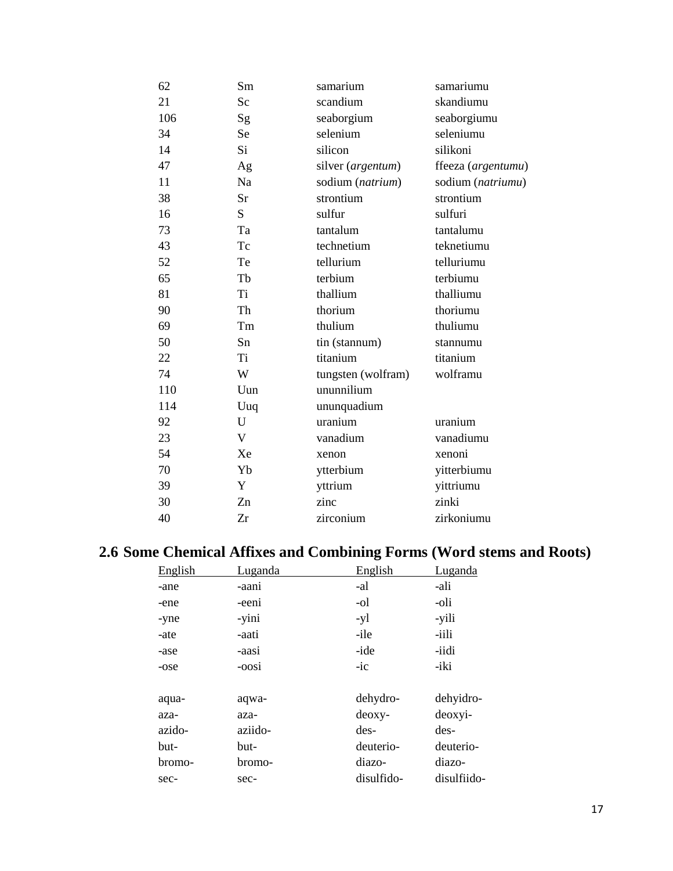| 62  | Sm           | samarium           | samariumu          |
|-----|--------------|--------------------|--------------------|
| 21  | Sc           | scandium           | skandiumu          |
| 106 | Sg           | seaborgium         | seaborgiumu        |
| 34  | Se           | selenium           | seleniumu          |
| 14  | Si           | silicon            | silikoni           |
| 47  | Ag           | silver (argentum)  | ffeeza (argentumu) |
| 11  | Na           | sodium (natrium)   | sodium (natriumu)  |
| 38  | Sr           | strontium          | strontium          |
| 16  | S            | sulfur             | sulfuri            |
| 73  | Ta           | tantalum           | tantalumu          |
| 43  | Tc           | technetium         | teknetiumu         |
| 52  | Te           | tellurium          | telluriumu         |
| 65  | Tb           | terbium            | terbiumu           |
| 81  | Ti           | thallium           | thalliumu          |
| 90  | Th           | thorium            | thoriumu           |
| 69  | Tm           | thulium            | thuliumu           |
| 50  | Sn           | tin (stannum)      | stannumu           |
| 22  | Ti           | titanium           | titanium           |
| 74  | W            | tungsten (wolfram) | wolframu           |
| 110 | Uun          | ununnilium         |                    |
| 114 | Uuq          | ununquadium        |                    |
| 92  | U            | uranium            | uranium            |
| 23  | $\mathbf{V}$ | vanadium           | vanadiumu          |
| 54  | Xe           | xenon              | xenoni             |
| 70  | Yb           | ytterbium          | yitterbiumu        |
| 39  | Y            | yttrium            | yittriumu          |
| 30  | Zn           | zinc               | zinki              |
| 40  | Zr           | zirconium          | zirkoniumu         |

# **2.6 Some Chemical Affixes and Combining Forms (Word stems and Roots)**

| English | Luganda | English    | Luganda     |
|---------|---------|------------|-------------|
| -ane    | -aani   | -al        | -ali        |
| -ene    | -eeni   | -ol        | -oli        |
| -yne    | -yini   | -yl        | -yili       |
| -ate    | -aati   | -ile       | -iili       |
| -ase    | -aasi   | -ide       | -iidi       |
| -ose    | -oosi   | $-ic$      | -iki        |
|         |         |            |             |
| aqua-   | aqwa-   | dehydro-   | dehyidro-   |
| aza-    | aza-    | deoxy-     | deoxyi-     |
| azido-  | aziido- | des-       | des-        |
| but-    | but-    | deuterio-  | deuterio-   |
| bromo-  | bromo-  | diazo-     | diazo-      |
| sec-    | sec-    | disulfido- | disulfiido- |
|         |         |            |             |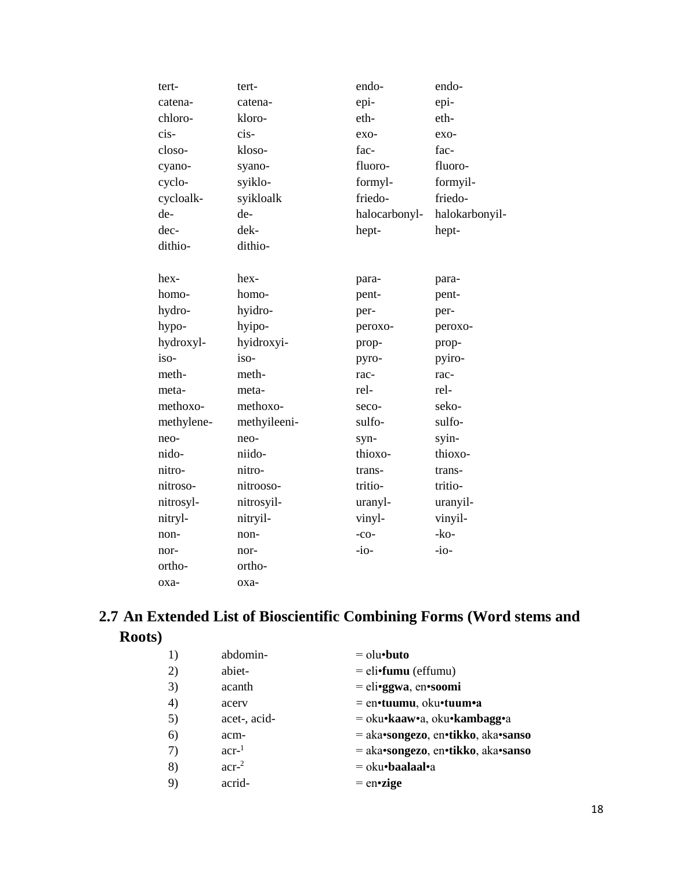| tert-      | tert-        | endo-         | endo-          |
|------------|--------------|---------------|----------------|
| catena-    | catena-      | epi-          | epi-           |
| chloro-    | kloro-       | eth-          | eth-           |
| cis-       | cis-         | $exo-$        | exo-           |
| closo-     | kloso-       | fac-          | fac-           |
| cyano-     | syano-       | fluoro-       | fluoro-        |
| cyclo-     | syiklo-      | formyl-       | formyil-       |
| cycloalk-  | syikloalk    | friedo-       | friedo-        |
| de-        | de-          | halocarbonyl- | halokarbonyil- |
| dec-       | dek-         | hept-         | hept-          |
| dithio-    | dithio-      |               |                |
|            |              |               |                |
| hex-       | hex-         | para-         | para-          |
| homo-      | homo-        | pent-         | pent-          |
| hydro-     | hyidro-      | per-          | per-           |
| hypo-      | hyipo-       | peroxo-       | peroxo-        |
| hydroxyl-  | hyidroxyi-   | prop-         | prop-          |
| iso-       | iso-         | pyro-         | pyiro-         |
| meth-      | meth-        | rac-          | rac-           |
| meta-      | meta-        | rel-          | rel-           |
| methoxo-   | methoxo-     | seco-         | seko-          |
| methylene- | methyileeni- | sulfo-        | sulfo-         |
| neo-       | neo-         | syn-          | syin-          |
| nido-      | niido-       | thioxo-       | thioxo-        |
| nitro-     | nitro-       | trans-        | trans-         |
| nitroso-   | nitrooso-    | tritio-       | tritio-        |
| nitrosyl-  | nitrosyil-   | uranyl-       | uranyil-       |
| nitryl-    | nitryil-     | vinyl-        | vinyil-        |
| non-       | non-         | $-co-$        | $-ko-$         |
| nor-       | nor-         | $-i$ o-       | $-i$ o-        |
| ortho-     | ortho-       |               |                |
| oxa-       | оха-         |               |                |

# 2.7 An Extended List of Bioscientific Combining Forms (Word stems and Roots)

| 1)           | abdomin-         | $=$ olu•buto                       |
|--------------|------------------|------------------------------------|
| 2)           | abiet-           | $=$ eli•fumu (effumu)              |
| 3)           | acanth           | $=$ eli•ggwa, en•soomi             |
| 4)           | acerv            | $=$ en•tuumu, oku•tuum•a           |
| 5)           | acet-, acid-     | = oku•kaaw•a, oku•kambagg•a        |
| 6)           | acm-             | = aka•songezo, en•tikko, aka•sanso |
| 7)           | $acr-1$          | = aka•songezo, en•tikko, aka•sanso |
| 8)           | acr <sup>2</sup> | $=$ oku•baalaal•a                  |
| $\mathsf{Q}$ | acrid-           | $=$ en•zige                        |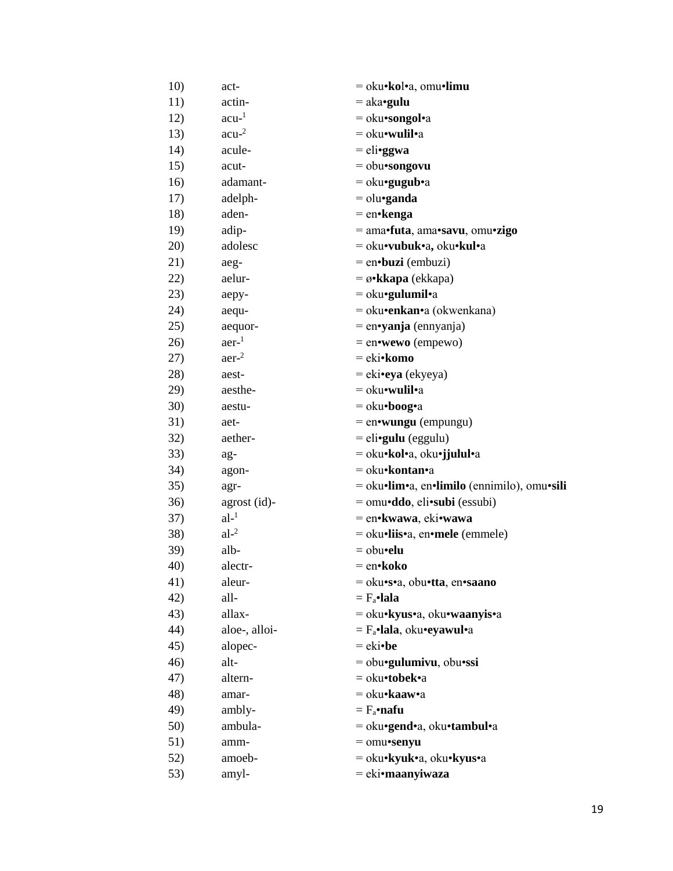| 10) | act-             | = oku•kol•a, omu•limu                       |
|-----|------------------|---------------------------------------------|
| 11) | actin-           | $=$ aka•gulu                                |
| 12) | $acu-1$          | $=$ oku•songol•a                            |
| 13) | $acu-2$          | = oku•wulil•a                               |
| 14) | acule-           | $=$ eli•ggwa                                |
| 15) | acut-            | = obu•songovu                               |
| 16) | adamant-         | $=$ oku•gugub•a                             |
| 17) | adelph-          | $=$ olu•ganda                               |
| 18) | aden-            | $=$ en•kenga                                |
| 19) | adip-            | $=$ ama•futa, ama•savu, omu•zigo            |
| 20) | adolesc          | = oku•vubuk•a, oku•kul•a                    |
| 21) | aeg-             | $=$ en $\cdot$ buzi (embuzi)                |
| 22) | aelur-           | $= \omega \cdot k \cdot k$ apa (ekkapa)     |
| 23) | aepy-            | $=$ oku•gulumil•a                           |
| 24) | aequ-            | = oku•enkan•a (okwenkana)                   |
| 25) | aequor-          | $=$ en•yanja (ennyanja)                     |
| 26) | aer <sup>1</sup> | $=$ en•wewo (empewo)                        |
| 27) | aer <sup>2</sup> | = eki•komo                                  |
| 28) | aest-            | $=$ eki•eya (ekyeya)                        |
| 29) | aesthe-          | $=$ oku•wulil•a                             |
| 30) | aestu-           | $=$ oku•boog•a                              |
| 31) | aet-             | $=$ en•wungu (empungu)                      |
| 32) | aether-          | $=$ eli• <b>gulu</b> (eggulu)               |
| 33) | ag-              | = oku•kol•a, oku•jjulul•a                   |
| 34) | agon-            | = oku•kontan•a                              |
| 35) | agr-             | = oku•lim•a, en•limilo (ennimilo), omu•sili |
| 36) | agrost (id)-     | = omu•ddo, eli•subi (essubi)                |
| 37) | $al-1$           | = en•kwawa, eki•wawa                        |
| 38) | $al-2$           | = oku•liis•a, en•mele (emmele)              |
| 39) | alb-             | $=$ obu•elu                                 |
| 40) | alectr-          | = en•koko                                   |
| 41) | aleur-           | = oku•s•a, obu•tta, en•saano                |
| 42) | all-             | $= F_a$ ·lala                               |
| 43) | allax-           | = oku•kyus•a, oku•waanyis•a                 |
| 44) | aloe-, alloi-    | $=$ $F_a$ •lala, oku•eyawul•a               |
| 45) | alopec-          | $=$ eki•be                                  |
| 46) | alt-             | $=$ obu•gulumivu, obu•ssi                   |
| 47) | altern-          | = oku•tobek•a                               |
| 48) | amar-            | = oku•kaaw•a                                |
| 49) | ambly-           | $=$ $F_a$ •nafu                             |
| 50) | ambula-          | = oku•gend•a, oku•tambul•a                  |
| 51) | amm-             | $=$ omu•senyu                               |
| 52) | amoeb-           | = oku•kyuk•a, oku•kyus•a                    |
| 53) | amyl-            | = eki•maanyiwaza                            |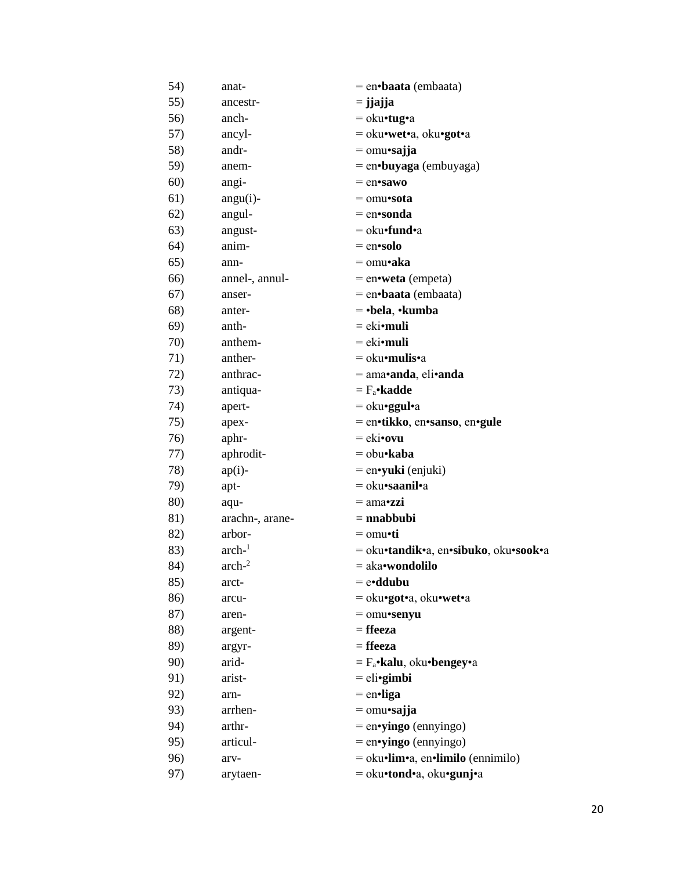| 54) | anat-           | $=$ en•baata (embaata)                |
|-----|-----------------|---------------------------------------|
| 55) | ancestr-        | $=$ j $jajja$                         |
| 56) | anch-           | $=$ oku•tug•a                         |
| 57) | ancyl-          | = oku•wet•a, oku•got•a                |
| 58) | andr-           | $=$ omu•sajja                         |
| 59) | anem-           | = en•buyaga (embuyaga)                |
| 60) | angi-           | $=$ en•sawo                           |
| 61) | angu(i)-        | $=$ omu•sota                          |
| 62) | angul-          | $=$ en•sonda                          |
| 63) | angust-         | $=$ oku•fund•a                        |
| 64) | anim-           | $=$ en•solo                           |
| 65) | ann-            | $=$ omu•aka                           |
| 66) | annel-, annul-  | $=$ en•weta (empeta)                  |
| 67) | anser-          | = en•baata (embaata)                  |
| 68) | anter-          | $=$ •bela, •kumba                     |
| 69) | anth-           | $=$ eki•muli                          |
| 70) | anthem-         | $=$ eki•muli                          |
| 71) | anther-         | $=$ oku•mulis•a                       |
| 72) | anthrac-        | $=$ ama•anda, eli•anda                |
| 73) | antiqua-        | $= F_a \cdot \mathbf{k}$ adde         |
| 74) | apert-          | $=$ oku• <b>ggul</b> •a               |
| 75) | apex-           | = en•tikko, en•sanso, en•gule         |
| 76) | aphr-           | $=$ eki•ovu                           |
| 77) | aphrodit-       | $=$ obu•kaba                          |
| 78) | $ap(i)$ -       | $=$ en•yuki (enjuki)                  |
| 79) | apt-            | $=$ oku•saanil•a                      |
| 80) | aqu-            | $=$ ama•zzi                           |
| 81) | arachn-, arane- | $=$ nnabbubi                          |
| 82) | arbor-          | $=$ omu•ti                            |
| 83) | $arch-1$        | = oku•tandik•a, en•sibuko, oku•sook•a |
| 84) | $arch-2$        | = aka•wondolilo                       |
| 85) | arct-           | $=$ e•ddubu                           |
| 86) | arcu-           | = oku•got•a, oku•wet•a                |
| 87) | aren-           | $=$ omu•senyu                         |
| 88) | argent-         | $=$ ffeeza                            |
| 89) | argyr-          | $=$ ffeeza                            |
| 90) | arid-           | $=$ $F_a$ •kalu, oku•bengey•a         |
| 91) | arist-          | $=$ eli•gimbi                         |
| 92) | arn-            | $=$ en•liga                           |
| 93) | arrhen-         | $=$ omu•sajja                         |
| 94) | arthr-          | $=$ en•yingo (ennyingo)               |
| 95) | articul-        | $=$ en•yingo (ennyingo)               |
| 96) | arv-            | = oku•lim•a, en•limilo (ennimilo)     |
| 97) | arytaen-        | = oku•tond•a, oku•gunj•a              |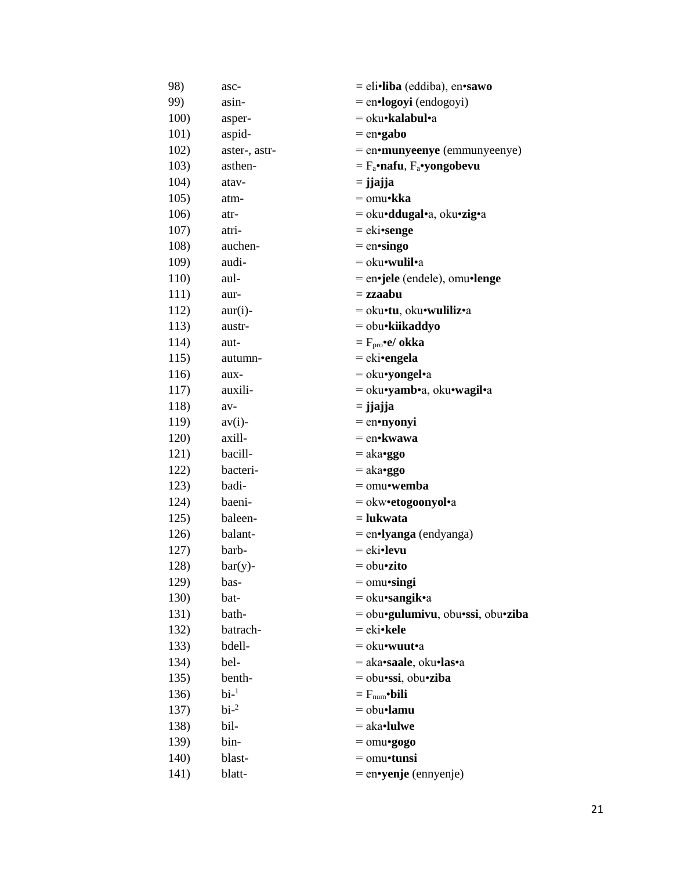| 98)  | asc-                   | = eli•liba (eddiba), en•sawo               |
|------|------------------------|--------------------------------------------|
| 99)  | asin-                  | $=$ en $\cdot$ logoyi (endogoyi)           |
| 100) | asper-                 | = oku•kalabul•a                            |
| 101) | aspid-                 | $=$ en•gabo                                |
| 102) | aster-, astr-          | = en•munyeenye (emmunyeenye)               |
| 103) | asthen-                | $= F_a \cdot nafu$ , $F_a \cdot yongobevu$ |
| 104) | atav-                  | $=$ j $jajja$                              |
| 105) | atm-                   | = omu•kka                                  |
| 106) | atr-                   | = oku• <b>ddugal</b> •a, oku•zig•a         |
| 107) | atri-                  | $=$ eki•senge                              |
| 108) | auchen-                | $=$ en•singo                               |
| 109) | audi-                  | $=$ oku•wulil•a                            |
| 110) | aul-                   | = en•jele (endele), omu•lenge              |
| 111) | aur-                   | $=$ zzaabu                                 |
| 112) | $aur(i)$ -             | = oku•tu, oku•wuliliz•a                    |
| 113) | austr-                 | = obu•kiikaddyo                            |
| 114) | aut-                   | $= Fpro \cdot e / \nokka$                  |
| 115) | autumn-                | = eki•engela                               |
| 116) | aux-                   | $=$ oku•yongel•a                           |
| 117) | auxili-                | = oku•yamb•a, oku•wagil•a                  |
| 118) | av-                    | $=$ j $jajja$                              |
| 119) | $av(i)$ -              | = en•nyonyi                                |
| 120) | axill-                 | = en•kwawa                                 |
| 121) | bacill-                | $=$ aka• <b>ggo</b>                        |
| 122) | bacteri-               | $=$ aka•ggo                                |
| 123) | badi-                  | $=$ omu•wemba                              |
| 124) | baeni-                 | = okw•etogoonyol•a                         |
| 125) | baleen-                | $=$ lukwata                                |
| 126) | balant-                | $=$ en•lyanga (endyanga)                   |
| 127) | barb-                  | $= eki$ •levu                              |
| 128) | $bar(y)$ -             | $=$ obu•zito                               |
| 129) | bas-                   | $=$ omu•singi                              |
| 130) | bat-                   | $=$ oku•sangik•a                           |
| 131) | bath-                  | = obu•gulumivu, obu•ssi, obu•ziba          |
| 132) | batrach-               | $= eki\cdot$ kele                          |
| 133) | bdell-                 | $=$ oku•wuut•a                             |
| 134) | bel-                   | = aka•saale, oku•las•a                     |
| 135) | benth-                 | $=$ obu•ssi, obu•ziba                      |
| 136) | $bi-1$                 | $=$ $F_{num}$ •bili                        |
| 137) | $\rm bi$ <sup>-2</sup> | $=$ obu•lamu                               |
| 138) | bil-                   | $=$ aka•lulwe                              |
| 139) | bin-                   | $=$ omu•gogo                               |
| 140) | blast-                 | $=$ omu•tunsi                              |
| 141) | blatt-                 | $=$ en•yenje (ennyenje)                    |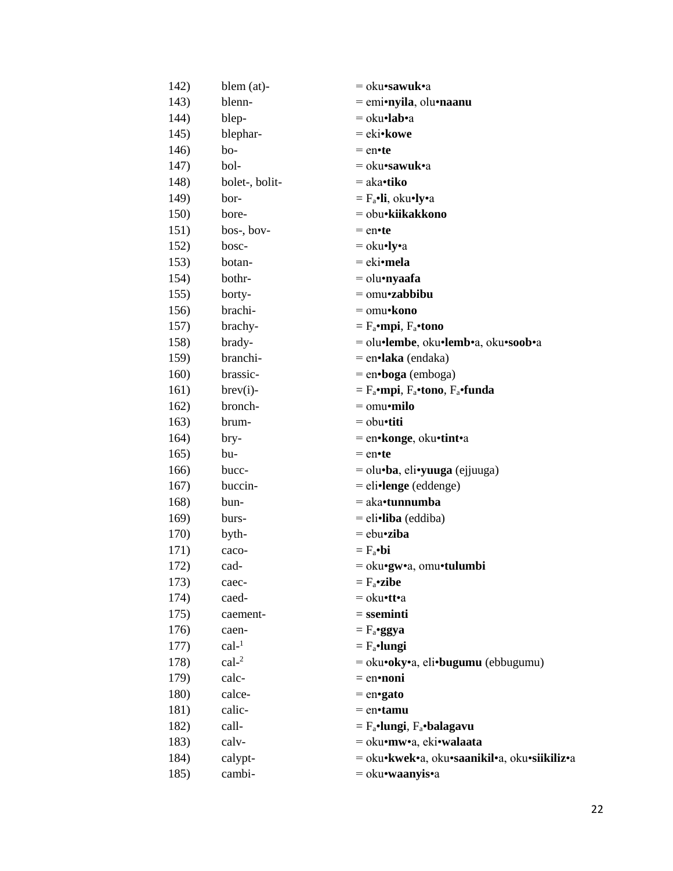| 142)         | blem (at)-     | = oku•sawuk•a                                   |
|--------------|----------------|-------------------------------------------------|
| 143)         | blenn-         | $=$ emi•nyila, olu•naanu                        |
| 144)         | blep-          | $=$ oku•lab•a                                   |
| 145)         | blephar-       | = eki•kowe                                      |
| 146)         | bo-            | $=$ en•te                                       |
| 147)         | bol-           | = oku•sawuk•a                                   |
| 148)         | bolet-, bolit- | $=$ aka•tiko                                    |
| 149)         | bor-           | $=$ $F_a$ •li, oku•ly•a                         |
| 150)         | bore-          | = obu•kiikakkono                                |
| 151)         | bos-, bov-     | $=$ en•te                                       |
| 152)         | bosc-          | $=$ oku•ly•a                                    |
| 153)         | botan-         | = eki•mela                                      |
| 154)         | bothr-         | $=$ olu•nyaafa                                  |
| 155)         | borty-         | $=$ omu•zabbibu                                 |
| 156)         | brachi-        | $=$ omu• $\bf{kono}$                            |
| 157)         | brachy-        | $=$ $F_a$ •mpi, $F_a$ •tono                     |
| 158)         | brady-         | = olu•lembe, oku•lemb•a, oku•soob•a             |
| 159)         | branchi-       | $=$ en $\cdot$ laka (endaka)                    |
| 160)         | brassic-       | $=$ en•boga (emboga)                            |
| 161)         | $brev(i)$ -    | $= F_a$ •mpi, $F_a$ •tono, $F_a$ •funda         |
| 162)         | bronch-        | $=$ omu•milo                                    |
| 163)         | brum-          | $=$ obu•titi                                    |
| 164)         | bry-           | = en•konge, oku•tint•a                          |
| 165)         | bu-            | $=$ en•te                                       |
| 166)         | bucc-          | $=$ olu $\cdot$ ba, eli $\cdot$ yuuga (ejjuuga) |
| 167)         | buccin-        | $=$ eli•lenge (eddenge)                         |
| 168)         | bun-           | $=$ aka•tunnumba                                |
| 169)         | burs-          | $=$ eli•liba (eddiba)                           |
| <b>170</b> ) | byth-          | $=$ ebu•ziba                                    |
| 171)         | caco-          | $= F_a \bullet bi$                              |
| 172)         | cad-           | = oku•gw•a, omu•tulumbi                         |
| 173)         | caec-          | $= F_a$ •zibe                                   |
| 174)         | caed-          | = oku•tt•a                                      |
| 175)         | caement-       | $=$ sseminti                                    |
| 176)         | caen-          | $= F_a$ •ggya                                   |
| 177)         | $cal^{-1}$     | $=$ $F_a$ •lungi                                |
| 178)         | $cal^{-2}$     | $=$ oku•oky•a, eli•bugumu (ebbugumu)            |
| 179)         | calc-          | $=$ en•noni                                     |
| 180)         | calce-         | $=$ en•gato                                     |
| 181)         | calic-         | $=$ en $\cdot$ tamu                             |
| 182)         | call-          | $=$ $F_a$ ·lungi, $F_a$ ·balagavu               |
| 183)         | calv-          | = oku•mw•a, eki•walaata                         |
| 184)         | calypt-        | = oku•kwek•a, oku•saanikil•a, oku•siikiliz•a    |
| 185)         | cambi-         | = oku•waanyis•a                                 |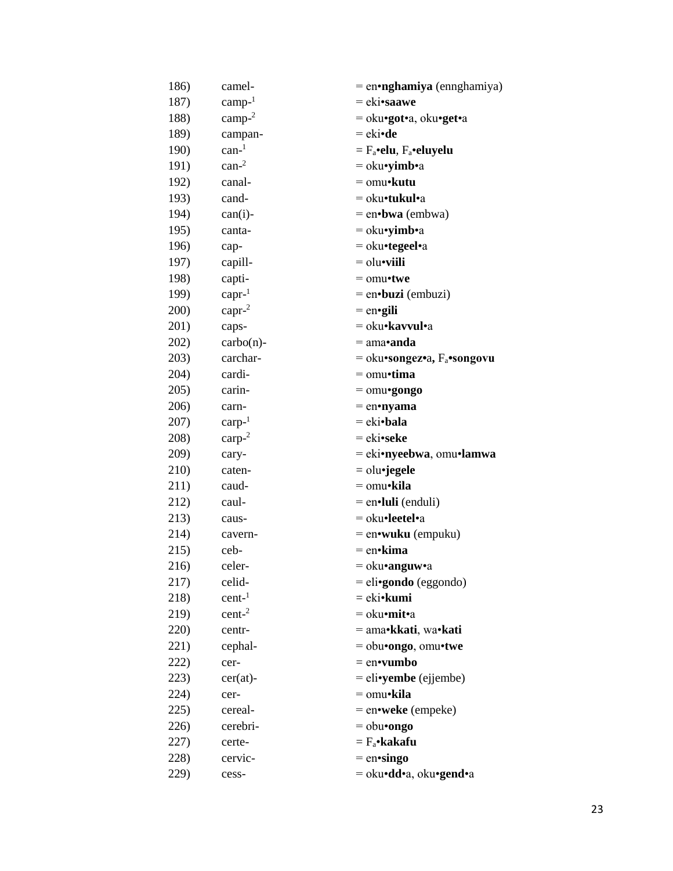| 186)         | camel-                    | $=$ en•nghamiya (ennghamiya)     |
|--------------|---------------------------|----------------------------------|
| 187)         | $\text{camp-}^1$          | $= eki\cdot \textbf{saawe}$      |
| 188)         | camp- $2$                 | = oku•got•a, oku•get•a           |
| 189)         | campan-                   | $=$ eki•de                       |
| <b>190</b> ) | $\text{can}$ <sup>1</sup> | $=$ $F_a$ •elu, $F_a$ •eluyelu   |
| 191)         | $\text{can-}^2$           | $=$ oku•yimb•a                   |
| 192)         | canal-                    | $=$ omu $\cdot$ kutu             |
| 193)         | cand-                     | = oku•tukul•a                    |
| 194)         | $can(i)$ -                | $=$ en $\cdot$ bwa (embwa)       |
| 195)         | canta-                    | $=$ oku•yimb•a                   |
| 196)         | cap-                      | = oku•tegeel•a                   |
| 197)         | capill-                   | $=$ olu•viili                    |
| 198)         | capti-                    | $=$ omu•twe                      |
| 199)         | $capr^{-1}$               | = en•buzi (embuzi)               |
| 200)         | $capr-2$                  | $=$ en•gili                      |
| 201)         | caps-                     | = oku• <b>kavvul</b> •a          |
| 202)         | $\text{carbo}(n)$ -       | $=$ ama• anda                    |
| 203)         | carchar-                  | $=$ oku•songez•a, $F_a$ •songovu |
| 204)         | cardi-                    | $=$ omu•tima                     |
| 205)         | carin-                    | $=$ omu•gongo                    |
| 206)         | carn-                     | $=$ en•nyama                     |
| 207)         | $carp-1$                  | $= eki \cdot b$ ala              |
| 208)         | $\text{carp-}^2$          | = eki•seke                       |
| 209)         | cary-                     | = eki•nyeebwa, omu•lamwa         |
| 210)         | caten-                    | $=$ olu•jegele                   |
| 211)         | caud-                     | = omu•kila                       |
| 212)         | caul-                     | = en·luli (enduli)               |
| 213)         | caus-                     | = oku•leetel•a                   |
| 214)         | cavern-                   | $=$ en•wuku (empuku)             |
| 215)         | ceb-                      | $=$ en•kima                      |
| 216)         | celer-                    | = oku•anguw•a                    |
| 217)         | celid-                    | = eli•gondo (eggondo)            |
| 218)         | cent <sup>1</sup>         | = eki• <b>kumi</b>               |
| 219)         | cent <sup>2</sup>         | $=$ oku•mit•a                    |
| 220)         | centr-                    | = ama•kkati, wa•kati             |
| 221)         | cephal-                   | $=$ obu•ongo, omu•twe            |
| 222)         | cer-                      | $=$ en•vumbo                     |
| 223)         | $cer(at)$ -               | $=$ eli•yembe (ejjembe)          |
| 224)         | cer-                      | $=$ omu•kila                     |
| 225)         | cereal-                   | $=$ en•weke (empeke)             |
| 226)         | cerebri-                  | $=$ obu•ongo                     |
| 227)         | certe-                    | $= F_a$ •kakafu                  |
| 228)         | cervic-                   | $=$ en•singo                     |
| 229)         | cess-                     | = oku•dd•a, oku•gend•a           |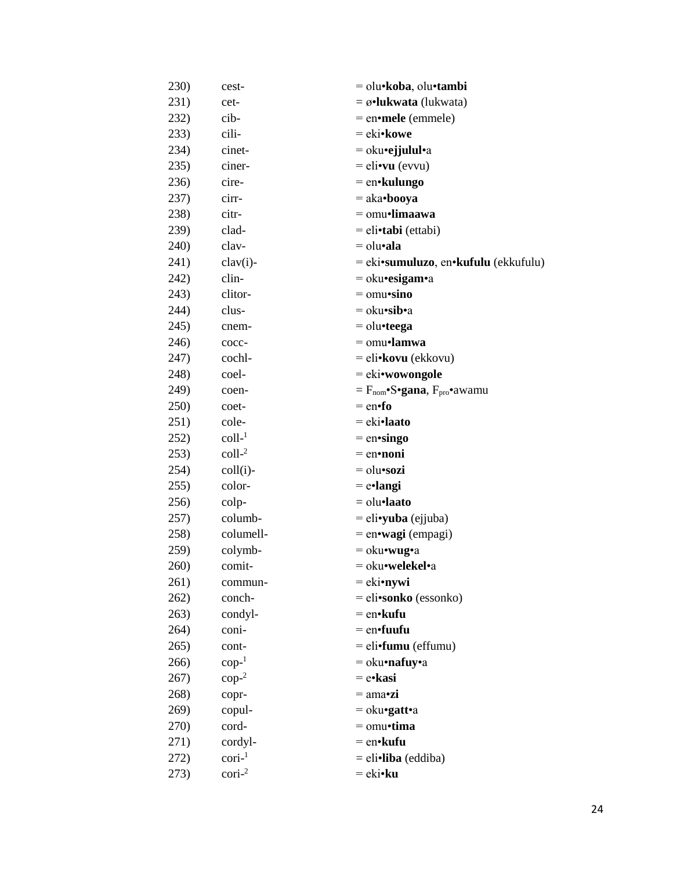| 230) | cest-            | = olu•koba, olu•tambi                                   |
|------|------------------|---------------------------------------------------------|
| 231) | cet-             | $= \omega$ •lukwata (lukwata)                           |
| 232) | cib-             | $=$ en•mele (emmele)                                    |
| 233) | cili-            | $=$ eki• kowe                                           |
| 234) | cinet-           | $=$ oku•ejjulul•a                                       |
| 235) | ciner-           | $=$ eli•vu (evvu)                                       |
| 236) | cire-            | $=$ en•kulungo                                          |
| 237) | cirr-            | $=$ aka•booya                                           |
| 238) | citr-            | $=$ omu•limaawa                                         |
| 239) | clad-            | $=$ eli $\cdot$ tabi (ettabi)                           |
| 240) | clav-            | $=$ olu•ala                                             |
| 241) | $clav(i)$ -      | $=$ eki•sumuluzo, en•kufulu (ekkufulu)                  |
| 242) | clin-            | $=$ oku•esigam•a                                        |
| 243) | clitor-          | $=$ omu•sino                                            |
| 244) | clus-            | $=$ oku•sib•a                                           |
| 245) | cnem-            | $=$ olu•teega                                           |
| 246) | cocc-            | $=$ omu•lamwa                                           |
| 247) | cochl-           | = eli•kovu (ekkovu)                                     |
| 248) | coel-            | = eki•wowongole                                         |
| 249) | coen-            | $= F_{\text{nom}}$ • $S$ •gana, $F_{\text{pro}}$ •awamu |
| 250) | coet-            | $=$ en $\bullet$ fo                                     |
| 251) | cole-            | $=$ eki•laato                                           |
| 252) | $\text{coll-}1$  | $=$ en•singo                                            |
| 253) | $\text{coll-}^2$ | $=$ en•noni                                             |
| 254) | $coll(i)$ -      | $=$ olu•sozi                                            |
| 255) | color-           | $=$ e•langi                                             |
| 256) | colp-            | $=$ olu $\cdot$ laato                                   |
| 257) | columb-          | $=$ eli•yuba (ejjuba)                                   |
| 258) | columell-        | $=$ en•wagi (empagi)                                    |
| 259) | colymb-          | $=$ oku•wug•a                                           |
| 260) | comit-           | = oku•welekel•a                                         |
| 261) | commun-          | $=$ eki•nywi                                            |
| 262) | conch-           | = eli•sonko (essonko)                                   |
| 263) | condyl-          | $=$ en• $k$ ufu                                         |
| 264) | coni-            | $=$ en $\cdot$ fuufu                                    |
| 265) | cont-            | = eli•fumu (effumu)                                     |
| 266) | $\text{cop-}^1$  | $=$ oku•nafuy•a                                         |
| 267) | $\text{cop-}^2$  | $=$ e•kasi                                              |
| 268) | copr-            | $= \text{ama-}zi$                                       |
| 269) | copul-           | $=$ oku•gatt•a                                          |
| 270) | cord-            | $=$ omu•tima                                            |
| 271) | cordyl-          | $=$ en• $k$ ufu                                         |
| 272) | $\text{cori-}1$  | $=$ eli•liba (eddiba)                                   |
| 273) | $\text{cori-}^2$ | $=$ eki• $ku$                                           |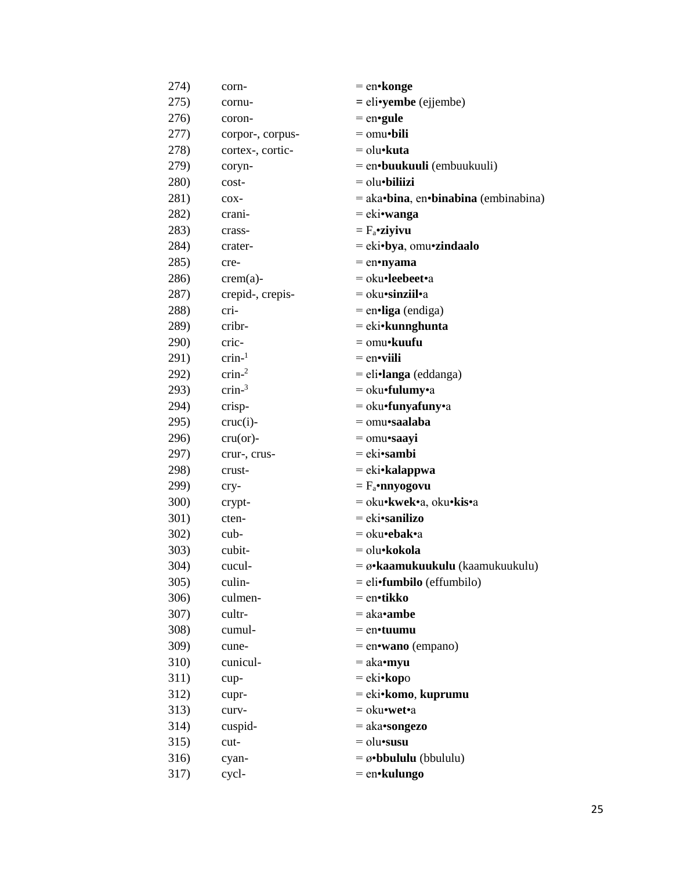| 274)            | corn-             | $=$ en•konge                                  |
|-----------------|-------------------|-----------------------------------------------|
| 275)            | cornu-            | $=$ eli•yembe (ejjembe)                       |
| 276)            | coron-            | $=$ en•gule                                   |
| 277)            | corpor-, corpus-  | $=$ omu•bili                                  |
| 278)            | cortex-, cortic-  | $=$ olu $\cdot$ kuta                          |
| 279)            | coryn-            | = en•buukuuli (embuukuuli)                    |
| 280)            | cost-             | $=$ olu $\bullet$ biliizi                     |
| 281)            | $COX-$            | $=$ aka•bina, en•binabina (embinabina)        |
| 282)            | crani-            | $=$ eki•wanga                                 |
| 283)            | crass-            | $= F_a$ •ziyivu                               |
| 284)            | crater-           | = eki•bya, omu•zindaalo                       |
| 285)            | cre-              | $=$ en•nyama                                  |
| 286)            | $crem(a)$ -       | = oku•leebeet•a                               |
| 287)            | crepid-, crepis-  | $=$ oku•sinziil•a                             |
| 288)            | cri-              | $=$ en•liga (endiga)                          |
| 289)            | cribr-            | = eki•kunnghunta                              |
| 290)            | cric-             | = omu•kuufu                                   |
| 291)            | $crin-1$          | $=$ en•viili                                  |
| 292)            | crin <sup>2</sup> | $=$ eli•langa (eddanga)                       |
| 293)            | $crin-3$          | $=$ oku•fulumy•a                              |
| 294)            | crisp-            | $=$ oku•funyafuny•a                           |
| 295)            | $cruc(i)$ -       | $=$ omu•saalaba                               |
| 296)            | $cru($ or $)-$    | $=$ omu•saayi                                 |
| 297)            | crur-, crus-      | $=$ eki•sambi                                 |
| 298)            | crust-            | $= eki\cdot$ kalappwa                         |
| 299)            | cry-              | $=$ $F_a$ •nnyogovu                           |
| 300)            | crypt-            | = oku•kwek•a, oku•kis•a                       |
| 301)            | cten-             | $= eki\cdot\text{sanilizo}$                   |
| 302)            | $cub-$            | = oku•ebak•a                                  |
| 303)            | cubit-            | = olu•kokola                                  |
| 304)            | cucul-            | $= \omega$ •kaamukuukulu (kaamukuukulu)       |
| 305)            | culin-            | = eli•fumbilo (effumbilo)                     |
| 306)            | culmen-           | = en•tikko                                    |
| 307)            | cultr-            | $=$ aka• <b>ambe</b>                          |
| 308)            | cumul-            | $=$ en $\cdot$ tuumu                          |
| 309)            | cune-             | $=$ en•wano (empano)                          |
| 31 <sub>0</sub> | cunicul-          | $=$ aka•myu                                   |
| 311)            | cup-              | = eki•kopo                                    |
| 312)            | cupr-             | = eki•komo, kuprumu                           |
| 313)            | curv-             | $=$ oku•wet•a                                 |
| 314)            | cuspid-           | $=$ aka•songezo                               |
| 315)            | cut-              | $=$ olu $\cdot$ susu                          |
| 316)            | cyan-             | $= \boldsymbol{\emptyset}$ •bbululu (bbululu) |
| 317)            | cycl-             | = en•kulungo                                  |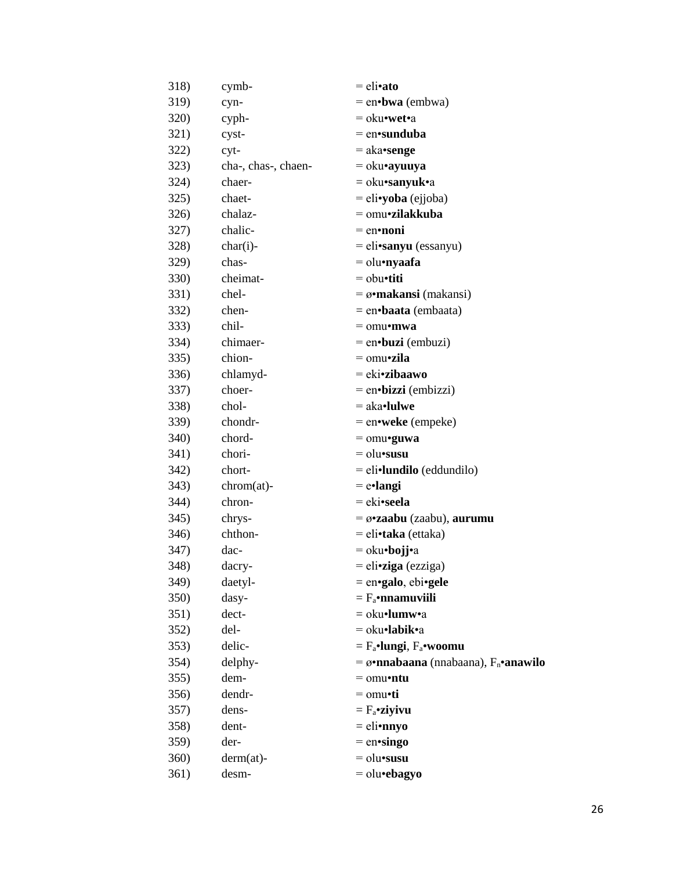| 318)         | cymb-               | $=$ eli•ato                                              |
|--------------|---------------------|----------------------------------------------------------|
| 319)         | cyn-                | $=$ en•bwa (embwa)                                       |
| <b>320</b> ) | cyph-               | = oku•wet•a                                              |
| 321)         | cyst-               | $=$ en•sunduba                                           |
| 322)         | cyt-                | $=$ aka•senge                                            |
| 323)         | cha-, chas-, chaen- | $=$ oku•ayuuya                                           |
| 324)         | chaer-              | $=$ oku•sanyuk•a                                         |
| 325)         | chaet-              | $=$ eli•yoba (ejjoba)                                    |
| 326)         | chalaz-             | $=$ omu•zilakkuba                                        |
| 327)         | chalic-             | $=$ en•noni                                              |
| 328)         | $char(i)$ -         | $=$ eli•sanyu (essanyu)                                  |
| 329)         | chas-               | $=$ olu•nyaafa                                           |
| <b>330)</b>  | cheimat-            | $=$ obu•titi                                             |
| 331)         | chel-               | $= \omega$ •makansi (makansi)                            |
| 332)         | chen-               | $=$ en $\cdot$ baata (embaata)                           |
| 333)         | chil-               | $=$ omu•mwa                                              |
| 334)         | chimaer-            | $=$ en•buzi (embuzi)                                     |
| 335)         | chion-              | $=$ omu•zila                                             |
| 336)         | chlamyd-            | $= eki\cdot zibaawo$                                     |
| 337)         | choer-              | $=$ en•bizzi (embizzi)                                   |
| 338)         | chol-               | $=$ aka•lulwe                                            |
| 339)         | chondr-             | $=$ en•weke (empeke)                                     |
| <b>340</b> ) | chord-              | $=$ omu•guwa                                             |
| 341)         | chori-              | $=$ olu $\cdot$ susu                                     |
| 342)         | chort-              | $=$ eli•lundilo (eddundilo)                              |
| 343)         | $chrom(at)$ -       | $=$ e•langi                                              |
| 344)         | chron-              | = eki•seela                                              |
| 345)         | chrys-              | $= \omega$ <b>zaabu</b> (zaabu), <b>aurumu</b>           |
| 346)         | chthon-             | $=$ eli•taka (ettaka)                                    |
| 347)         | dac-                | $=$ oku•bojj•a                                           |
| 348)         | dacry-              | $=$ eli•ziga (ezziga)                                    |
| 349)         | daetyl-             | $=$ en•galo, ebi•gele                                    |
| 350)         | dasy-               | $=$ $F_a$ •nnamuviili                                    |
| 351)         | dect-               | = oku•lumw•a                                             |
| 352)         | del-                | $=$ oku•labik•a                                          |
| 353)         | delic-              | $=$ $F_a$ •lungi, $F_a$ •woomu                           |
| 354)         | delphy-             | $= \omega$ •nnabaana (nnabaana), F <sub>n</sub> •anawilo |
| 355)         | dem-                | $=$ omu•ntu                                              |
| 356)         | dendr-              | $=$ omu•ti                                               |
| 357)         | dens-               | $=$ $F_a$ •ziyivu                                        |
| 358)         | dent-               | $=$ eli•nnyo                                             |
| 359)         | der-                | $=$ en•singo                                             |
| 360)         | $derm(at)$ -        | $=$ olu $\cdot$ susu                                     |
| 361)         | desm-               | $=$ olu•ebagyo                                           |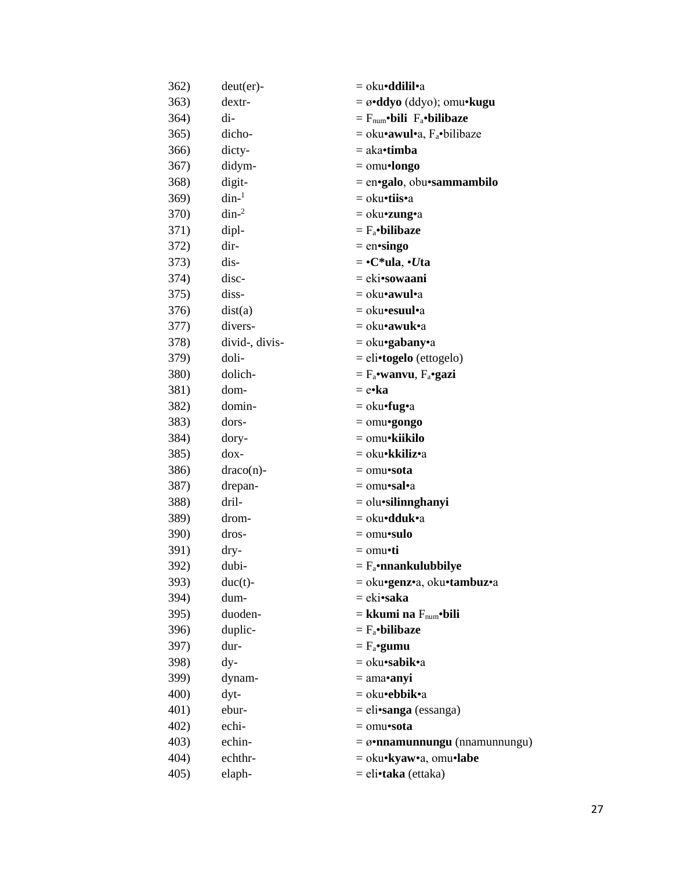| 362)         | $deut(er)$ -   | = oku <b>∙ddilil•</b> a                         |
|--------------|----------------|-------------------------------------------------|
| 363)         | dextr-         | $= \omega \cdot ddy$ o (ddyo); omu $\cdot$ kugu |
| 364)         | di-            | $=$ $F_{num}$ •bili $F_a$ •bilibaze             |
| 365)         | dicho-         | = oku• <b>awul•</b> a, F <sub>a</sub> •bilibaze |
| 366)         | dicty-         | = aka• <b>timba</b>                             |
| 367)         | didym-         | $=$ omu•longo                                   |
| 368)         | digit-         | = en•galo, obu•sammambilo                       |
| 369)         | $\dim^{-1}$    | = oku•tiis•a                                    |
| 370)         | $\dim^{-2}$    | = oku• <b>zung</b> •a                           |
| 371)         | dipl-          | $= F_a$ •bilibaze                               |
| 372)         | dir-           | $=$ en•singo                                    |
| 373)         | dis-           | $= \cdot C^*$ ula, $\cdot U$ ta                 |
| 374)         | disc-          | = eki•sowaani                                   |
| 375)         | diss-          | = oku• <b>awul•</b> a                           |
| 376)         | dist(a)        | = oku• <b>esuul•</b> a                          |
| 377)         | divers-        | = oku• <b>awuk</b> •a                           |
| 378)         | divid-, divis- | $=$ oku•gabany•a                                |
| 379)         | doli-          | $=$ eli•togelo (ettogelo)                       |
| 380)         | dolich-        | $=$ $F_a$ •wanvu, $F_a$ •gazi                   |
| 381)         | dom-           | = e•ka                                          |
| 382)         | domin-         | $=$ oku•fug•a                                   |
| 383)         | dors-          | $=$ omu•gongo                                   |
| 384)         | dory-          | = omu•kiikilo                                   |
| 385)         | $d$ ox-        | = oku• <b>kkiliz•</b> a                         |
| 386)         | $draco(n)$ -   | = omu•sota                                      |
| 387)         | drepan-        | = omu•sal•a                                     |
| 388)         | dril-          | $=$ olu•silinnghanyi                            |
| 389)         | drom-          | = oku <b>•dduk•</b> a                           |
| <b>390</b> ) | dros-          | $=$ omu•sulo                                    |
| 391)         | dry-           | = omu•ti                                        |
| 392)         | dubi-          | $= F_a \cdot$ nnankulubbilye                    |
| 393)         | $duc(t)$ -     | = oku•genz•a, oku•tambuz•a                      |
| 394)         | dum-           | = eki•saka                                      |
| 395)         | duoden-        | $=$ kkumi na $F_{num}$ •bili                    |
| 396)         | duplic-        | $= F_a$ •bilibaze                               |
| 397)         | dur-           | $= F_a$ •gumu                                   |
| 398)         | dy-            | = oku•sabik•a                                   |
| 399)         | dynam-         | $=$ ama•anyi                                    |
| 400)         | dyt-           | = oku•ebbik•a                                   |
| 401)         | ebur-          | $=$ eli•sanga (essanga)                         |
| 402)         | echi-          | $=$ omu•sota                                    |
| 403)         | echin-         | $= \omega$ •nnamunnungu (nnamunnungu)           |
| 404)         | echthr-        | = oku•kyaw•a, omu•labe                          |
| 405)         | elaph-         | = eli•taka (ettaka)                             |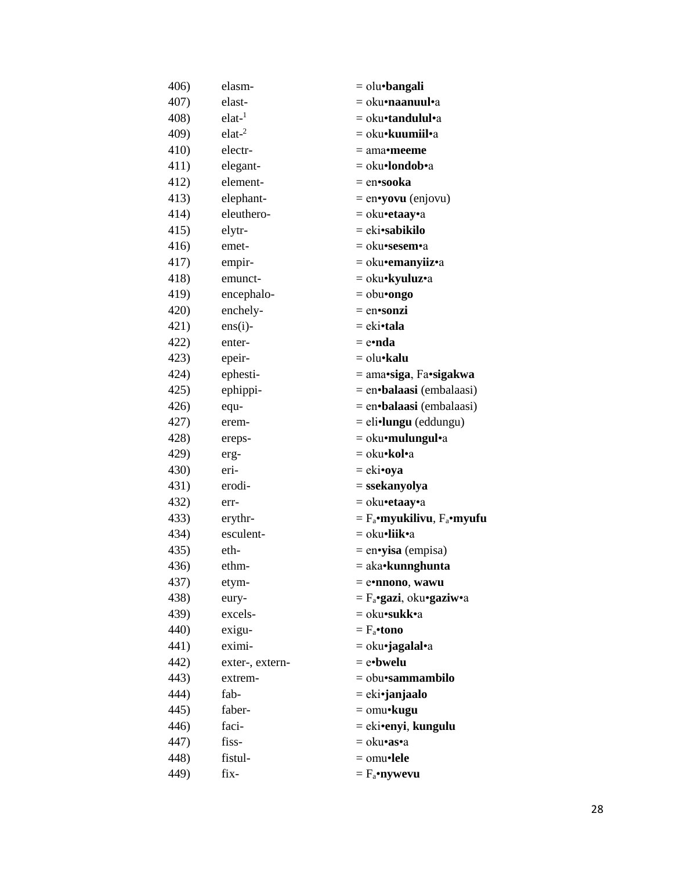| 406) | elasm-          | $=$ olu•bangali                    |
|------|-----------------|------------------------------------|
| 407) | elast-          | = oku•naanuul•a                    |
| 408) | $elat-1$        | = oku•tandulul•a                   |
| 409) | $elat-2$        | = oku• <b>kuumiil•</b> a           |
| 410) | electr-         | = ama• <b>meeme</b>                |
| 411) | elegant-        | = oku•londob•a                     |
| 412) | element-        | = en•sooka                         |
| 413) | elephant-       | $=$ en•yovu (enjovu)               |
| 414) | eleuthero-      | $=$ oku•etaay•a                    |
| 415) | elytr-          | $= eki\cdot$ sabikilo              |
| 416) | emet-           | = oku•sesem•a                      |
| 417) | empir-          | = oku•emanyiiz•a                   |
| 418) | emunct-         | = oku•kyuluz•a                     |
| 419) | encephalo-      | $=$ obu•ongo                       |
| 420) | enchely-        | $=$ en•sonzi                       |
| 421) | $ens(i)$ -      | = eki•tala                         |
| 422) | enter-          | = e•nda                            |
| 423) | epeir-          | = olu• <b>kalu</b>                 |
| 424) | ephesti-        | = ama•siga, Fa•sigakwa             |
| 425) | ephippi-        | $=$ en $\cdot$ balaasi (embalaasi) |
| 426) | equ-            | = en•balaasi (embalaasi)           |
| 427) | erem-           | $=$ eli•lungu (eddungu)            |
| 428) | ereps-          | $=$ oku•mulungul•a                 |
| 429) | erg-            | $=$ oku•kol•a                      |
| 430) | eri-            | = eki•oya                          |
| 431) | erodi-          | = ssekanyolya                      |
| 432) | err-            | = oku•etaay•a                      |
| 433) | erythr-         | $=$ $F_a$ •myukilivu, $F_a$ •myufu |
| 434) | esculent-       | = oku•liik•a                       |
| 435) | eth-            | $=$ en•yisa (empisa)               |
| 436) | ethm-           | = aka•kunnghunta                   |
| 437) | etym-           | $=$ e•nnono, wawu                  |
| 438) | eury-           | $=$ $F_a$ •gazi, oku•gaziw•a       |
| 439) | excels-         | = oku•sukk•a                       |
| 440) | exigu-          | $=$ $F_a$ •tono                    |
| 441) | eximi-          | = oku•jagalal•a                    |
| 442) | exter-, extern- | $=$ e•bwelu                        |
| 443) | extrem-         | = obu• <b>sammambilo</b>           |
| 444) | fab-            | = eki•janjaalo                     |
| 445) | faber-          | $=$ omu•kugu                       |
| 446) | faci-           | $= eki$ •enyi, kungulu             |
| 447) | fiss-           | = oku• <b>as</b> •a                |
| 448) | fistul-         | $=$ omu•lele                       |
| 449) | fix-            | $=$ $F_a$ •nywevu                  |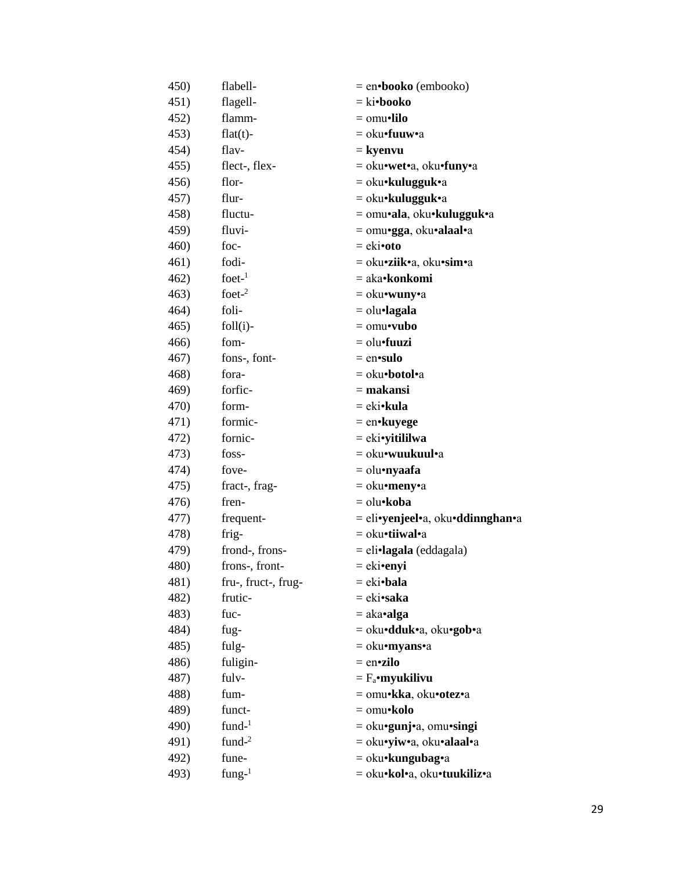| 450) | flabell-            | $=$ en•booko (embooko)                    |
|------|---------------------|-------------------------------------------|
| 451) | flagell-            | $=$ ki•booko                              |
| 452) | flamm-              | $=$ omu•lilo                              |
| 453) | $flat(t)$ -         | = oku•fuuw•a                              |
| 454) | flav-               | = kyenvu                                  |
| 455) | flect-, flex-       | = oku•wet•a, oku•funy•a                   |
| 456) | flor-               | $=$ oku•kulugguk•a                        |
| 457) | flur-               | = oku• <b>kulugguk</b> •a                 |
| 458) | fluctu-             | = omu•ala, oku•kulugguk•a                 |
| 459) | fluvi-              | = omu•gga, oku•alaal•a                    |
| 460) | foc-                | $=$ eki•oto                               |
| 461) | fodi-               | = oku•ziik•a, oku•sim•a                   |
| 462) | $f$ oet- $1$        | = aka•konkomi                             |
| 463) | foet $-2$           | $=$ oku•wuny•a                            |
| 464) | foli-               | $=$ olu•lagala                            |
| 465) | $foll(i)$ -         | $=$ omu•vubo                              |
| 466) | fom-                | $=$ olu $\bullet$ fuuzi                   |
| 467) | fons-, font-        | $=$ en•sulo                               |
| 468) | fora-               | = oku•botol•a                             |
| 469) | forfic-             | $=$ makansi                               |
| 470) | form-               | $= eki\cdot kula$                         |
| 471) | formic-             | $=$ en•kuyege                             |
| 472) | fornic-             | $= eki$ •yitililwa                        |
| 473) | foss-               | = oku• <b>wuukuul</b> •a                  |
| 474) | fove-               | = olu•nyaafa                              |
| 475) | fract-, frag-       | = oku•meny•a                              |
| 476) | fren-               | = olu•koba                                |
| 477) | frequent-           | = eli•yenjeel•a, oku•ddinnghan•a          |
| 478) | frig-               | = oku•tiiwal•a                            |
| 479) | frond-, frons-      | = eli•lagala (eddagala)                   |
| 480) | frons-, front-      | = eki•enyi                                |
| 481) | fru-, fruct-, frug- | = eki•bala                                |
| 482) | frutic-             | = eki•saka                                |
| 483) | fuc-                | $=$ aka•alga                              |
| 484) | fug-                | = oku• <b>dduk•</b> a, oku• <b>gob•</b> a |
| 485) | fulg-               | = oku•myans•a                             |
| 486) | fuligin-            | $=$ en•zilo                               |
| 487) | fulv-               | $=$ $F_a$ •myukilivu                      |
| 488) | fum-                | = omu•kka, oku•otez•a                     |
| 489) | funct-              | $=$ omu•kolo                              |
| 490) | $fund-1$            | = oku•gunj•a, omu•singi                   |
| 491) | fund $-2$           | = oku•yiw•a, oku•alaal•a                  |
| 492) | fune-               | = oku•kungubag•a                          |
| 493) | fung- $1$           | = oku•kol•a, oku•tuukiliz•a               |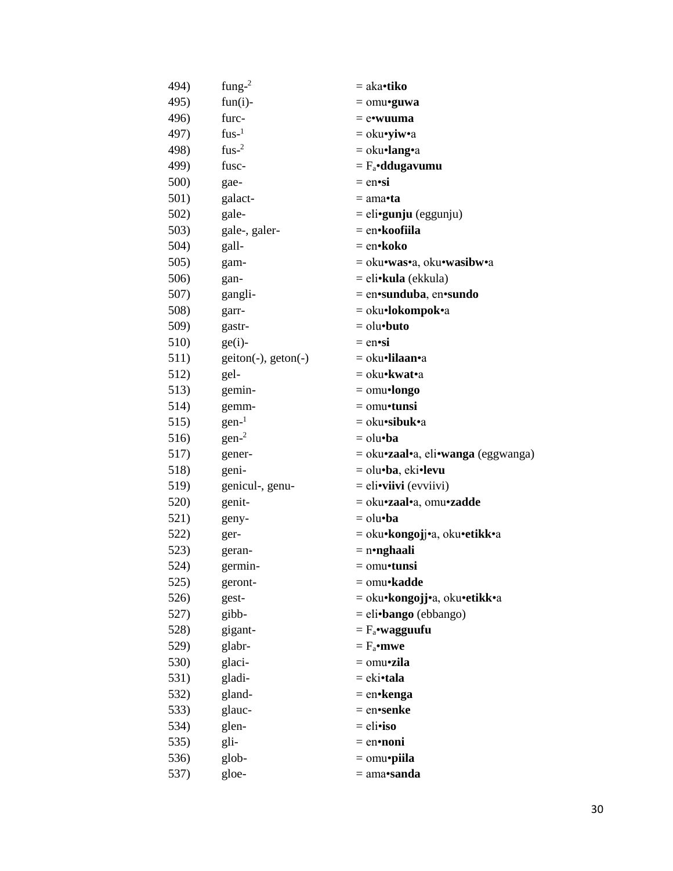| 494) | fung- $2$             | = aka•tiko                         |
|------|-----------------------|------------------------------------|
| 495) | $fun(i)$ -            | $=$ omu•guwa                       |
| 496) | furc-                 | $=$ e•wuuma                        |
| 497) | $fus-1$               | $=$ oku•yiw•a                      |
| 498) | $fus-2$               | $=$ oku•lang•a                     |
| 499) | fusc-                 | $= F_a \cdot d$ dugavumu           |
| 500) | gae-                  | $=$ en•si                          |
| 501) | galact-               | = ama• <b>ta</b>                   |
| 502) | gale-                 | $=$ eli• <b>gunju</b> (eggunju)    |
| 503) | gale-, galer-         | = en•koofiila                      |
| 504) | gall-                 | = en•koko                          |
| 505) | gam-                  | = oku•was•a, oku•wasibw•a          |
| 506) | gan-                  | = eli•kula (ekkula)                |
| 507) | gangli-               | $=$ en•sunduba, en•sundo           |
| 508) | garr-                 | = oku•lokompok•a                   |
| 509) | gastr-                | $=$ olu $\cdot$ buto               |
| 510) | $ge(i)$ -             | $=$ en•si                          |
| 511) | $getton(-), geton(-)$ | = oku•lilaan•a                     |
| 512) | gel-                  | $=$ oku•kwat•a                     |
| 513) | gemin-                | $=$ omu•longo                      |
| 514) | gemm-                 | $=$ omu•tunsi                      |
| 515) | $gen-1$               | $=$ oku•sibuk•a                    |
| 516) | gen <sup>2</sup>      | $=$ olu $\cdot$ ba                 |
| 517) | gener-                | = oku•zaal•a, eli•wanga (eggwanga) |
| 518) | geni-                 | = olu•ba, eki•levu                 |
| 519) | genicul-, genu-       | $=$ eli•viivi (evviivi)            |
| 520) | genit-                | = oku•zaal•a, omu•zadde            |
| 521) | geny-                 | $=$ olu $\cdot$ ba                 |
| 522) | ger-                  | = oku•kongojj•a, oku•etikk•a       |
| 523) | geran-                | $=$ n•nghaali                      |
| 524) | germin-               | $=$ omu•tunsi                      |
| 525) | geront-               | = omu•kadde                        |
| 526) | gest-                 | = oku•kongojj•a, oku•etikk•a       |
| 527) | gibb-                 | $=$ eli•bango (ebbango)            |
| 528) | gigant-               | $=$ $F_a$ •wagguufu                |
| 529) | glabr-                | $=$ $F_a$ •mwe                     |
| 530) | glaci-                | = omu•zila                         |
| 531) | gladi-                | $= eki \cdot tala$                 |
| 532) | gland-                | $=$ en•kenga                       |
| 533) | glauc-                | $=$ en•senke                       |
| 534) | glen-                 | $=$ eli•iso                        |
| 535) | gli-                  | $=$ en•noni                        |
| 536) | glob-                 | $=$ omu•piila                      |
| 537) | gloe-                 | $=$ ama•sanda                      |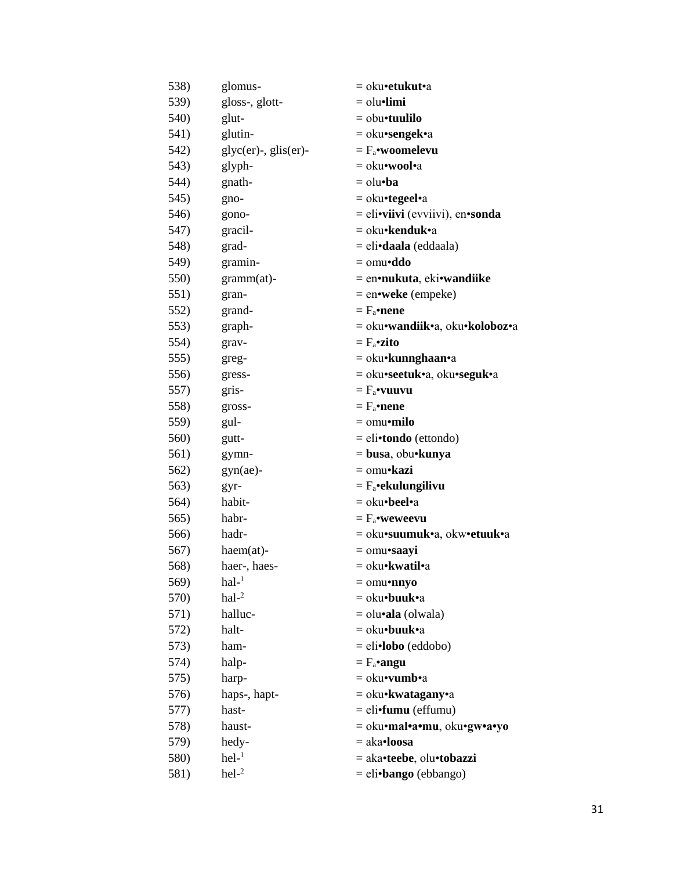| 538) | glomus-                    | = oku•etukut•a                    |
|------|----------------------------|-----------------------------------|
| 539) | gloss-, glott-             | $=$ olu $\bullet$ limi            |
| 540) | glut-                      | $=$ obu•tuulilo                   |
| 541) | glutin-                    | = oku•sengek•a                    |
| 542) | $glyc(er)$ -, $glis(er)$ - | $= F_a$ •woomelevu                |
| 543) | glyph-                     | = oku•wool•a                      |
| 544) | gnath-                     | $=$ olu•ba                        |
| 545) | gno-                       | = oku•tegeel•a                    |
| 546) | gono-                      | $=$ eli•viivi (evviivi), en•sonda |
| 547) | gracil-                    | = oku•kenduk•a                    |
| 548) | grad-                      | = eli•daala (eddaala)             |
| 549) | gramin-                    | $=$ omu•ddo                       |
| 550) | gramm(at)-                 | = en•nukuta, eki•wandiike         |
| 551) | gran-                      | $=$ en•weke (empeke)              |
| 552) | grand-                     | $=$ $F_a$ •nene                   |
| 553) | graph-                     | = oku•wandiik•a, oku•koloboz•a    |
| 554) | grav-                      | $=$ $F_a$ •zito                   |
| 555) | greg-                      | $=$ oku•kunnghaan•a               |
| 556) | gress-                     | = oku•seetuk•a, oku•seguk•a       |
| 557) | gris-                      | $=$ $F_a$ •vuuvu                  |
| 558) | gross-                     | $= F_a \cdot$ nene                |
| 559) | gul-                       | $=$ omu•milo                      |
| 560) | gutt-                      | $=$ eli•tondo (ettondo)           |
| 561) | gymn-                      | = busa, obu•kunya                 |
| 562) | $gyn(ae)$ -                | = omu•kazi                        |
| 563) | gyr-                       | $= F_a$ •ekulungilivu             |
| 564) | habit-                     | = oku•beel•a                      |
| 565) | habr-                      | $= F_a$ •weweevu                  |
| 566) | hadr-                      | = oku•suumuk•a, okw•etuuk•a       |
| 567) | $haem(at)$ -               | $=$ omu•saayi                     |
| 568) | haer-, haes-               | = oku•kwatil•a                    |
| 569) | $hal-1$                    | $=$ omu•nnyo                      |
| 570) | $hal-2$                    | $=$ oku•buuk•a                    |
| 571) | halluc-                    | $=$ olu• <b>ala</b> (olwala)      |
| 572) | halt-                      | $=$ oku•buuk•a                    |
| 573) | ham-                       | $=$ eli•lobo (eddobo)             |
| 574) | halp-                      | $= F_a$ •angu                     |
| 575) | harp-                      | $=$ oku•vumb•a                    |
| 576) | haps-, hapt-               | $=$ oku•kwatagany•a               |
| 577) | hast-                      | $=$ eli•fumu (effumu)             |
| 578) | haust-                     | = oku•mal•a•mu, oku•gw•a•yo       |
| 579) | hedy-                      | $=$ aka•loosa                     |
| 580) | $hel-1$                    | = aka•teebe, olu•tobazzi          |
| 581) | $\text{hel-}^2$            | = eli•bango (ebbango)             |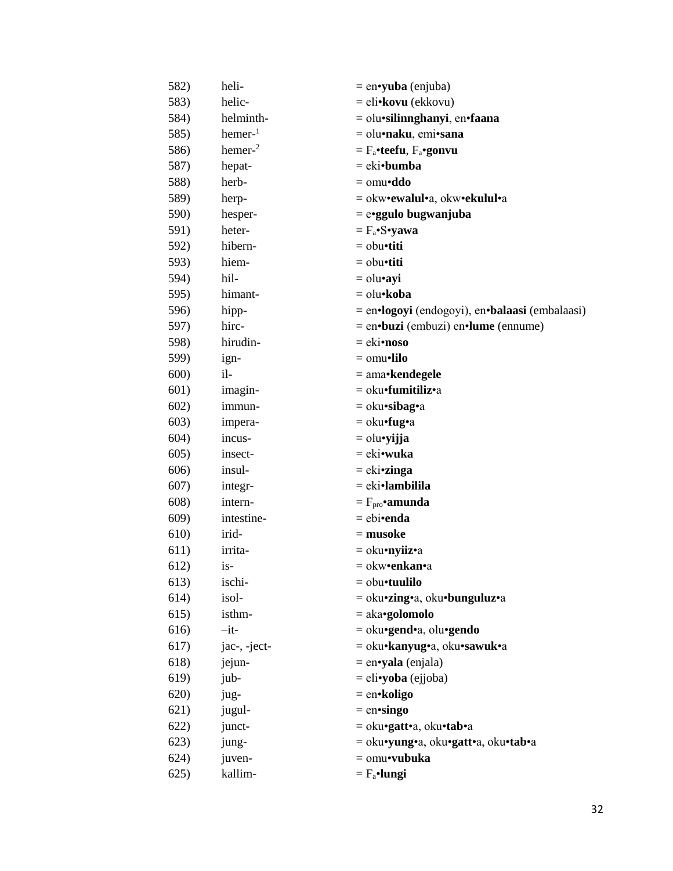| 582) | heli-        | $=$ en•yuba (enjuba)                           |
|------|--------------|------------------------------------------------|
| 583) | helic-       | = eli•kovu (ekkovu)                            |
| 584) | helminth-    | = olu•silinnghanyi, en•faana                   |
| 585) | $hemer-1$    | = olu•naku, emi•sana                           |
| 586) | $hemer-2$    | $=$ $F_a$ •teefu, $F_a$ •gonvu                 |
| 587) | hepat-       | = eki•bumba                                    |
| 588) | herb-        | $=$ omu•ddo                                    |
| 589) | herp-        | = okw•ewalul•a, okw•ekulul•a                   |
| 590) | hesper-      | = e•ggulo bugwanjuba                           |
| 591) | heter-       | $= F_a \cdot S \cdot yawa$                     |
| 592) | hibern-      | $=$ obu•titi                                   |
| 593) | hiem-        | $=$ obu•titi                                   |
| 594) | hil-         | $=$ olu•ayi                                    |
| 595) | himant-      | = olu•koba                                     |
| 596) | hipp-        | = en•logoyi (endogoyi), en•balaasi (embalaasi) |
| 597) | hirc-        | $=$ en•buzi (embuzi) en•lume (ennume)          |
| 598) | hirudin-     | $=$ eki•noso                                   |
| 599) | ign-         | $=$ omu•lilo                                   |
| 600) | il-          | = ama•kendegele                                |
| 601) | imagin-      | = oku <b>·fumitiliz</b> •a                     |
| 602) | immun-       | $=$ oku•sibag•a                                |
| 603) | impera-      | $=$ oku•fug•a                                  |
| 604) | incus-       | = olu•yijja                                    |
| 605) | insect-      | = eki•wuka                                     |
| 606) | insul-       | $= e$ ki•zinga                                 |
| 607) | integr-      | $= eki\cdot lambilla$                          |
| 608) | intern-      | $=F_{\text{pro}}$ •amunda                      |
| 609) | intestine-   | = ebi•enda                                     |
| 610) | irid-        | $=$ musoke                                     |
| 611) | irrita-      | = oku•nyiiz•a                                  |
| 612) | $is-$        | = okw•enkan•a                                  |
| 613) | ischi-       | $=$ obu•tuulilo                                |
| 614) | isol-        | = oku•zing•a, oku•bunguluz•a                   |
| 615) | isthm-       | $=$ aka•golomolo                               |
| 616) | $-it-$       | = oku•gend•a, olu•gendo                        |
| 617) | jac-, -ject- | = oku•kanyug•a, oku•sawuk•a                    |
| 618) | jejun-       | $=$ en•yala (enjala)                           |
| 619) | jub-         | $=$ eli•yoba (ejjoba)                          |
| 620) | jug-         | $=$ en•koligo                                  |
| 621) | jugul-       | $=$ en•singo                                   |
| 622) | junct-       | = oku•gatt•a, oku•tab•a                        |
| 623) | jung-        | = oku•yung•a, oku•gatt•a, oku•tab•a            |
| 624) | juven-       | $=$ omu•vubuka                                 |
| 625) | kallim-      | $=$ $F_a$ •lungi                               |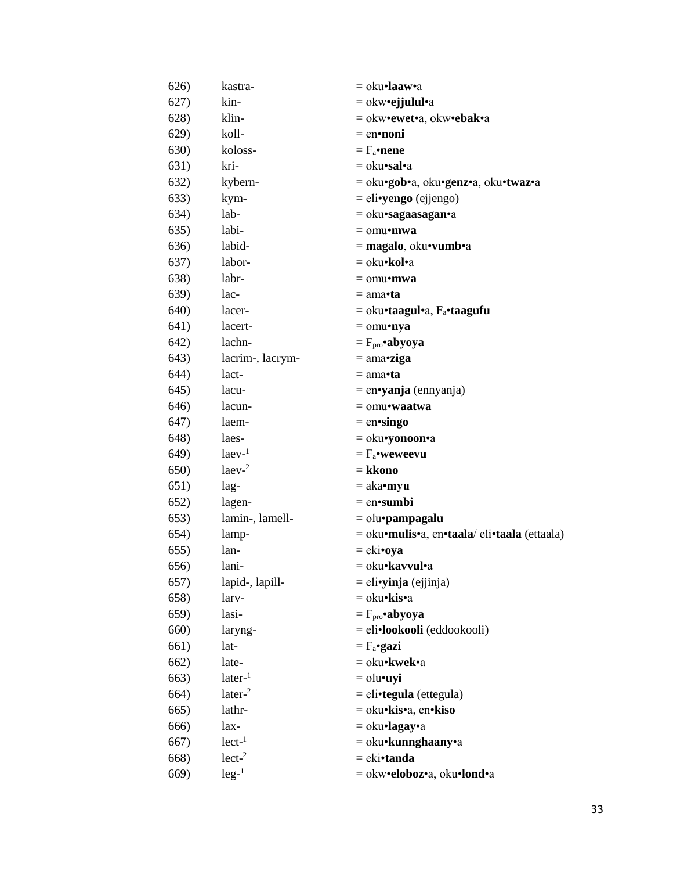| 626)         | kastra-               | $=$ oku•laaw•a                               |
|--------------|-----------------------|----------------------------------------------|
| 627)         | kin-                  | $=$ okw•ejjulul•a                            |
| 628)         | klin-                 | = okw•ewet•a, okw•ebak•a                     |
| 629)         | koll-                 | $=$ en•noni                                  |
| <b>630)</b>  | koloss-               | $= F_a$ •nene                                |
| 631)         | kri-                  | $=$ oku•sal•a                                |
| 632)         | kybern-               | = oku•gob•a, oku•genz•a, oku•twaz•a          |
| 633)         | kym-                  | = eli•yengo (ejjengo)                        |
| 634)         | lab-                  | $=$ oku•sagaasagan•a                         |
| 635)         | labi-                 | $=$ omu•mwa                                  |
| 636)         | labid-                | $=$ magalo, oku•vumb•a                       |
| 637)         | labor-                | = oku•kol•a                                  |
| 638)         | labr-                 | $=$ omu•mwa                                  |
| 639)         | lac-                  | $= \text{ama}$ ta                            |
| <b>640</b> ) | lacer-                | $=$ oku•taagul•a, F <sub>a</sub> •taagufu    |
| 641)         | lacert-               | $=$ omu•nya                                  |
| 642)         | lachn-                | $= Fpro \cdot abyoya$                        |
| 643)         | lacrim-, lacrym-      | $= \text{ama-ziga}$                          |
| 644)         | lact-                 | $= \text{ama} \cdot \text{ta}$               |
| 645)         | lacu-                 | $=$ en•yanja (ennyanja)                      |
| 646)         | lacun-                | $=$ omu•waatwa                               |
| 647)         | laem-                 | $=$ en•singo                                 |
| 648)         | laes-                 | = oku•yonoon•a                               |
| 649)         | $l$ aev $l$           | $= F_a$ •weweevu                             |
| 650)         | $l$ aev <sup>-2</sup> | = kkono                                      |
| 651)         | lag-                  | $=$ aka•myu                                  |
| 652)         | lagen-                | $=$ en•sumbi                                 |
| 653)         | lamin-, lamell-       | $=$ olu•pampagalu                            |
| 654)         | lamp-                 | = oku•mulis•a, en•taala/ eli•taala (ettaala) |
| 655)         | lan-                  | $= eki$ •oya                                 |
| 656)         | lani-                 | = oku• <b>kavvul</b> •a                      |
| 657)         | lapid-, lapill-       | $=$ eli•yinja (ejjinja)                      |
| 658)         | larv-                 | = oku•kis•a                                  |
| 659)         | lasi-                 | $= Fpro$ •abyoya                             |
| 660)         | laryng-               | = eli•lookooli (eddookooli)                  |
| 661)         | lat-                  | $= F_a$ •gazi                                |
| 662)         | late-                 | = oku•kwek•a                                 |
| 663)         | later <sup>1</sup>    | $=$ olu•uyi                                  |
| 664)         | later <sup>2</sup>    | $=$ eli•tegula (ettegula)                    |
| 665)         | lathr-                | = oku•kis•a, en•kiso                         |
| 666)         | lax-                  | $=$ oku•lagay•a                              |
| 667)         | $lect-1$              | $=$ oku•kunnghaany•a                         |
| 668)         | lect <sup>2</sup>     | = eki•tanda                                  |
| 669)         | $leg-1$               | = okw•eloboz•a, oku•lond•a                   |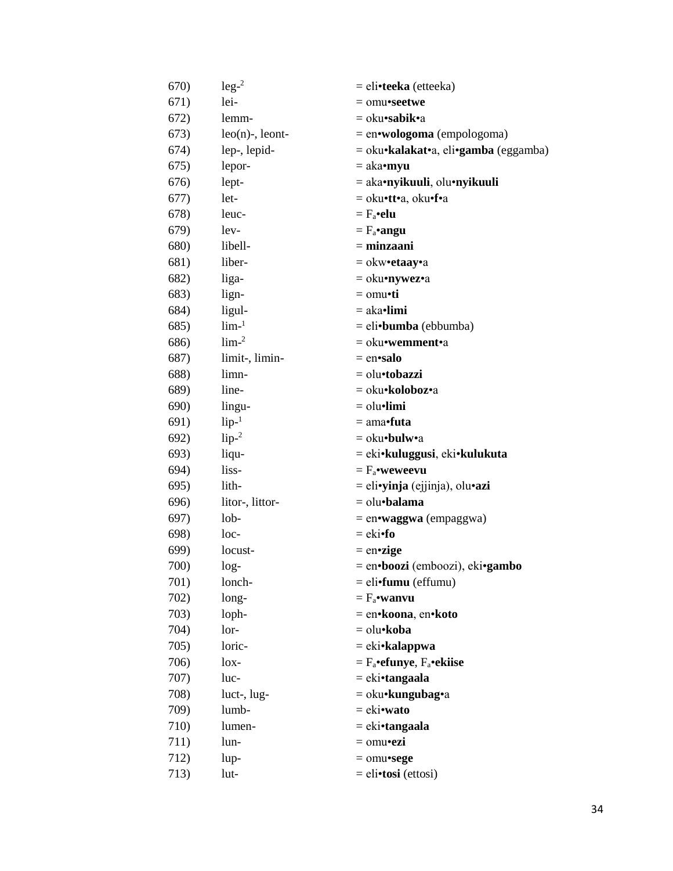| 670) | $leg-2$            | = eli•teeka (etteeka)                          |
|------|--------------------|------------------------------------------------|
| 671) | lei-               | $=$ omu•seetwe                                 |
| 672) | lemm-              | = oku• <b>sabik•</b> a                         |
| 673) | $leo(n)$ -, leont- | $=$ en•wologoma (empologoma)                   |
| 674) | lep-, lepid-       | = oku•kalakat•a, eli•gamba (eggamba)           |
| 675) | lepor-             | $=$ aka•myu                                    |
| 676) | lept-              | = aka•nyikuuli, olu•nyikuuli                   |
| 677) | let-               | = oku•tt•a, oku•f•a                            |
| 678) | leuc-              | $= F_a \cdot \textbf{elu}$                     |
| 679) | lev-               | $= F_a$ •angu                                  |
| 680) | libell-            | $= minzani$                                    |
| 681) | liber-             | $=$ okw•etaay•a                                |
| 682) | liga-              | = oku•nywez•a                                  |
| 683) | lign-              | $=$ omu•ti                                     |
| 684) | ligul-             | $=$ aka•limi                                   |
| 685) | $lim-1$            | $=$ eli•bumba (ebbumba)                        |
| 686) | lim <sup>2</sup>   | = oku• <b>wemment•</b> a                       |
| 687) | limit-, limin-     | $=$ en•salo                                    |
| 688) | limn-              | = olu•tobazzi                                  |
| 689) | line-              | = oku•koloboz•a                                |
| 690) | lingu-             | $=$ olu $\bullet$ limi                         |
| 691) | $lip-1$            | $=$ ama•futa                                   |
| 692) | $lip-2$            | $=$ oku•bulw•a                                 |
| 693) | liqu-              | = eki•kuluggusi, eki•kulukuta                  |
| 694) | liss-              | $= F_a$ •weweevu                               |
| 695) | lith-              | = eli• <b>yinja</b> (ejjinja), olu• <b>azi</b> |
| 696) | litor-, littor-    | $=$ olu•balama                                 |
| 697) | 10 <sub>b</sub>    | $=$ en•waggwa (empaggwa)                       |
| 698) | $loc-$             | $=$ eki•fo                                     |
| 699) | locust-            | $=$ en•zige                                    |
| 700) | $log-$             | = en•boozi (emboozi), eki•gambo                |
| 701) | lonch-             | $=$ eli•fumu (effumu)                          |
| 702) | long-              | $= F_a$ •wanvu                                 |
| 703) | loph-              | = en•koona, en•koto                            |
| 704) | lor-               | = olu•koba                                     |
| 705) | loric-             | = eki•kalappwa                                 |
| 706) | $\log -$           | $= F_a$ •efunye, $F_a$ •ekiise                 |
| 707) | luc-               | = eki•tangaala                                 |
| 708) | luct-, lug-        | $=$ oku•kungubag•a                             |
| 709) | lumb-              | $=$ eki•wato                                   |
| 710) | lumen-             | = eki•tangaala                                 |
| 711) | lun-               | $=$ omu•ezi                                    |
| 712) | lup-               | $=$ omu•sege                                   |
| 713) | lut-               | $=$ eli•tosi (ettosi)                          |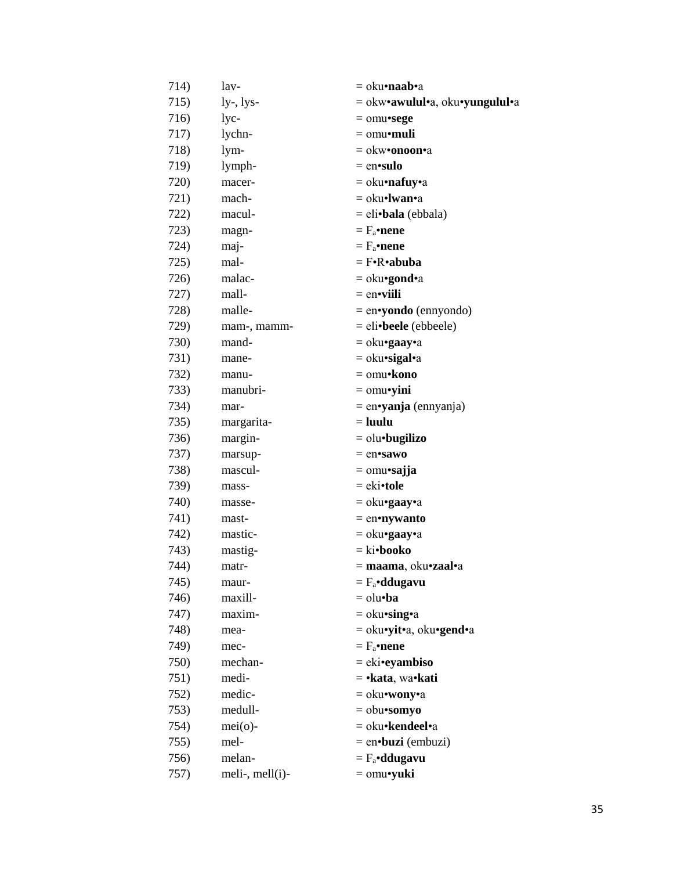| 714) | lav-                | $=$ oku•naab•a                 |
|------|---------------------|--------------------------------|
| 715) | $ly-, lys-$         | = okw•awulul•a, oku•yungulul•a |
| 716) | lyc-                | $=$ omu•sege                   |
| 717) | lychn-              | $=$ omu•muli                   |
| 718) | lym-                | $=$ okw•onoon•a                |
| 719) | lymph-              | $=$ en•sulo                    |
| 720) | macer-              | = oku•nafuy•a                  |
| 721) | mach-               | $=$ oku•lwan•a                 |
| 722) | macul-              | $=$ eli•bala (ebbala)          |
| 723) | magn-               | $=$ $F_a$ •nene                |
| 724) | maj-                | $=$ $F_a$ •nene                |
| 725) | mal-                | $= F \cdot R \cdot abuba$      |
| 726) | malac-              | $=$ oku•gond•a                 |
| 727) | mall-               | $=$ en•viili                   |
| 728) | malle-              | $=$ en•yondo (ennyondo)        |
| 729) | mam-, mamm-         | $=$ eli•beele (ebbeele)        |
| 730) | mand-               | $=$ oku•gaay•a                 |
| 731) | mane-               | $=$ oku•sigal•a                |
| 732) | manu-               | $=$ omu•kono                   |
| 733) | manubri-            | $=$ omu•yini                   |
| 734) | mar-                | $=$ en•yanja (ennyanja)        |
| 735) | margarita-          | $=$ luulu                      |
| 736) | margin-             | $=$ olu $\cdot$ bugilizo       |
| 737) | marsup-             | $=$ en•sawo                    |
| 738) | mascul-             | $=$ omu•sajja                  |
| 739) | mass-               | $=$ eki•tole                   |
| 740) | masse-              | $=$ oku•gaay•a                 |
| 741) | mast-               | $=$ en•nywanto                 |
| 742) | mastic-             | $=$ oku•gaay•a                 |
| 743) | mastig-             | $=$ ki•booko                   |
| 744) | matr-               | = maama, oku•zaal•a            |
| 745) | maur-               | $= F_a \cdot d$ dugavu         |
| 746) | maxill-             | $=$ olu $\cdot$ ba             |
| 747) | maxim-              | $=$ oku•sing•a                 |
| 748) | mea-                | $=$ oku•yit•a, oku•gend•a      |
| 749) | mec-                | $=$ $F_a$ •nene                |
| 750) | mechan-             | $= eki$ •eyambiso              |
| 751) | medi-               | $=$ • kata, wa• kati           |
| 752) | medic-              | $=$ oku•wony•a                 |
| 753) | medull-             | $=$ obu•somyo                  |
| 754) | $mei(o)$ -          | = oku•kendeel•a                |
| 755) | mel-                | $=$ en•buzi (embuzi)           |
| 756) | melan-              | $=$ $F_a$ •ddugavu             |
| 757) | meli-, mell $(i)$ - | $=$ omu•yuki                   |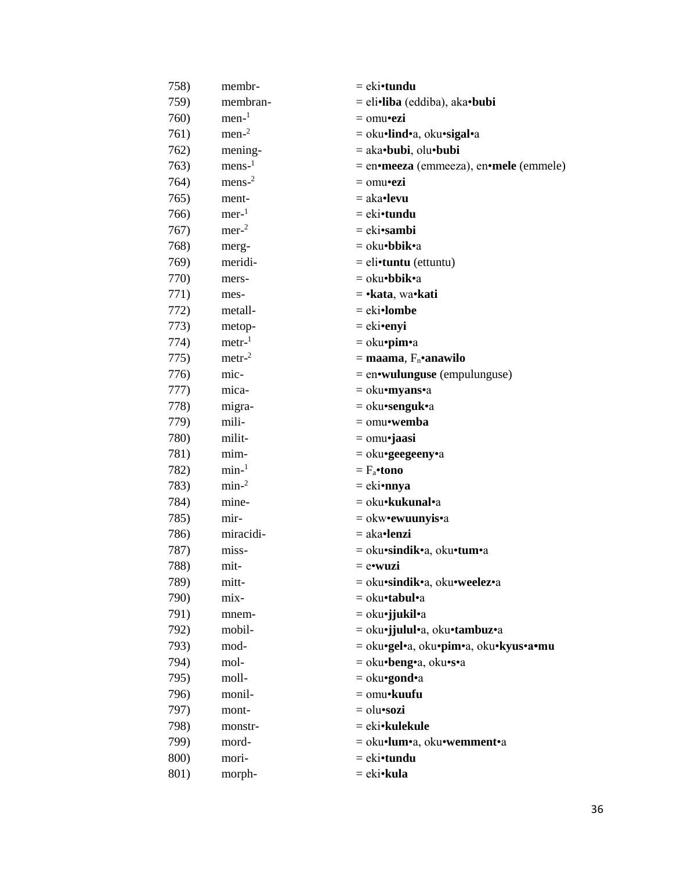| 758) | membr-           | = eki•tundu                            |
|------|------------------|----------------------------------------|
| 759) | membran-         | = eli•liba (eddiba), aka•bubi          |
| 760) | $men-1$          | $=$ omu•ezi                            |
| 761) | $men-2$          | = oku•lind•a, oku•sigal•a              |
| 762) | mening-          | $=$ aka•bubi, olu•bubi                 |
| 763) | $mens-1$         | = en•meeza (emmeeza), en•mele (emmele) |
| 764) | $mens-2$         | $=$ omu•ezi                            |
| 765) | ment-            | = aka•levu                             |
| 766) | $mer-1$          | = eki•tundu                            |
| 767) | $mer-2$          | $= eki\cdot \text{sambi}$              |
| 768) | merg-            | = oku• <b>bbik•</b> a                  |
| 769) | meridi-          | $=$ eli•tuntu (ettuntu)                |
| 770) | mers-            | = oku•bbik•a                           |
| 771) | mes-             | = • kata, wa• kati                     |
| 772) | metall-          | $= eki$ •lombe                         |
| 773) | metop-           | $=$ eki•enyi                           |
| 774) | $\text{metr-}1$  | = oku•pim•a                            |
| 775) | $\text{metr-}^2$ | $=$ maama, $F_n$ •anawilo              |
| 776) | mic-             | $=$ en•wulunguse (empulunguse)         |
| 777) | mica-            | = oku•myans•a                          |
| 778) | migra-           | $=$ oku•senguk•a                       |
| 779) | mili-            | $=$ omu•wemba                          |
| 780) | milit-           | $=$ omu•jaasi                          |
| 781) | mim-             | $=$ oku•geegeeny•a                     |
| 782) | $min-1$          | $= F_a$ •tono                          |
| 783) | min <sup>2</sup> | = eki•nnya                             |
| 784) | mine-            | = oku• <b>kukunal</b> •a               |
| 785) | mir-             | $=$ okw•ewuunyis•a                     |
| 786) | miracidi-        | $=$ aka•lenzi                          |
| 787) | miss-            | = oku•sindik•a, oku•tum•a              |
| 788) | mit-             | = e•wuzi                               |
| 789) | mitt-            | = oku•sindik•a, oku•weelez•a           |
| 790) | mix-             | = oku•tabul•a                          |
| 791) | mnem-            | = oku•jjukil•a                         |
| 792) | mobil-           | = oku•jjulul•a, oku•tambuz•a           |
| 793) | mod-             | = oku•gel•a, oku•pim•a, oku•kyus•a•mu  |
| 794) | mol-             | = oku•beng•a, oku•s•a                  |
| 795) | moll-            | $=$ oku•gond•a                         |
| 796) | monil-           | $=$ omu•kuufu                          |
| 797) | mont-            | $=$ olu•sozi                           |
| 798) | monstr-          | = eki• <b>kulekule</b>                 |
| 799) | mord-            | = oku•lum•a, oku•wemment•a             |
| 800) | mori-            | = eki•tundu                            |
| 801) | morph-           | = eki•kula                             |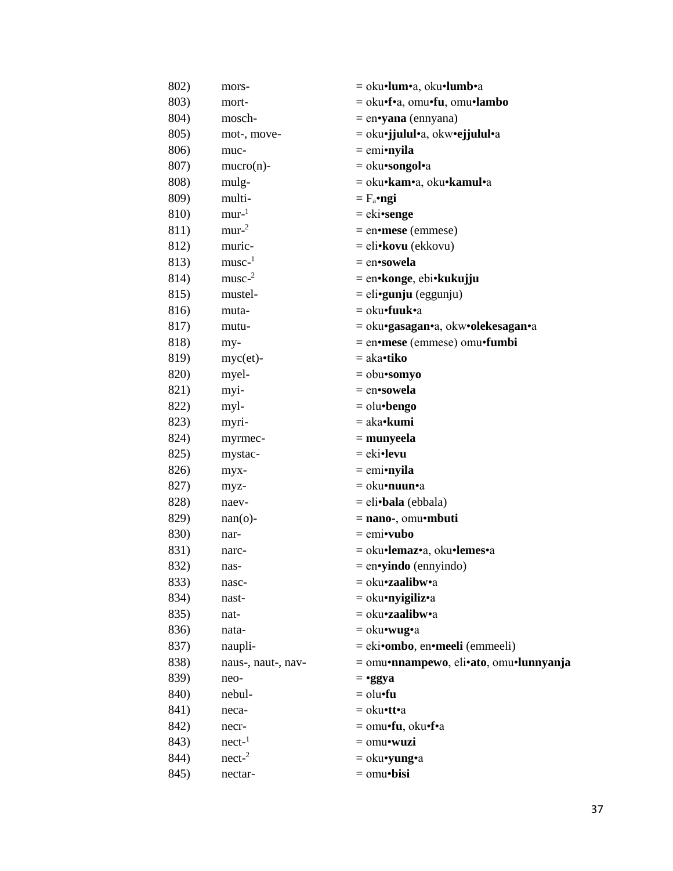| 802) | mors-              | = oku•lum•a, oku•lumb•a                |
|------|--------------------|----------------------------------------|
| 803) | mort-              | = oku•f•a, omu•fu, omu•lambo           |
| 804) | mosch-             | $=$ en•yana (ennyana)                  |
| 805) | mot-, move-        | = oku•jjulul•a, okw•ejjulul•a          |
| 806) | muc-               | $=$ emi•nyila                          |
| 807) | $mucro(n)$ -       | $=$ oku•songol•a                       |
| 808) | mulg-              | = oku•kam•a, oku•kamul•a               |
| 809) | multi-             | $=$ $F_a$ •ngi                         |
| 810) | mur <sup>1</sup>   | $= eki \cdot \text{senge}$             |
| 811) | mur <sup>2</sup>   | $=$ en•mese (emmese)                   |
| 812) | muric-             | $=$ eli•kovu (ekkovu)                  |
| 813) | $musc-1$           | = en•sowela                            |
| 814) | $musc-2$           | = en•konge, ebi•kukujju                |
| 815) | mustel-            | $=$ eli• <b>gunju</b> (eggunju)        |
| 816) | muta-              | = oku•fuuk•a                           |
| 817) | mutu-              | = oku•gasagan•a, okw•olekesagan•a      |
| 818) | my-                | $=$ en•mese (emmese) omu•fumbi         |
| 819) | $myc (et) -$       | $=$ aka•tiko                           |
| 820) | myel-              | $=$ obu•somyo                          |
| 821) | myi-               | = en•sowela                            |
| 822) | myl-               | $=$ olu•bengo                          |
| 823) | myri-              | $=$ aka• <b>kumi</b>                   |
| 824) | myrmec-            | $=$ munyeela                           |
| 825) | mystac-            | $= eki$ <b>•levu</b>                   |
| 826) | myx-               | $=$ emi•nyila                          |
| 827) | myz-               | = oku•nuun•a                           |
| 828) | naev-              | $=$ eli•bala (ebbala)                  |
| 829) | $nan(o)$ -         | $=$ nano-, omu•mbuti                   |
| 830) | nar-               | $=$ emi•vubo                           |
| 831) | narc-              | = oku•lemaz•a, oku•lemes•a             |
| 832) | nas-               | $=$ en•yindo (ennyindo)                |
| 833) | nasc-              | $=$ oku•zaalibw•a                      |
| 834) | nast-              | $=$ oku•nyigiliz•a                     |
| 835) | nat-               | = oku <b>·zaalibw</b> ·a               |
| 836) | nata-              | $=$ oku•wug•a                          |
| 837) | naupli-            | $=$ eki•ombo, en•meeli (emmeeli)       |
| 838) | naus-, naut-, nav- | = omu•nnampewo, eli•ato, omu•lunnyanja |
| 839) | neo-               | $=$ •ggya                              |
| 840) | nebul-             | $=$ olu $\cdot$ fu                     |
| 841) | neca-              | $=$ oku•tt•a                           |
| 842) | necr-              | = omu•fu, oku•f•a                      |
| 843) | $nect-1$           | $=$ omu•wuzi                           |
| 844) | $nect-2$           | $=$ oku•yung•a                         |
| 845) | nectar-            | $=$ omu•bisi                           |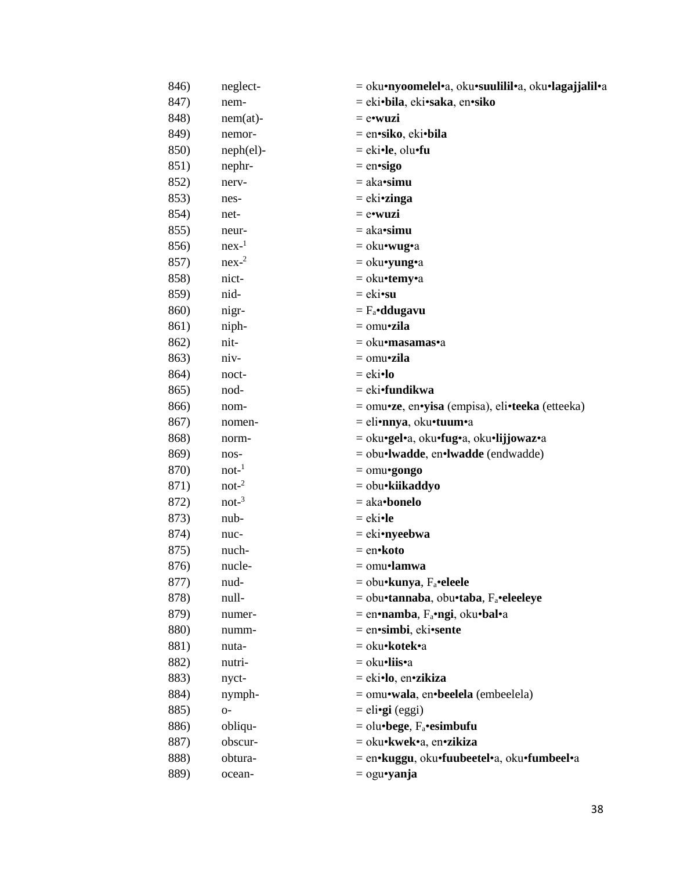| 846) | neglect-        | = oku•nyoomelel•a, oku•suulilil•a, oku•lagajjalil•a |
|------|-----------------|-----------------------------------------------------|
| 847) | nem-            | = eki•bila, eki•saka, en•siko                       |
| 848) | $nem(at)$ -     | $=$ e•wuzi                                          |
| 849) | nemor-          | = en•siko, eki•bila                                 |
| 850) | $neph (el)$ -   | $=$ eki•le, olu•fu                                  |
| 851) | nephr-          | $=$ en•sigo                                         |
| 852) | nerv-           | $=$ aka• $simu$                                     |
| 853) | nes-            | $= e$ ki•zinga                                      |
| 854) | net-            | $=$ e•wuzi                                          |
| 855) | neur-           | $=$ aka• $simu$                                     |
| 856) | $nex-1$         | $=$ oku•wug•a                                       |
| 857) | $nex-2$         | $=$ oku•yung•a                                      |
| 858) | nict-           | = oku•temy•a                                        |
| 859) | nid-            | $=$ eki•su                                          |
| 860) | nigr-           | $= F_a \cdot d$ dugavu                              |
| 861) | niph-           | $=$ omu•zila                                        |
| 862) | nit-            | = oku•masamas•a                                     |
| 863) | niv-            | $=$ omu•zila                                        |
| 864) | noct-           | $= eki•lo$                                          |
| 865) | nod-            | = eki•fundikwa                                      |
| 866) | nom-            | = omu•ze, en•yisa (empisa), eli•teeka (etteeka)     |
| 867) | nomen-          | = eli•nnya, oku•tuum•a                              |
| 868) | norm-           | = oku•gel•a, oku•fug•a, oku•lijjowaz•a              |
| 869) | nos-            | $=$ obu•lwadde, en•lwadde (endwadde)                |
| 870) | $not-1$         | $=$ omu•gongo                                       |
| 871) | $\text{not-}^2$ | = obu•kiikaddyo                                     |
| 872) | $not^{-3}$      | $=$ aka•bonelo                                      |
| 873) | nub-            | $=$ eki•le                                          |
| 874) | nuc-            | $=$ eki•nyeebwa                                     |
| 875) | nuch-           | = en•koto                                           |
| 876) | nucle-          | = omu•lamwa                                         |
| 877) | nud-            | $=$ obu•kunya, F <sub>a</sub> •eleele               |
| 878) | null-           | = obu•tannaba, obu•taba, F <sub>a</sub> •eleeleye   |
| 879) | numer-          | $=$ en•namba, $F_a$ •ngi, oku•bal•a                 |
| 880) | numm-           | = en•simbi, eki•sente                               |
| 881) | nuta-           | = oku•kotek•a                                       |
| 882) | nutri-          | = oku•liis•a                                        |
| 883) | nyct-           | = eki•lo, en•zikiza                                 |
| 884) | nymph-          | = omu•wala, en•beelela (embeelela)                  |
| 885) | $O -$           | $=$ eli• <b>gi</b> (eggi)                           |
| 886) | obliqu-         | $=$ olu•bege, $F_a$ •esimbufu                       |
| 887) | obscur-         | = oku•kwek•a, en•zikiza                             |
| 888) | obtura-         | = en•kuggu, oku•fuubeetel•a, oku•fumbeel•a          |
| 889) | ocean-          | $=$ ogu•yanja                                       |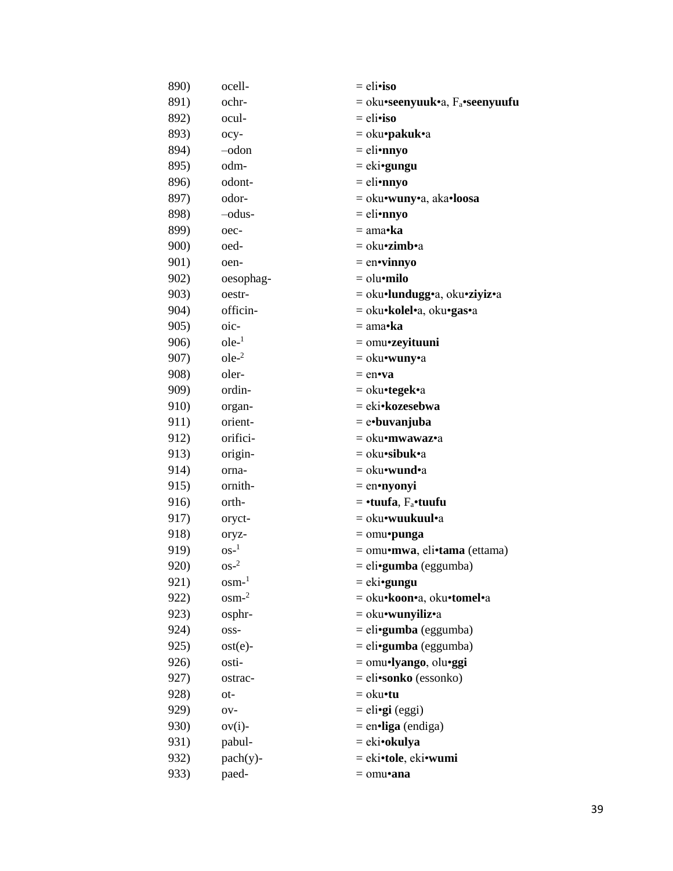| 890) | ocell-             | $=$ eli•iso                          |
|------|--------------------|--------------------------------------|
| 891) | ochr-              | $=$ oku•seenyuuk•a, $F_a$ •seenyuufu |
| 892) | ocul-              | $=$ eli•iso                          |
| 893) | ocy-               | = oku• <b>pakuk</b> •a               |
| 894) | $-$ odon           | $=$ eli•nnyo                         |
| 895) | odm-               | $= e$ ki•gungu                       |
| 896) | odont-             | $=$ eli•nnyo                         |
| 897) | odor-              | = oku•wuny•a, aka•loosa              |
| 898) | -odus-             | $=$ eli•nnyo                         |
| 899) | oec-               | $= \text{ama-}$ ka                   |
| 900) | oed-               | $=$ oku• <b>zimb</b> •a              |
| 901) | oen-               | $=$ en•vinnyo                        |
| 902) | oesophag-          | $=$ olu $\cdot$ milo                 |
| 903) | oestr-             | = oku·lundugg·a, oku·ziyiz·a         |
| 904) | officin-           | = oku•kolel•a, oku•gas•a             |
| 905) | oic-               | $= \text{ama-}ka$                    |
| 906) | $ole-1$            | $=$ omu•zeyituuni                    |
| 907) | $ole-2$            | $=$ oku•wuny•a                       |
| 908) | oler-              | $=$ en $\cdot$ va                    |
| 909) | ordin-             | = oku•tegek•a                        |
| 910) | organ-             | = eki•kozesebwa                      |
| 911) | orient-            | $=$ e•buvanjuba                      |
| 912) | orifici-           | = oku•mwawaz•a                       |
| 913) | origin-            | $=$ oku•sibuk•a                      |
| 914) | orna-              | $=$ oku•wund•a                       |
| 915) | ornith-            | $=$ en•nyonyi                        |
| 916) | orth-              | $=$ •tuufa, $F_a$ •tuufu             |
| 917) | oryct-             | = oku•wuukuul•a                      |
| 918) | oryz-              | $=$ omu•punga                        |
| 919) | $OS-1$             | = omu•mwa, eli•tama (ettama)         |
| 920) | $OS^{-2}$          | = eli• <b>gumba</b> (eggumba)        |
| 921) | $osm-1$            | $= e$ ki•gungu                       |
| 922) | $osm-2$            | = oku•koon•a, oku•tomel•a            |
| 923) | osphr-             | $=$ oku•wunyiliz•a                   |
| 924) | OSS-               | $=$ eli•gumba (eggumba)              |
| 925) | $ost(e)$ -         | $=$ eli•gumba (eggumba)              |
| 926) | osti-              | $=$ omu•lyango, olu•ggi              |
| 927) | ostrac-            | $=$ eli•sonko (essonko)              |
| 928) | ot-                | $=$ oku $\cdot$ tu                   |
| 929) | O <sub>V</sub>     | $=$ eli• <b>gi</b> (eggi)            |
| 930) | $ov(i)$ -          | $=$ en $\cdot$ liga (endiga)         |
| 931) | pabul-             | $= eki\cdot okulya$                  |
| 932) | $\text{pach}(y)$ - | = eki•tole, eki•wumi                 |
| 933) | paed-              | $=$ omu•ana                          |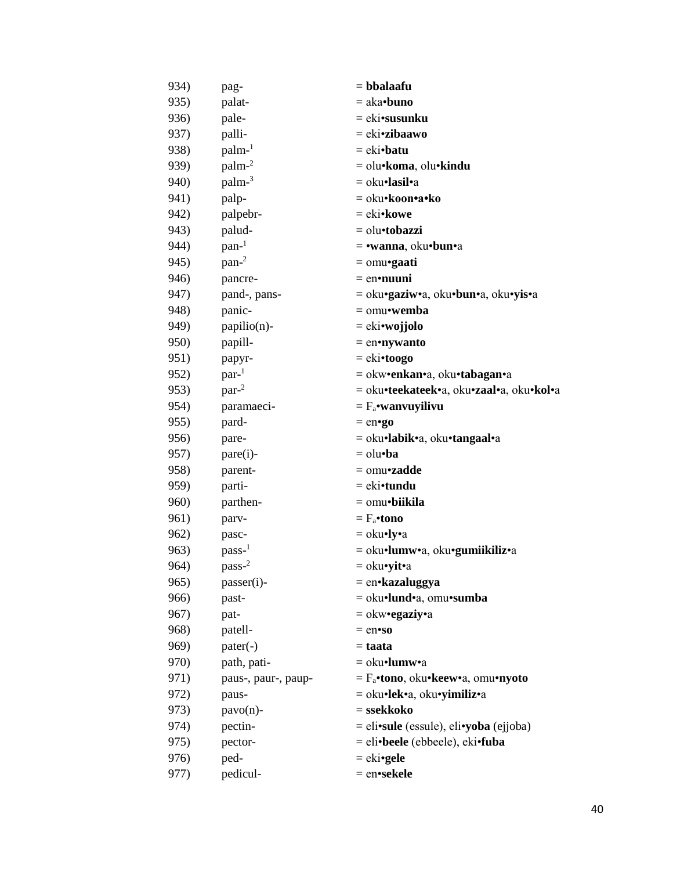| 934) | pag-                | $=$ bbalaafu                             |
|------|---------------------|------------------------------------------|
| 935) | palat-              | $=$ aka•buno                             |
| 936) | pale-               | $=$ eki•susunku                          |
| 937) | palli-              | $= ekizibaawo$                           |
| 938) | $palm-1$            | $= eki\cdot batu$                        |
| 939) | palm-2              | = olu•koma, olu•kindu                    |
| 940) | palm-3              | = oku•lasil•a                            |
| 941) | palp-               | = oku•koon•a•ko                          |
| 942) | palpebr-            | $= eki\cdot kowe$                        |
| 943) | palud-              | $=$ olu•tobazzi                          |
| 944) | $pan-1$             | $=$ •wanna, oku•bun•a                    |
| 945) | pan <sup>2</sup>    | $=$ omu•gaati                            |
| 946) | pancre-             | $=$ en•nuuni                             |
| 947) | pand-, pans-        | = oku•gaziw•a, oku•bun•a, oku•yis•a      |
| 948) | panic-              | $=$ omu•wemba                            |
| 949) | papilio(n)-         | $= eki$ <b>vojjolo</b>                   |
| 950) | papill-             | $=$ en•nywanto                           |
| 951) | papyr-              | $= eki \cdot toogo$                      |
| 952) | par <sup>1</sup>    | = okw•enkan•a, oku•tabagan•a             |
| 953) | par <sup>2</sup>    | = oku•teekateek•a, oku•zaal•a, oku•kol•a |
| 954) | paramaeci-          | $= F_a$ •wanvuyilivu                     |
| 955) | pard-               | $=$ en $\cdot$ go                        |
| 956) | pare-               | = oku•labik•a, oku•tangaal•a             |
| 957) | $pare(i)$ -         | $=$ olu•ba                               |
| 958) | parent-             | $=$ omu•zadde                            |
| 959) | parti-              | $=$ eki•tundu                            |
| 960) | parthen-            | $=$ omu•biikila                          |
| 961) | parv-               | $= F_a$ •tono                            |
| 962) | pasc-               | $=$ oku•ly•a                             |
| 963) | $pass-1$            | = oku•lumw•a, oku•gumiikiliz•a           |
| 964) | $pass-2$            | $=$ oku•yit•a                            |
| 965) | passer(i)-          | = en•kazaluggya                          |
| 966) | past-               | = oku·lund·a, omu·sumba                  |
| 967) | pat-                | $=$ okw•egaziy•a                         |
| 968) | patell-             | $=$ en $\cdot$ so                        |
| 969) | $pater(-)$          | $=$ taata                                |
| 970) | path, pati-         | $=$ oku•lumw•a                           |
| 971) | paus-, paur-, paup- | $=$ $F_a$ •tono, oku•keew•a, omu•nyoto   |
| 972) | paus-               | = oku•lek•a, oku•yimiliz•a               |
| 973) | $pavo(n)$ -         | $=$ ssekkoko                             |
| 974) | pectin-             | $=$ eli•sule (essule), eli•yoba (ejjoba) |
| 975) | pector-             | = eli•beele (ebbeele), eki•fuba          |
| 976) | ped-                | $= e k i \cdot g e l e$                  |
| 977) | pedicul-            | = en•sekele                              |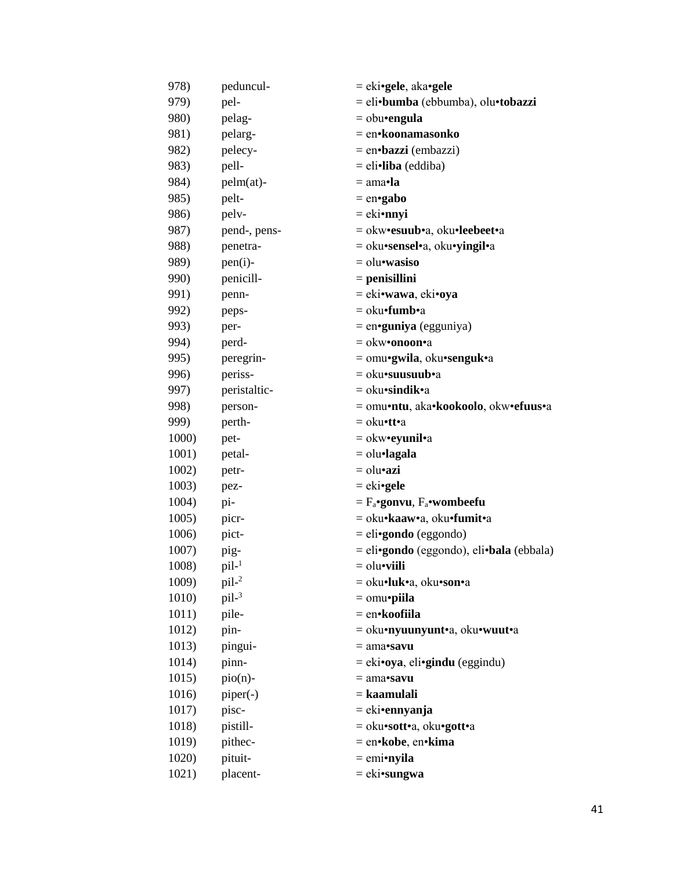| 978)  | peduncul-    | $= eki \cdot gel$ e, aka $\cdot gel$ e     |
|-------|--------------|--------------------------------------------|
| 979)  | pel-         | = eli•bumba (ebbumba), olu•tobazzi         |
| 980)  | pelag-       | $=$ obu•engula                             |
| 981)  | pelarg-      | = en•koonamasonko                          |
| 982)  | pelecy-      | $=$ en•bazzi (embazzi)                     |
| 983)  | pell-        | $=$ eli•liba (eddiba)                      |
| 984)  | $pelm(at)$ - | $= \text{ama-la}$                          |
| 985)  | pelt-        | $=$ en•gabo                                |
| 986)  | pelv-        | $=$ eki•nnyi                               |
| 987)  | pend-, pens- | = okw•esuub•a, oku•leebeet•a               |
| 988)  | penetra-     | = oku•sensel•a, oku•yingil•a               |
| 989)  | $pen(i)$ -   | $=$ olu•wasiso                             |
| 990)  | penicill-    | $=$ penisillini                            |
| 991)  | penn-        | $=$ eki•wawa, eki•oya                      |
| 992)  | peps-        | $=$ oku•fumb•a                             |
| 993)  | per-         | $=$ en•guniya (egguniya)                   |
| 994)  | perd-        | = okw• <b>onoon•</b> a                     |
| 995)  | peregrin-    | = omu•gwila, oku•senguk•a                  |
| 996)  | periss-      | = oku•suusuub•a                            |
| 997)  | peristaltic- | $=$ oku•sindik•a                           |
| 998)  | person-      | = omu•ntu, aka•kookoolo, okw•efuus•a       |
| 999)  | perth-       | = oku•tt•a                                 |
| 1000) | pet-         | $=$ okw•eyunil•a                           |
| 1001) | petal-       | $=$ olu $\cdot$ lagala                     |
| 1002) | petr-        | $=$ olu•azi                                |
| 1003) | pez-         | $= e k i$ <b>gele</b>                      |
| 1004) | pi-          | $=$ $F_a$ •gonvu, $F_a$ •wombeefu          |
| 1005) | picr-        | = oku•kaaw•a, oku•fumit•a                  |
| 1006) | pict-        | $=$ eli•gondo (eggondo)                    |
| 1007) | pig-         | $=$ eli•gondo (eggondo), eli•bala (ebbala) |
| 1008) | $pil^{-1}$   | = olu• <b>viili</b>                        |
| 1009) | $pil^{-2}$   | = oku•luk•a, oku•son•a                     |
| 1010) | $pil-3$      | $=$ omu•piila                              |
| 1011) | pile-        | = en•koofiila                              |
| 1012) | pin-         | = oku•nyuunyunt•a, oku•wuut•a              |
| 1013) | pingui-      | $= ama$ <b>savu</b>                        |
| 1014) | pinn-        | $=$ eki•oya, eli•gindu (eggindu)           |
| 1015) | $pio(n)$ -   | $= ama \cdot savu$                         |
| 1016) | piper(-)     | = kaamulali                                |
| 1017) | pisc-        | $= e$ ki•ennyanja                          |
| 1018) | pistill-     | = oku•sott•a, oku•gott•a                   |
| 1019) | pithec-      | = en•kobe, en•kima                         |
| 1020) | pituit-      | $=$ emi•nyila                              |
| 1021) | placent-     | $= eki$ <b>sungwa</b>                      |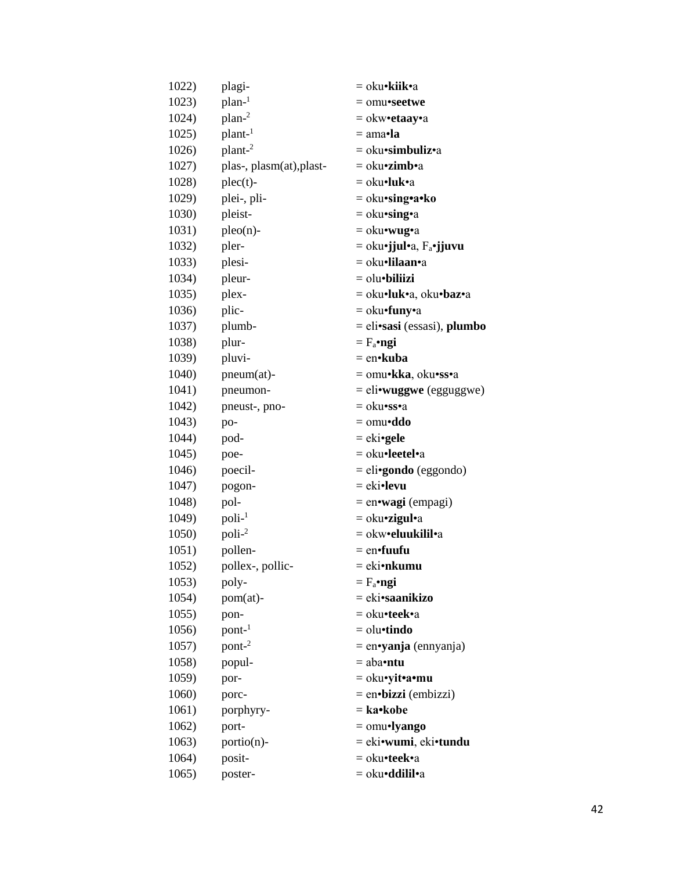| 1022) | plagi-                   | = oku• <b>kiik</b> •a               |
|-------|--------------------------|-------------------------------------|
| 1023) | plan-1                   | $=$ omu•seetwe                      |
| 1024) | $plan-2$                 | $=$ okw•etaay•a                     |
| 1025) | plant-1                  | = ama•l <b>a</b>                    |
| 1026) | plant-2                  | $=$ oku•simbuliz•a                  |
| 1027) | plas-, plasm(at), plast- | = oku• <b>zimb</b> •a               |
| 1028) | $plec(t)$ -              | = oku•luk•a                         |
| 1029) | plei-, pli-              | = oku•sing•a•ko                     |
| 1030) | pleist-                  | $=$ oku•sing•a                      |
| 1031) | $pleo(n)$ -              | $=$ oku•wug•a                       |
| 1032) | pler-                    | = oku•jjul•a, F <sub>a</sub> •jjuvu |
| 1033) | plesi-                   | = oku•lilaan•a                      |
| 1034) | pleur-                   | $=$ olu $\bullet$ biliizi           |
| 1035) | plex-                    | = oku•luk•a, oku•baz•a              |
| 1036) | plic-                    | $=$ oku•funy•a                      |
| 1037) | plumb-                   | $=$ eli•sasi (essasi), plumbo       |
| 1038) | plur-                    | $= F_a$ •ngi                        |
| 1039) | pluvi-                   | $=$ en•kuba                         |
| 1040) | pneum(at)-               | = omu•kka, oku•ss•a                 |
| 1041) | pneumon-                 | $=$ eli•wuggwe (egguggwe)           |
| 1042) | pneust-, pno-            | = oku•ss•a                          |
| 1043) | po-                      | $=$ omu•ddo                         |
| 1044) | pod-                     | $= e$ ki•gele                       |
| 1045) | poe-                     | = oku•leetel•a                      |
| 1046) | poecil-                  | $=$ eli•gondo (eggondo)             |
| 1047) | pogon-                   | $= eki$ <b>•levu</b>                |
| 1048) | pol-                     | = en•wagi (empagi)                  |
| 1049) | $poli-1$                 | $=$ oku•zigul•a                     |
| 1050) | $poli-2$                 | = okw•eluukilil•a                   |
| 1051) | pollen-                  | $=$ en $\cdot$ fuufu                |
| 1052) | pollex-, pollic-         | = eki•nkumu                         |
| 1053) | poly-                    | $= F_a \cdot ngi$                   |
| 1054) | pom(at)-                 | = eki•saanikizo                     |
| 1055) | pon-                     | = oku•teek•a                        |
| 1056) | $pont-1$                 | $=$ olu $\cdot$ tindo               |
| 1057) | pont-2                   | $=$ en•yanja (ennyanja)             |
| 1058) | popul-                   | $=$ aba•ntu                         |
| 1059) | por-                     | = oku•yit•a•mu                      |
| 1060) | porc-                    | $=$ en•bizzi (embizzi)              |
| 1061) | porphyry-                | $=$ ka•kobe                         |
| 1062) | port-                    | $=$ omu•lyango                      |
| 1063) | portio(n)-               | = eki•wumi, eki•tundu               |
| 1064) | posit-                   | = oku•teek•a                        |
| 1065) | poster-                  | = oku <b>·ddilil</b> •a             |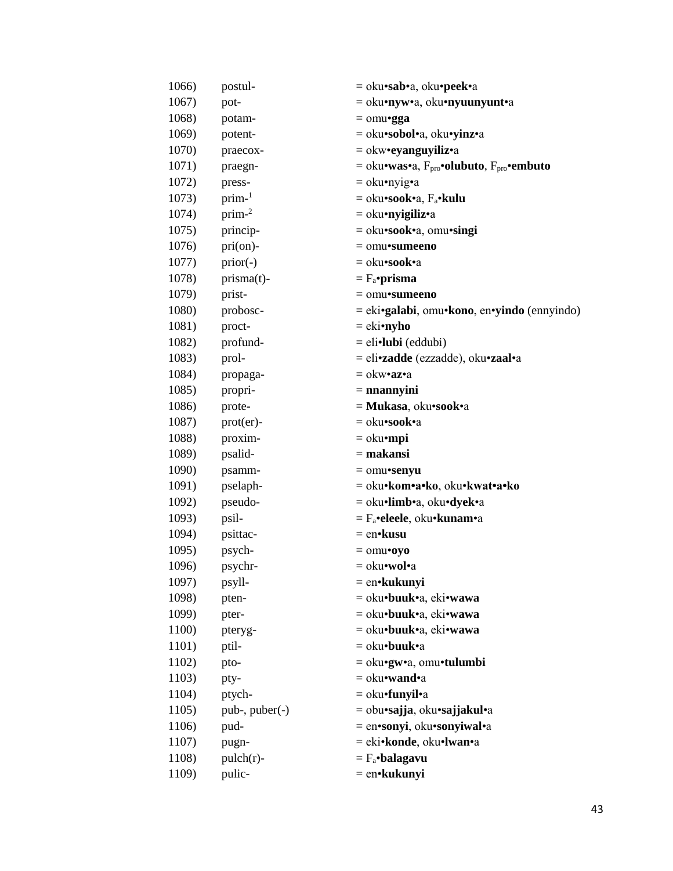| 1066) | postul-          | = oku•sab•a, oku•peek•a                                            |
|-------|------------------|--------------------------------------------------------------------|
| 1067) | pot-             | = oku•nyw•a, oku•nyuunyunt•a                                       |
| 1068) | potam-           | $=$ omu•gga                                                        |
| 1069) | potent-          | = oku•sobol•a, oku•yinz•a                                          |
| 1070) | praecox-         | $=$ okw•eyanguyiliz•a                                              |
| 1071) | praegn-          | $=$ oku•was•a, $F_{\text{pro}}$ •olubuto, $F_{\text{pro}}$ •embuto |
| 1072) | press-           | $=$ oku•nyig•a                                                     |
| 1073) | $prim-1$         | $=$ oku•sook•a, F <sub>a</sub> •kulu                               |
| 1074) | $prim-2$         | $=$ oku•nyigiliz•a                                                 |
| 1075) | princip-         | = oku•sook•a, omu•singi                                            |
| 1076) | pri(on)-         | $=$ omu•sumeeno                                                    |
| 1077) | $prior(-)$       | = oku•sook•a                                                       |
| 1078) | prisma(t)-       | $= F_a$ •prisma                                                    |
| 1079) | prist-           | $=$ omu•sumeeno                                                    |
| 1080) | probosc-         | $=$ eki•galabi, omu•kono, en•yindo (ennyindo)                      |
| 1081) | proct-           | $=$ eki•nyho                                                       |
| 1082) | profund-         | $=$ eli $\cdot$ lubi (eddubi)                                      |
| 1083) | prol-            | = eli•zadde (ezzadde), oku•zaal•a                                  |
| 1084) | propaga-         | $=$ okw•az•a                                                       |
| 1085) | propri-          | $=$ nnannyini                                                      |
| 1086) | prote-           | = Mukasa, oku•sook•a                                               |
| 1087) | prot(er)-        | = oku•sook•a                                                       |
| 1088) | proxim-          | $=$ oku $\cdot$ mpi                                                |
| 1089) | psalid-          | $=$ makansi                                                        |
| 1090) | psamm-           | $=$ omu•senyu                                                      |
| 1091) | pselaph-         | = oku•kom•a•ko, oku•kwat•a•ko                                      |
| 1092) | pseudo-          | = oku•limb•a, oku•dyek•a                                           |
| 1093) | psil-            | $=$ $F_a$ •eleele, oku•kunam•a                                     |
| 1094) | psittac-         | $=$ en•kusu                                                        |
| 1095) | psych-           | $=$ omu $\cdot$ oyo                                                |
| 1096) | psychr-          | = oku•wol•a                                                        |
| 1097) | psyll-           | $=$ en•kukunyi                                                     |
| 1098) | pten-            | = oku•buuk•a, eki•wawa                                             |
| 1099) | pter-            | = oku•buuk•a, eki•wawa                                             |
| 1100) | pteryg-          | = oku•buuk•a, eki•wawa                                             |
| 1101) | ptil-            | = oku•buuk•a                                                       |
| 1102) | pto-             | = oku•gw•a, omu•tulumbi                                            |
| 1103) | pty-             | $=$ oku•wand•a                                                     |
| 1104) | ptych-           | $=$ oku•funyil•a                                                   |
| 1105) | $pub-, puber(-)$ | = obu•sajja, oku•sajjakul•a                                        |
| 1106) | pud-             | = en•sonyi, oku•sonyiwal•a                                         |
| 1107) | pugn-            | = eki•konde, oku•lwan•a                                            |
| 1108) | $pulch(r)$ -     | $= F_a \cdot \text{balagavu}$                                      |
| 1109) | pulic-           | $=$ en $\cdot$ kukunyi                                             |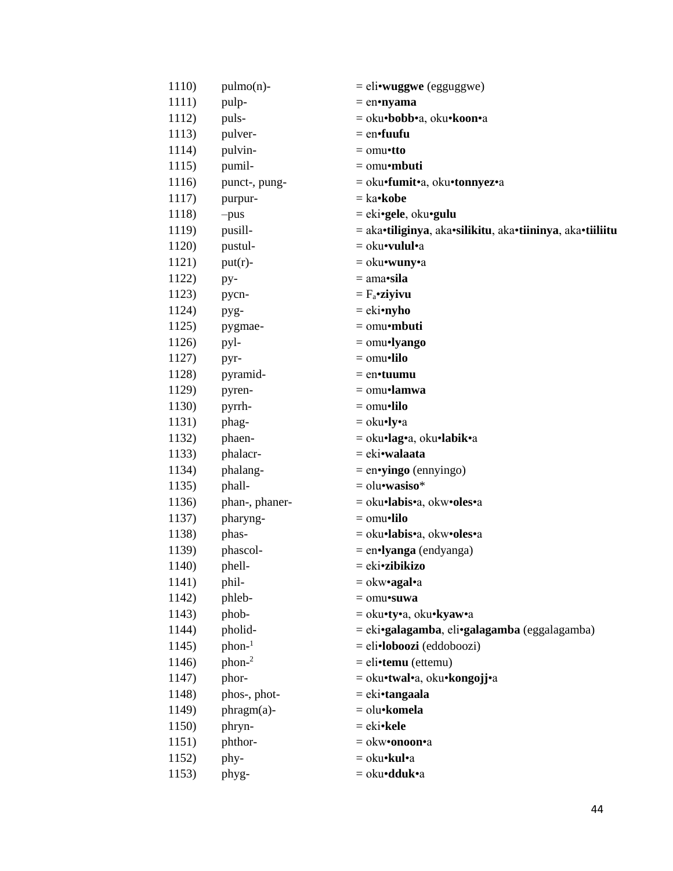| 1110) | $pulmo(n)$ -   | $=$ eli•wuggwe (egguggwe)                                 |
|-------|----------------|-----------------------------------------------------------|
| 1111) | pulp-          | $=$ en•nyama                                              |
| 1112) | puls-          | = oku•bobb•a, oku•koon•a                                  |
| 1113) | pulver-        | $=$ en $\cdot$ fuufu                                      |
| 1114) | pulvin-        | $=$ omu•tto                                               |
| 1115) | pumil-         | $=$ omu•mbuti                                             |
| 1116) | punct-, pung-  | = oku•fumit•a, oku•tonnyez•a                              |
| 1117) | purpur-        | $=$ ka• <b>kobe</b>                                       |
| 1118) | $-pus$         | $= e$ ki•gele, oku•gulu                                   |
| 1119) | pusill-        | = aka•tiliginya, aka•silikitu, aka•tiininya, aka•tiiliitu |
| 1120) | pustul-        | = oku•vulul•a                                             |
| 1121) | $put(r)$ -     | = oku•wuny•a                                              |
| 1122) | py-            | $= ama$ <b>sila</b>                                       |
| 1123) | pycn-          | $= F_a$ •ziyivu                                           |
| 1124) | pyg-           | $=$ eki•nyho                                              |
| 1125) | pygmae-        | $=$ omu•mbuti                                             |
| 1126) | pyl-           | $=$ omu•lyango                                            |
| 1127) | pyr-           | $=$ omu•lilo                                              |
| 1128) | pyramid-       | $=$ en•tuumu                                              |
| 1129) | pyren-         | $=$ omu•lamwa                                             |
| 1130) | pyrrh-         | $=$ omu•lilo                                              |
| 1131) | phag-          | $=$ oku•ly•a                                              |
| 1132) | phaen-         | $=$ oku•lag•a, oku•labik•a                                |
| 1133) | phalacr-       | = eki•walaata                                             |
| 1134) | phalang-       | $=$ en•yingo (ennyingo)                                   |
| 1135) | phall-         | $=$ olu•wasiso*                                           |
| 1136) | phan-, phaner- | = oku•labis•a, okw•oles•a                                 |
| 1137) | pharyng-       | $=$ omu•lilo                                              |
| 1138) | phas-          | = oku·labis·a, okw·oles·a                                 |
| 1139) | phascol-       | $=$ en $\cdot$ lyanga (endyanga)                          |
| 1140) | phell-         | = eki <b>•zibikizo</b>                                    |
| 1141) | phil-          | $=$ okw•agal•a                                            |
| 1142) | phleb-         | $=$ omu•suwa                                              |
| 1143) | phob-          | = oku•ty•a, oku•kyaw•a                                    |
| 1144) | pholid-        | = eki•galagamba, eli•galagamba (eggalagamba)              |
| 1145) | $phon-1$       | $=$ eli•loboozi (eddoboozi)                               |
| 1146) | $phon-2$       | $=$ eli•temu (ettemu)                                     |
| 1147) | phor-          | = oku•twal•a, oku•kongojj•a                               |
| 1148) | phos-, phot-   | $= eki \cdot tanga$ ala                                   |
| 1149) | phragm(a)-     | = olu•komela                                              |
| 1150) | phryn-         | $= eki\cdot$ kele                                         |
| 1151) | phthor-        | $=$ okw•onoon•a                                           |
| 1152) | phy-           | = oku•kul•a                                               |
| 1153) | phyg-          | = oku <b>·dduk</b> ·a                                     |
|       |                |                                                           |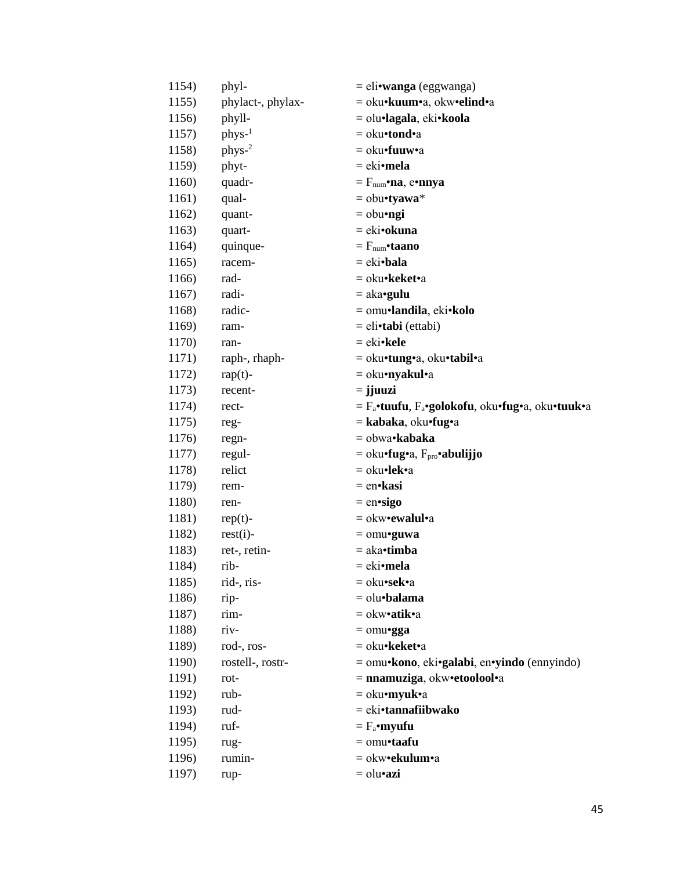| 1154) | phyl-             | = eli•wanga (eggwanga)                                                   |
|-------|-------------------|--------------------------------------------------------------------------|
| 1155) | phylact-, phylax- | = oku•kuum•a, okw•elind•a                                                |
| 1156) | phyll-            | = olu•lagala, eki•koola                                                  |
| 1157) | $phys-1$          | = oku•tond•a                                                             |
| 1158) | phys-2            | = oku•fuuw•a                                                             |
| 1159) | phyt-             | = eki•mela                                                               |
| 1160) | quadr-            | $=F_{num}$ •na, e•nnya                                                   |
| 1161) | qual-             | $=$ obu•tyawa*                                                           |
| 1162) | quant-            | $=$ obu•ngi                                                              |
| 1163) | quart-            | = eki•okuna                                                              |
| 1164) | quinque-          | $=F_{\text{num}}\cdot \tan \theta$                                       |
| 1165) | racem-            | $= eki\cdot \mathbf{b}$ ala                                              |
| 1166) | rad-              | = oku• <b>keket•</b> a                                                   |
| 1167) | radi-             | $=$ aka•gulu                                                             |
| 1168) | radic-            | = omu•landila, eki•kolo                                                  |
| 1169) | ram-              | = eli•tabi (ettabi)                                                      |
| 1170) | ran-              | $= eki\cdot$ kele                                                        |
| 1171) | raph-, rhaph-     | = oku•tung•a, oku•tabil•a                                                |
| 1172) | $rap(t)$ -        | = oku•nyakul•a                                                           |
| 1173) | recent-           | $=$ jjuuzi                                                               |
| 1174) | rect-             | = F <sub>a</sub> •tuufu, F <sub>a</sub> •golokofu, oku•fug•a, oku•tuuk•a |
| 1175) | reg-              | = kabaka, oku•fug•a                                                      |
| 1176) | regn-             | = obwa•kabaka                                                            |
| 1177) | regul-            | = oku•fug•a, F <sub>pro</sub> •abulijjo                                  |
| 1178) | relict            | = oku•lek•a                                                              |
| 1179) | rem-              | = en•kasi                                                                |
| 1180) | ren-              | $=$ en•sigo                                                              |
| 1181) | $rep(t)$ -        | $=$ okw•ewalul•a                                                         |
| 1182) | $rest(i)$ -       | $=$ omu•guwa                                                             |
| 1183) | ret-, retin-      | $=$ aka•timba                                                            |
| 1184) | rib-              | = eki• <b>mela</b>                                                       |
| 1185) | rid-, ris-        | = oku•sek•a                                                              |
| 1186) | rip-              | = olu•balama                                                             |
| 1187) | rim-              | = okw• <b>atik</b> •a                                                    |
| 1188) | riv-              | $=$ omu•gga                                                              |
| 1189) | rod-, ros-        | = oku•keket•a                                                            |
| 1190) | rostell-, rostr-  | = omu•kono, eki•galabi, en•yindo (ennyindo)                              |
| 1191) | rot-              | = nnamuziga, okw•etoolool•a                                              |
| 1192) | rub-              | $=$ oku•myuk•a                                                           |
| 1193) | rud-              | = eki•tannafiibwako                                                      |
| 1194) | ruf-              | $= F_a$ •myufu                                                           |
| 1195) | rug-              | $=$ omu•taafu                                                            |
| 1196) | rumin-            | = okw•ekulum•a                                                           |
| 1197) | rup-              | = olu•azi                                                                |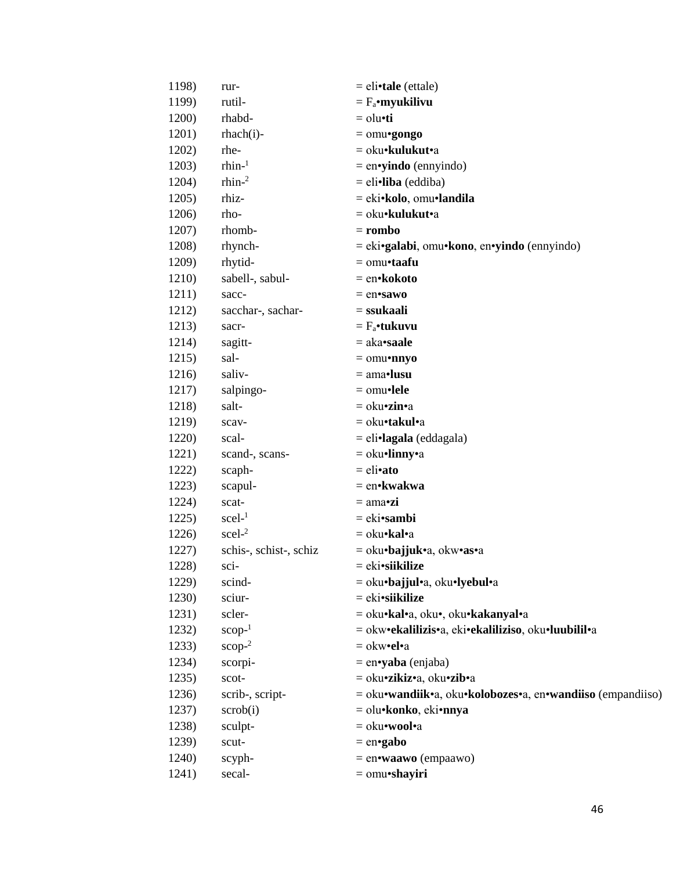| 1198) | rur-                   | $=$ eli•tale (ettale)                                      |
|-------|------------------------|------------------------------------------------------------|
| 1199) | rutil-                 | $=$ $F_a$ •myukilivu                                       |
| 1200) | rhabd-                 | $=$ olu $\cdot$ ti                                         |
| 1201) | $rhach(i)$ -           | $=$ omu•gongo                                              |
| 1202) | rhe-                   | = oku•kulukut•a                                            |
| 1203) | $r$ hin- $1$           | $=$ en•yindo (ennyindo)                                    |
| 1204) | $r$ hin- $2$           | $=$ eli•liba (eddiba)                                      |
| 1205) | rhiz-                  | = eki•kolo, omu•landila                                    |
| 1206) | rho-                   | = oku•kulukut•a                                            |
| 1207) | rhomb-                 | $=$ rombo                                                  |
| 1208) | rhynch-                | $=$ eki•galabi, omu•kono, en•yindo (ennyindo)              |
| 1209) | rhytid-                | $=$ omu•taafu                                              |
| 1210) | sabell-, sabul-        | = en•kokoto                                                |
| 1211) | sacc-                  | $=$ en•sawo                                                |
| 1212) | sacchar-, sachar-      | $=$ ssukaali                                               |
| 1213) | sacr-                  | $= F_a$ •tukuvu                                            |
| 1214) | sagitt-                | $=$ aka•saale                                              |
| 1215) | sal-                   | $=$ omu•nnyo                                               |
| 1216) | saliv-                 | $=$ ama•lusu                                               |
| 1217) | salpingo-              | $=$ omu•lele                                               |
| 1218) | salt-                  | $=$ oku•zin•a                                              |
| 1219) | scav-                  | = oku•takul•a                                              |
| 1220) | scal-                  | $=$ eli•lagala (eddagala)                                  |
| 1221) | scand-, scans-         | $=$ oku•linny•a                                            |
| 1222) | scaph-                 | $=$ eli•ato                                                |
| 1223) | scapul-                | = en•kwakwa                                                |
| 1224) | scat-                  | $= \text{ama-}zi$                                          |
| 1225) | $\text{scel-}1$        | $= eki\cdot \mathrm{sambi}$                                |
| 1226) | $\text{seel-}^2$       | = oku•kal•a                                                |
| 1227) | schis-, schist-, schiz | = oku•bajjuk•a, okw•as•a                                   |
| 1228) | sci-                   | = eki•siikilize                                            |
| 1229) | scind-                 | = oku•bajjul•a, oku•lyebul•a                               |
| 1230) | sciur-                 | $= eki\cdot s\mathbf{ikilize}$                             |
| 1231) | scler-                 | = oku·kal·a, oku·, oku·kakanyal·a                          |
| 1232) | $scop-1$               | = okw•ekalilizis•a, eki•ekaliliziso, oku•luubilil•a        |
| 1233) | $\text{scope}^2$       | $=$ okw•el•a                                               |
| 1234) | scorpi-                | $=$ en•yaba (enjaba)                                       |
| 1235) | scot-                  | = oku•zikiz•a, oku•zib•a                                   |
| 1236) | scrib-, script-        | = oku•wandiik•a, oku•kolobozes•a, en•wandiiso (empandiiso) |
| 1237) | $\text{scrob}(i)$      | = olu•konko, eki•nnya                                      |
| 1238) | sculpt-                | = oku•wool•a                                               |
| 1239) | scut-                  | $=$ en•gabo                                                |
| 1240) | scyph-                 | $=$ en•waawo (empaawo)                                     |
| 1241) | secal-                 | $=$ omu•shayiri                                            |
|       |                        |                                                            |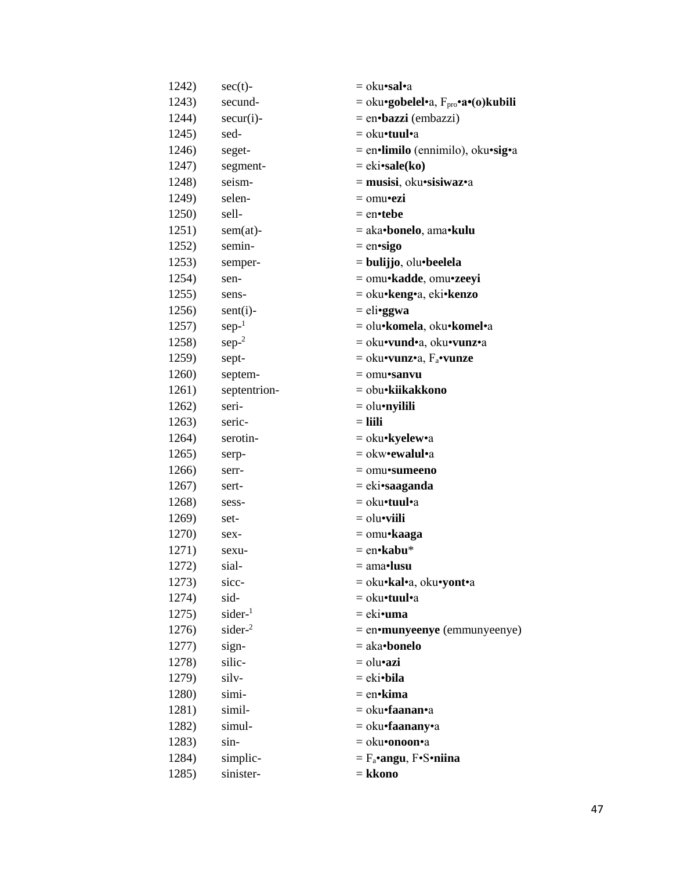| 1242) | $sec(t)$ -         | = oku• <b>sal</b> •a                             |
|-------|--------------------|--------------------------------------------------|
| 1243) | secund-            | $=$ oku•gobelel•a, $F_{\text{pro}}$ •a•(o)kubili |
| 1244) | $secur(i)$ -       | $=$ en•bazzi (embazzi)                           |
| 1245) | sed-               | $=$ oku•tuul•a                                   |
| 1246) | seget-             | = en•limilo (ennimilo), oku•sig•a                |
| 1247) | segment-           | $= eki \cdot sale(ko)$                           |
| 1248) | seism-             | $=$ musisi, oku•sisiwaz•a                        |
| 1249) | selen-             | $=$ omu•ezi                                      |
| 1250) | sell-              | $=$ en•tebe                                      |
| 1251) | $sem(at)$ -        | = aka•bonelo, ama•kulu                           |
| 1252) | semin-             | $=$ en•sigo                                      |
| 1253) | semper-            | $=$ bulijjo, olu•beelela                         |
| 1254) | sen-               | = omu•kadde, omu•zeeyi                           |
| 1255) | sens-              | = oku•keng•a, eki•kenzo                          |
| 1256) | $sent(i)$ -        | $=$ eli•ggwa                                     |
| 1257) | $sep-1$            | = olu•komela, oku•komel•a                        |
| 1258) | $sep-2$            | = oku•vund•a, oku•vunz•a                         |
| 1259) | sept-              | $=$ oku•vunz•a, $F_a$ •vunze                     |
| 1260) | septem-            | $=$ omu•sanvu                                    |
| 1261) | septentrion-       | = obu•kiikakkono                                 |
| 1262) | seri-              | $=$ olu•nyilili                                  |
| 1263) | seric-             | $=$ liili                                        |
| 1264) | serotin-           | = oku•kyelew•a                                   |
| 1265) | serp-              | $=$ okw•ewalul•a                                 |
| 1266) | serr-              | $=$ omu•sumeeno                                  |
| 1267) | sert-              | = eki•saaganda                                   |
| 1268) | sess-              | = oku•tuul•a                                     |
| 1269) | set-               | $=$ olu $\bullet$ viili                          |
| 1270) | sex-               | $=$ omu•kaaga                                    |
| 1271) | sexu-              | $=$ en•kabu*                                     |
| 1272) | sial-              | = ama•lusu                                       |
| 1273) | sicc-              | = oku•kal•a, oku•yont•a                          |
| 1274) | sid-               | = oku•tuul•a                                     |
| 1275) | sider <sup>1</sup> | = eki•uma                                        |
| 1276) | sider- $2$         | = en•munyeenye (emmunyeenye)                     |
| 1277) | sign-              | $=$ aka•bonelo                                   |
| 1278) | silic-             | $=$ olu•azi                                      |
| 1279) | silv-              | $= eki\cdot b$ ila                               |
| 1280) | simi-              | $=$ en•kima                                      |
| 1281) | simil-             | = oku•faanan•a                                   |
| 1282) | simul-             | = oku•faanany•a                                  |
| 1283) | sin-               | = oku•onoon•a                                    |
| 1284) | simplic-           | $=$ $F_a$ •angu, $F \cdot S \cdot niina$         |
| 1285) | sinister-          | = kkono                                          |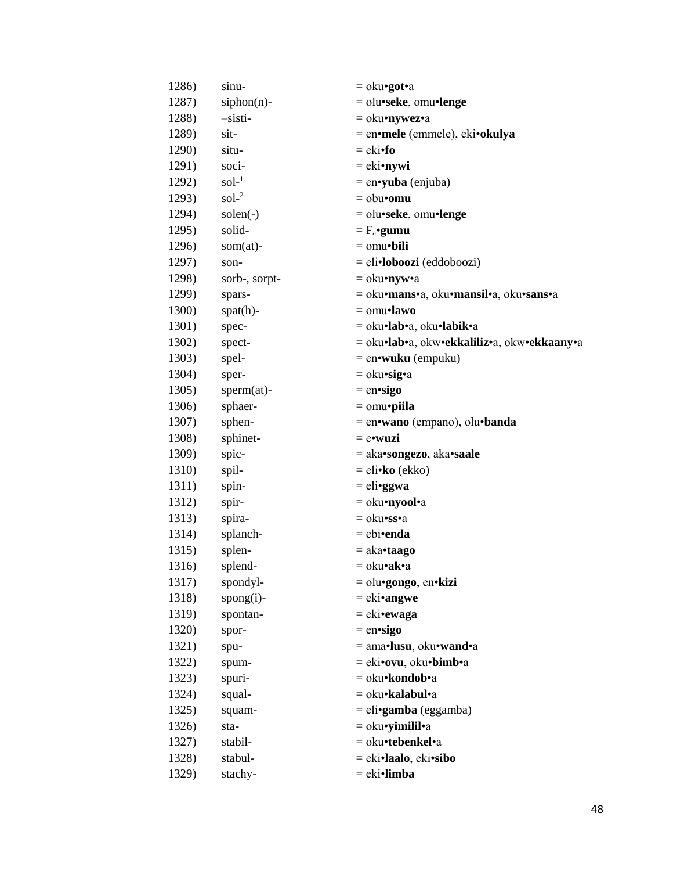| 1286) | sinu-             | $=$ oku•got•a                               |
|-------|-------------------|---------------------------------------------|
| 1287) | siphon(n)-        | $=$ olu•seke, omu•lenge                     |
| 1288) | -sisti-           | $=$ oku•nywez•a                             |
| 1289) | sit-              | = en•mele (emmele), eki•okulya              |
| 1290) | situ-             | $= eki•fo$                                  |
| 1291) | soci-             | $=$ eki•nywi                                |
| 1292) | $\text{sol}^{-1}$ | = en•yuba (enjuba)                          |
| 1293) | $\text{sol}^{-2}$ | $=$ obu•omu                                 |
| 1294) | $solen(-)$        | $=$ olu•seke, omu•lenge                     |
| 1295) | solid-            | $= F_a$ •gumu                               |
| 1296) | $som(at)$ -       | $=$ omu $\cdot$ bili                        |
| 1297) | son-              | $=$ eli•loboozi (eddoboozi)                 |
| 1298) | sorb-, sorpt-     | $=$ oku•nyw•a                               |
| 1299) | spars-            | = oku•mans•a, oku•mansil•a, oku•sans•a      |
| 1300) | $spat(h)$ -       | $=$ omu•lawo                                |
| 1301) | spec-             | = oku•lab•a, oku•labik•a                    |
| 1302) | spect-            | = oku•lab•a, okw•ekkaliliz•a, okw•ekkaany•a |
| 1303) | spel-             | $=$ en•wuku (empuku)                        |
| 1304) | sper-             | $=$ oku•sig•a                               |
| 1305) | $sperm(at)$ -     | $=$ en•sigo                                 |
| 1306) | sphaer-           | $=$ omu•piila                               |
| 1307) | sphen-            | $=$ en•wano (empano), olu•banda             |
| 1308) | sphinet-          | $=$ e•wuzi                                  |
| 1309) | spic-             | = aka•songezo, aka•saale                    |
| 1310) | spil-             | $=$ eli• <b>ko</b> (ekko)                   |
| 1311) | spin-             | $=$ eli•ggwa                                |
| 1312) | spir-             | = oku•nyool•a                               |
| 1313) | spira-            | = oku•ss•a                                  |
| 1314) | splanch-          | $=$ ebi•enda                                |
| 1315) | splen-            | $=$ aka•taago                               |
| 1316) | splend-           | = oku•ak•a                                  |
| 1317) | spondyl-          | $=$ olu•gongo, en•kizi                      |
| 1318) | $spong(i)$ -      | $= eki \cdot \text{angwe}$                  |
| 1319) | spontan-          | $= eki$ •ewaga                              |
| 1320) | spor-             | $=$ en•sigo                                 |
| 1321) | spu-              | = ama•lusu, oku•wand•a                      |
| 1322) | spum-             | = eki•ovu, oku•bimb•a                       |
| 1323) | spuri-            | = oku•kondob•a                              |
| 1324) | squal-            | = oku•kalabul•a                             |
| 1325) | squam-            | $=$ eli•gamba (eggamba)                     |
| 1326) | sta-              | $=$ oku•yimilil•a                           |
| 1327) | stabil-           | = oku•tebenkel•a                            |
| 1328) | stabul-           | = eki•laalo, eki•sibo                       |
| 1329) | stachy-           | = eki•limba                                 |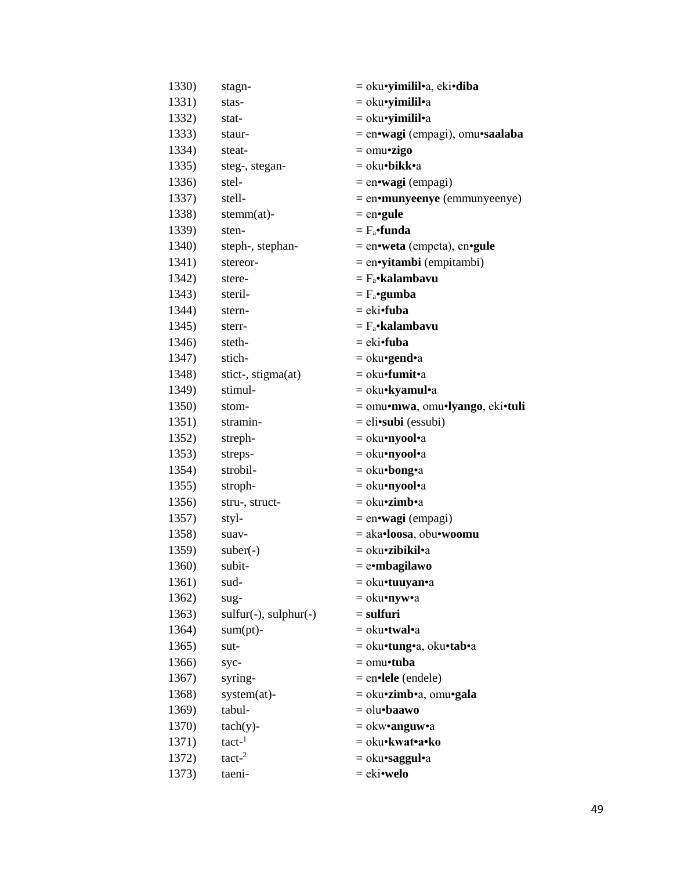| 1330) | stagn-                  | = oku• <b>yimilil•</b> a, eki• <b>diba</b> |
|-------|-------------------------|--------------------------------------------|
| 1331) | stas-                   | $=$ oku•yimilil•a                          |
| 1332) | stat-                   | $=$ oku•yimilil•a                          |
| 1333) | staur-                  | = en•wagi (empagi), omu•saalaba            |
| 1334) | steat-                  | $=$ omu•zigo                               |
| 1335) | steg-, stegan-          | = oku•bikk•a                               |
| 1336) | stel-                   | $=$ en•wagi (empagi)                       |
| 1337) | stell-                  | = en•munyeenye (emmunyeenye)               |
| 1338) | $stemm(at)$ -           | $=$ en•gule                                |
| 1339) | sten-                   | $=$ $F_a$ •funda                           |
| 1340) | steph-, stephan-        | $=$ en•weta (empeta), en•gule              |
| 1341) | stereor-                | $=$ en•yitambi (empitambi)                 |
| 1342) | stere-                  | $= F_a$ •kalambavu                         |
| 1343) | steril-                 | $= F_a$ •gumba                             |
| 1344) | stern-                  | $= eki$ <b>fuba</b>                        |
| 1345) | sterr-                  | $= F_a$ •kalambavu                         |
| 1346) | steth-                  | $=$ eki•fuba                               |
| 1347) | stich-                  | $=$ oku•gend•a                             |
| 1348) | stict-, stigma(at)      | $=$ oku•fumit•a                            |
| 1349) | stimul-                 | $=$ oku•kyamul•a                           |
| 1350) | stom-                   | = omu•mwa, omu•lyango, eki•tuli            |
| 1351) | stramin-                | $=$ eli•subi (essubi)                      |
| 1352) | streph-                 | = oku•nyool•a                              |
| 1353) | streps-                 | $=$ oku•nyool•a                            |
| 1354) | strobil-                | $=$ oku•bong•a                             |
| 1355) | stroph-                 | = oku•nyool•a                              |
| 1356) | stru-, struct-          | = oku•zimb•a                               |
| 1357) | styl-                   | $=$ en•wagi (empagi)                       |
| 1358) | suav-                   | = aka•loosa, obu•woomu                     |
| 1359) | $suber(-)$              | = oku•zibikil•a                            |
| 1360) | subit-                  | $=$ e•mbagilawo                            |
| 1361) | sud-                    | $=$ oku•tuuyan•a                           |
| 1362) | sug-                    | = oku•nyw•a                                |
| 1363) | $sulfur(-), sulphur(-)$ | $=$ sulfuri                                |
| 1364) | $sum(pt)$ -             | $=$ oku•twal•a                             |
| 1365) | sut-                    | = oku•tung•a, oku•tab•a                    |
| 1366) | syc-                    | $=$ omu•tuba                               |
| 1367) | syring-                 | $=$ en•lele (endele)                       |
| 1368) | system(at)-             | = oku•zimb•a, omu•gala                     |
| 1369) | tabul-                  | $=$ olu•baawo                              |
| 1370) | $tach(y)$ -             | $=$ okw•anguw•a                            |
| 1371) | $tact-1$                | = oku•kwat•a•ko                            |
| 1372) | tact <sup>2</sup>       | = oku•saggul•a                             |
| 1373) | taeni-                  | $=$ eki•welo                               |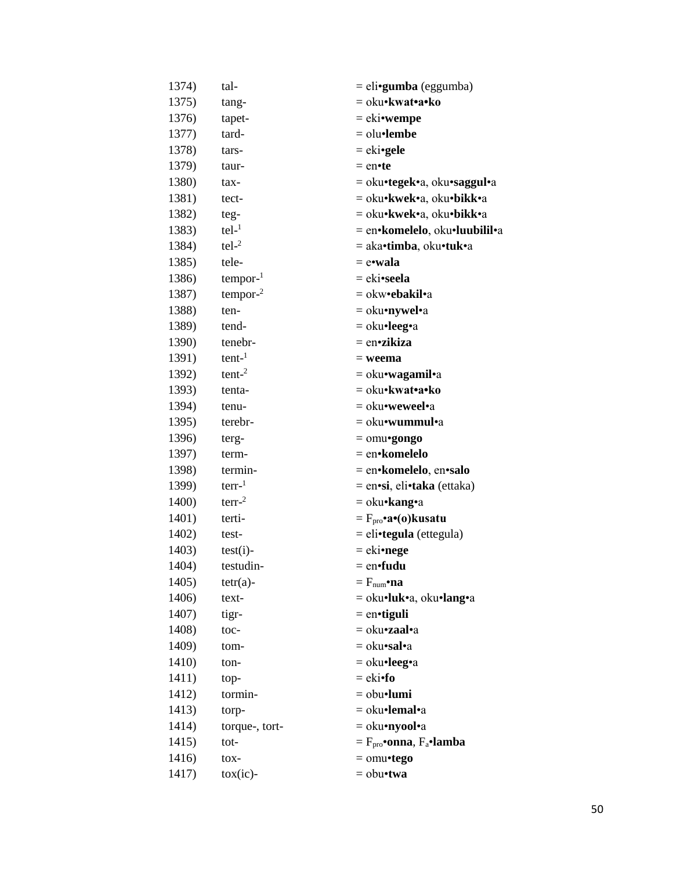| 1374) | tal-                | = eli•gumba (eggumba)                      |
|-------|---------------------|--------------------------------------------|
| 1375) | tang-               | = oku•kwat•a•ko                            |
| 1376) | tapet-              | $=$ eki•wempe                              |
| 1377) | tard-               | $=$ olu•lembe                              |
| 1378) | tars-               | $= e$ ki•gele                              |
| 1379) | taur-               | $=$ en•te                                  |
| 1380) | tax-                | = oku•tegek•a, oku•saggul•a                |
| 1381) | tect-               | = oku•kwek•a, oku•bikk•a                   |
| 1382) | teg-                | = oku•kwek•a, oku•bikk•a                   |
| 1383) | $tel-1$             | = en•komelelo, oku•luubilil•a              |
| 1384) | $tel-2$             | = aka•timba, oku•tuk•a                     |
| 1385) | tele-               | = e•wala                                   |
| 1386) | $tempor-1$          | = eki•seela                                |
| 1387) | tempor <sup>2</sup> | = okw•ebakil•a                             |
| 1388) | ten-                | = oku•nywel•a                              |
| 1389) | tend-               | $=$ oku•leeg•a                             |
| 1390) | tenebr-             | $=$ en•zikiza                              |
| 1391) | $tent-1$            | $=$ weema                                  |
| 1392) | $t$ ent- $2$        | = oku•wagamil•a                            |
| 1393) | tenta-              | = oku•kwat•a•ko                            |
| 1394) | tenu-               | = oku•weweel•a                             |
| 1395) | terebr-             | = oku•wummul•a                             |
| 1396) | terg-               | $=$ omu•gongo                              |
| 1397) | term-               | = en•komelelo                              |
| 1398) | termin-             | = en•komelelo, en•salo                     |
| 1399) | $terr-1$            | = en•si, eli•taka (ettaka)                 |
| 1400) | $terr-2$            | = oku•kang•a                               |
| 1401) | terti-              | $=F_{\text{pro}} \cdot a \cdot (o)$ kusatu |
| 1402) | test-               | $=$ eli•tegula (ettegula)                  |
| 1403) | $test(i)$ -         | $=$ eki•nege                               |
| 1404) | testudin-           | $=$ en•fudu                                |
| 1405) | $tetr(a)$ -         | $=F_{\text{num}}\cdot \mathbf{na}$         |
| 1406) | text-               | = oku•luk•a, oku•lang•a                    |
| 1407) | tigr-               | $=$ en•tiguli                              |
| 1408) | toc-                | = oku• <b>zaal</b> •a                      |
| 1409) | tom-                | = oku•sal•a                                |
| 1410) | ton-                | $=$ oku•leeg•a                             |
| 1411) | top-                | $=$ eki•fo                                 |
| 1412) | tormin-             | $=$ obu•lumi                               |
| 1413) | torp-               | = oku•lemal•a                              |
| 1414) | torque-, tort-      | = oku•nyool•a                              |
| 1415) | $tot-$              | $=Fpro•onna, Fa•lambda$                    |
| 1416) | $\text{to}$         | $=$ omu•tego                               |
| 1417) | $\cos(ic)$ -        | $=$ obu•twa                                |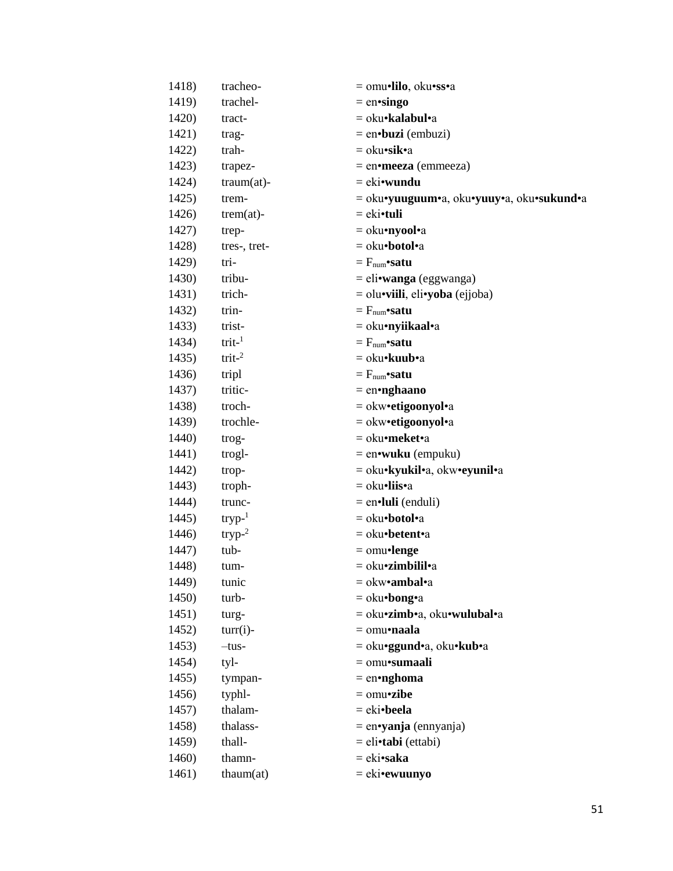| 1418) | tracheo-          | = omu•lilo, oku•ss•a                      |
|-------|-------------------|-------------------------------------------|
| 1419) | trachel-          | $=$ en•singo                              |
| 1420) | tract-            | = oku•kalabul•a                           |
| 1421) | trag-             | $=$ en $\cdot$ buzi (embuzi)              |
| 1422) | trah-             | = oku•sik•a                               |
| 1423) | trapez-           | $=$ en•meeza (emmeeza)                    |
| 1424) | $traum(at)$ -     | $= e$ ki•wundu                            |
| 1425) | trem-             | = oku•yuuguum•a, oku•yuuy•a, oku•sukund•a |
| 1426) | $trem(at)$ -      | $=$ eki $\cdot$ tuli                      |
| 1427) | trep-             | = oku•nyool•a                             |
| 1428) | tres-, tret-      | = oku•botol•a                             |
| 1429) | tri-              | $=$ $F_{num}$ satu                        |
| 1430) | tribu-            | $=$ eli•wanga (eggwanga)                  |
| 1431) | trich-            | $=$ olu•viili, eli•yoba (ejjoba)          |
| 1432) | trin-             | $=$ $F_{num}$ satu                        |
| 1433) | trist-            | = oku•nyiikaal•a                          |
| 1434) | $trit-1$          | $=$ $F_{num}$ satu                        |
| 1435) | trit <sup>2</sup> | = oku• <b>kuub</b> •a                     |
| 1436) | tripl             | $=$ $F_{num}$ satu                        |
| 1437) | tritic-           | $=$ en•nghaano                            |
| 1438) | troch-            | = okw•etigoonyol•a                        |
| 1439) | trochle-          | = okw•etigoonyol•a                        |
| 1440) | trog-             | = oku•meket•a                             |
| 1441) | trogl-            | $=$ en•wuku (empuku)                      |
| 1442) | trop-             | = oku•kyukil•a, okw•eyunil•a              |
| 1443) | troph-            | $=$ oku•liis•a                            |
| 1444) | trunc-            | $=$ en $\cdot$ luli (enduli)              |
| 1445) | $tryp-1$          | = oku•botol•a                             |
| 1446) | $tryp-2$          | = oku•betent•a                            |
| 1447) | tub-              | $=$ omu•lenge                             |
| 1448) | tum-              | = oku•zimbilil•a                          |
| 1449) | tunic             | $=$ okw•ambal•a                           |
| 1450) | turb-             | $=$ oku•bong•a                            |
| 1451) | turg-             | = oku•zimb•a, oku•wulubal•a               |
| 1452) | $turn(i)$ -       | $=$ omu•naala                             |
| 1453) | $-tus-$           | = oku•ggund•a, oku•kub•a                  |
| 1454) | tyl-              | = omu•sumaali                             |
| 1455) | tympan-           | $=$ en•nghoma                             |
| 1456) | typhl-            | $=$ omu•zibe                              |
| 1457) | thalam-           | $= eki\bullet$ beela                      |
| 1458) | thalass-          | $=$ en•yanja (ennyanja)                   |
| 1459) | thall-            | = eli•tabi (ettabi)                       |
| 1460) | thamn-            | = eki•saka                                |
| 1461) | thaum(at)         | $= eki$ •ewuunyo                          |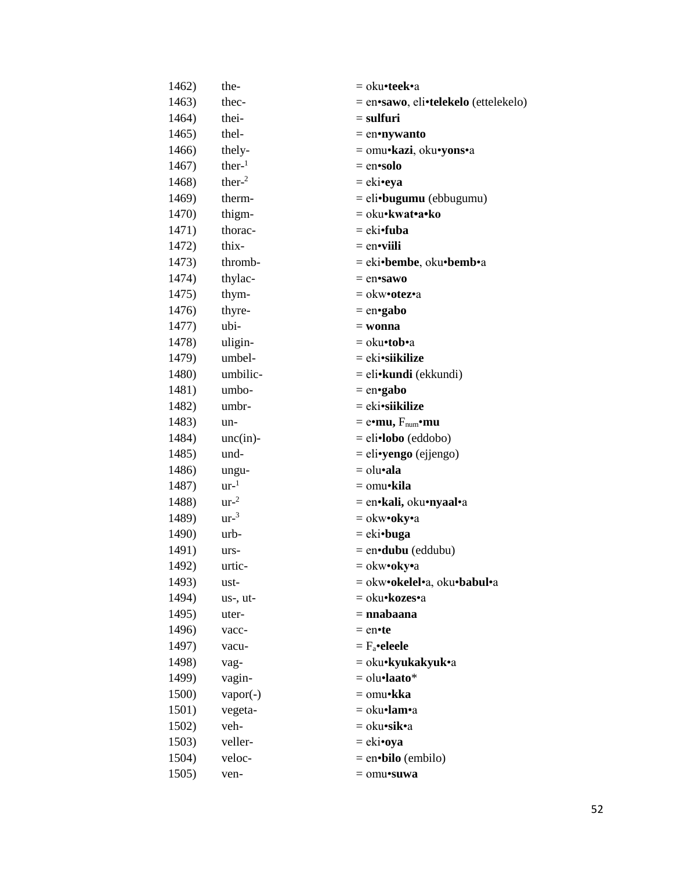| 1462) | the-            | = oku•teek•a                         |
|-------|-----------------|--------------------------------------|
| 1463) | thec-           | = en•sawo, eli•telekelo (ettelekelo) |
| 1464) | thei-           | $=$ sulfuri                          |
| 1465) | thel-           | $=$ en•nywanto                       |
| 1466) | thely-          | = omu•kazi, oku•yons•a               |
| 1467) | ther $-1$       | $=$ en•solo                          |
| 1468) | ther $-2$       | $= eki$ •eya                         |
| 1469) | therm-          | $=$ eli•bugumu (ebbugumu)            |
| 1470) | thigm-          | = oku•kwat•a•ko                      |
| 1471) | thorac-         | $= eki$ <b>fuba</b>                  |
| 1472) | thix-           | $=$ en•viili                         |
| 1473) | thromb-         | = eki•bembe, oku•bemb•a              |
| 1474) | thylac-         | $=$ en•sawo                          |
| 1475) | thym-           | = okw•otez•a                         |
| 1476) | thyre-          | $=$ en•gabo                          |
| 1477) | ubi-            | $=$ wonna                            |
| 1478) | uligin-         | = oku•tob•a                          |
| 1479) | umbel-          | $= eki\cdot s\mathbf{ikilize}$       |
| 1480) | umbilic-        | $=$ eli• <b>kundi</b> (ekkundi)      |
| 1481) | umbo-           | $=$ en•gabo                          |
| 1482) | umbr-           | = eki•siikilize                      |
| 1483) | un-             | $=$ e•mu, $F_{num}$ •mu              |
| 1484) | $unc(in)$ -     | $=$ eli•lobo (eddobo)                |
| 1485) | und-            | $=$ eli•yengo (ejjengo)              |
| 1486) | ungu-           | $=$ olu•ala                          |
| 1487) | $ur-1$          | = omu•kila                           |
| 1488) | ur <sup>2</sup> | = en•kali, oku•nyaal•a               |
| 1489) | ur <sup>3</sup> | $=$ okw•oky•a                        |
| 1490) | urb-            | $= eki\cdot buga$                    |
| 1491) | urs-            | $=$ en $\cdot$ dubu (eddubu)         |
| 1492) | urtic-          | = okw•oky•a                          |
| 1493) | ust-            | = okw•okelel•a, oku•babul•a          |
| 1494) | us-, ut-        | = oku•kozes•a                        |
| 1495) | uter-           | $=$ nnabaana                         |
| 1496) | vacc-           | $=$ en•te                            |
| 1497) | vacu-           | $= F_a \cdot$ eleele                 |
| 1498) | vag-            | = oku•kyukakyuk•a                    |
| 1499) | vagin-          | $=$ olu•laato*                       |
| 1500) | $vapor(-)$      | = omu•kka                            |
| 1501) | vegeta-         | $=$ oku•lam•a                        |
| 1502) | veh-            | = oku•sik•a                          |
| 1503) | veller-         | $= eki$ •oya                         |
| 1504) | veloc-          | $=$ en•bilo (embilo)                 |
| 1505) | ven-            | $=$ omu•suwa                         |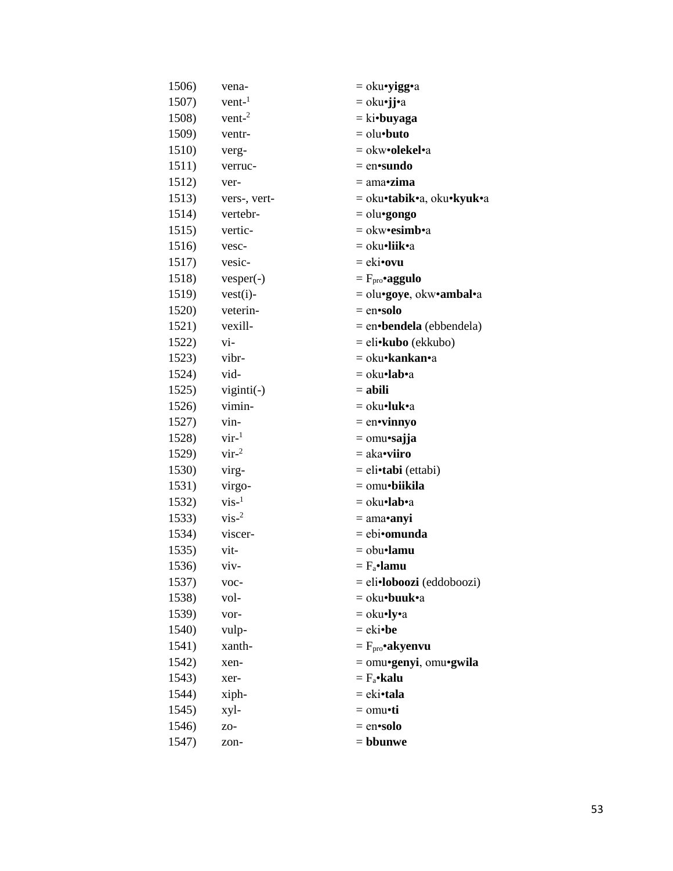| 1506) | vena-        | = oku•yigg•a                 |
|-------|--------------|------------------------------|
| 1507) | $vent-1$     | = oku•jj•a                   |
| 1508) | $vent-2$     | $=$ ki•buyaga                |
| 1509) | ventr-       | $=$ olu $\cdot$ buto         |
| 1510) | verg-        | = okw• <b>olekel•</b> a      |
| 1511) | verruc-      | $=$ en•sundo                 |
| 1512) | ver-         | $=$ ama•zima                 |
| 1513) | vers-, vert- | = oku•tabik•a, oku•kyuk•a    |
| 1514) | vertebr-     | $=$ olu•gongo                |
| 1515) | vertic-      | $=$ okw•esimb•a              |
| 1516) | vesc-        | = oku•liik•a                 |
| 1517) | vesic-       | $=$ eki•ovu                  |
| 1518) | $vesper(-)$  | $=$ $F_{\text{pro}}$ •aggulo |
| 1519) | $vest(i)$ -  | = olu•goye, okw•ambal•a      |
| 1520) | veterin-     | $=$ en•solo                  |
| 1521) | vexill-      | $=$ en bendela (ebbendela)   |
| 1522) | vi-          | = eli• <b>kubo</b> (ekkubo)  |
| 1523) | vibr-        | = oku• <b>kankan•</b> a      |
| 1524) | vid-         | = oku•lab•a                  |
| 1525) | viginti(-)   | $=$ abili                    |
| 1526) | vimin-       | $=$ oku•luk•a                |
| 1527) | vin-         | $=$ en•vinnyo                |
| 1528) | $vir^{-1}$   | $=$ omu•sajja                |
| 1529) | $vir^{-2}$   | $=$ aka•viiro                |
| 1530) | virg-        | = eli•tabi (ettabi)          |
| 1531) | virgo-       | $=$ omu•biikila              |
| 1532) | $vis-1$      | = oku•lab•a                  |
| 1533) | $vis-2$      | $= ama \cdot anyi$           |
| 1534) | viscer-      | $= ebi•omunda$               |
| 1535) | vit-         | $=$ obu•lamu                 |
| 1536) | viv-         | $= F_a$ •lamu                |
| 1537) | voc-         | = eli•loboozi (eddoboozi)    |
| 1538) | vol-         | = oku•buuk•a                 |
| 1539) | vor-         | $=$ oku•ly•a                 |
| 1540) | vulp-        | $=$ eki•be                   |
| 1541) | xanth-       | $= Fpro$ •akyenvu            |
| 1542) | xen-         | $=$ omu•genyi, omu•gwila     |
| 1543) | xer-         | $= F_a \cdot \textbf{kalu}$  |
| 1544) | xiph-        | = eki•tala                   |
| 1545) | xyl-         | = omu•ti                     |
| 1546) | ZO-          | $=$ en•solo                  |
| 1547) | zon-         | = bbunwe                     |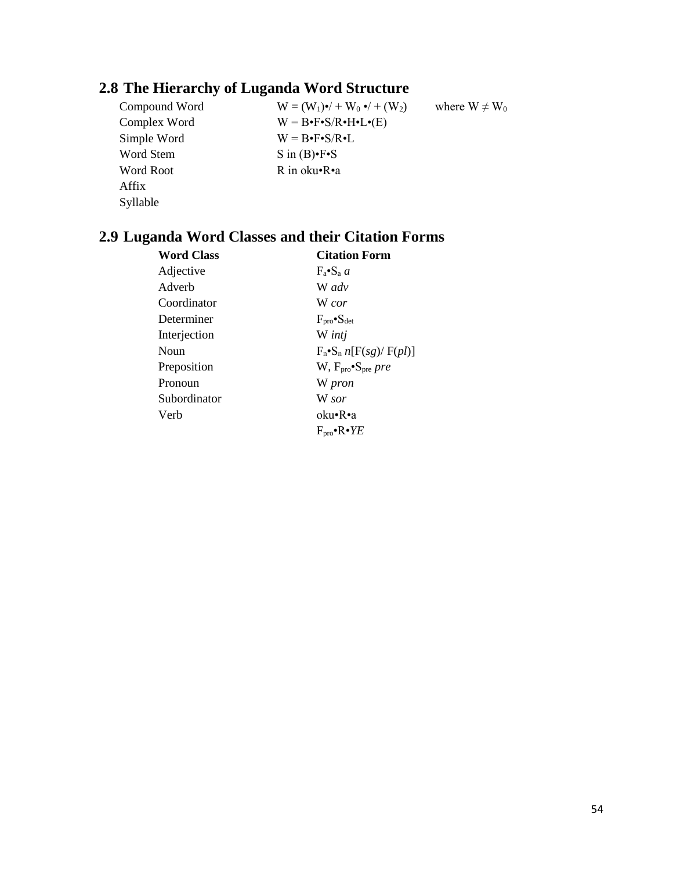# **2.8 The Hierarchy of Luganda Word Structure**

Simple Word  $W = B \cdot F \cdot S / R \cdot L$ Word Stem S in (B)•F•S Word Root R in oku•R•a Affix Syllable

Compound Word  $W = (W_1) \cdot / + W_0 \cdot / + (W_2)$  where  $W \neq W_0$ Complex Word  $W = B \cdot F \cdot S / R \cdot H \cdot L \cdot (E)$ 

# **2.9 Luganda Word Classes and their Citation Forms**

| <b>Citation Form</b>                                    |
|---------------------------------------------------------|
| $F_a \bullet S_a$ a                                     |
| W adv                                                   |
| W cor                                                   |
| $F_{\text{pro}}$ $\bullet$ $S_{\text{det}}$             |
| W intj                                                  |
| $F_n \cdot S_n n[F(sg)/F(pl)]$                          |
| $W, F_{\text{pro}}^{\bullet} S_{\text{pre}}$ <i>pre</i> |
| W pron                                                  |
| W sor                                                   |
| oku•R•a                                                 |
| $F_{\text{pro}}$ • $R \cdot YE$                         |
|                                                         |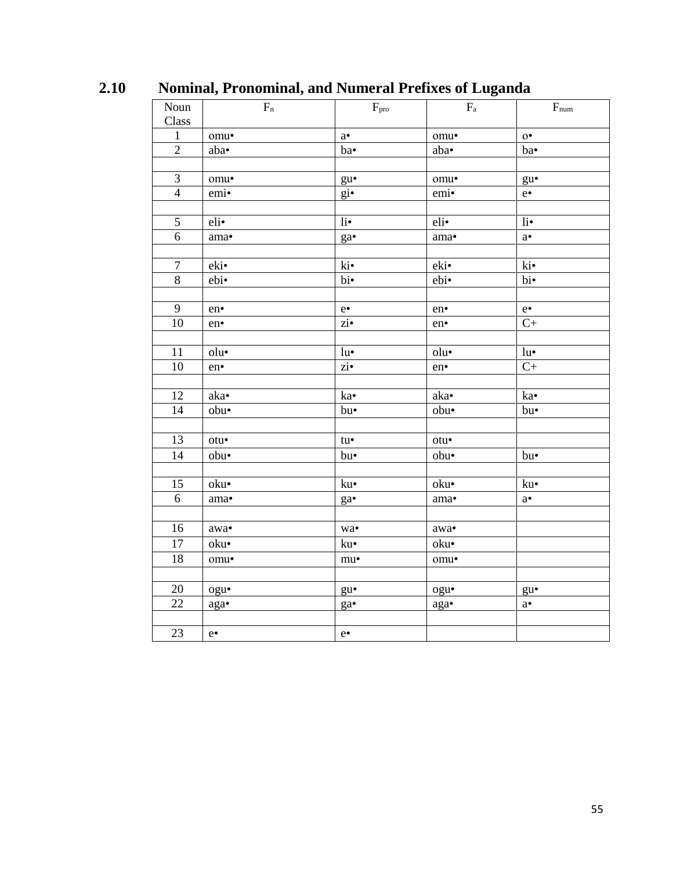| Noun             | $\overline{\phantom{a}}$<br>$\epsilon$<br>$F_n$ | $F_{\text{pro}}$                     | မ<br>$\mathbf{F}_{\rm a}$ | $\mathbf{F}_{\text{num}}$            |
|------------------|-------------------------------------------------|--------------------------------------|---------------------------|--------------------------------------|
| Class            |                                                 |                                      |                           |                                      |
| $1\,$            | omu•                                            | $a^{\bullet}$                        | omu•                      | $0^{\bullet}$                        |
| $\overline{2}$   | aba•                                            | ba•                                  | aba•                      | ba•                                  |
|                  |                                                 |                                      |                           |                                      |
| $\mathfrak{Z}$   | omu•                                            | $gu$ <sup><math>\bullet</math></sup> | omu•                      | $gu$ <sup><math>\bullet</math></sup> |
| $\overline{4}$   | emi•                                            | $g$ <i>i</i> $\bullet$               | emi•                      | $e^{\bullet}$                        |
|                  |                                                 |                                      |                           |                                      |
| $\mathfrak{H}$   | eli                                             | li•                                  | $eli$ •                   | li•                                  |
| 6                | ama $\bullet$                                   | $ga\bullet$                          | ama $\bullet$             | $\mathbf{a}^\bullet$                 |
|                  |                                                 |                                      |                           |                                      |
| $\boldsymbol{7}$ | eki•                                            | ki•                                  | eki•                      | ki•                                  |
| $\overline{8}$   | ebi•                                            | $\overline{bi}$                      | ebi•                      | bi•                                  |
|                  |                                                 |                                      |                           |                                      |
| 9                | en•                                             | $e\bullet$                           | en•                       | $\mathrm{e}\bullet$                  |
| $10\,$           | en•                                             | $\overline{\mathbf{z}}$ $\mathbf{i}$ | en•                       | $\overline{C}$                       |
|                  |                                                 |                                      |                           |                                      |
| $11\,$           | olu                                             | $\mathrm{lu}^{\bullet}$              | olu•                      | $lu^{\bullet}$                       |
| $10\,$           | en•                                             | $\overline{\text{zi}}$               | en•                       | $\mathrm{C}+$                        |
|                  |                                                 |                                      |                           |                                      |
| 12               | aka•                                            | ka•                                  | aka•                      | ka•                                  |
| 14               | obu•                                            | bu•                                  | obu•                      | bu•                                  |
|                  |                                                 |                                      |                           |                                      |
| 13               | $otu$ •                                         | $tu-$                                | $otu$ •                   |                                      |
| 14               | obu•                                            | bu•                                  | obu•                      | bu•                                  |
|                  |                                                 |                                      |                           |                                      |
| 15               | oku•                                            | ku•                                  | oku $\bullet$             | $\mathrm{ku}^{\bullet}$              |
| $\overline{6}$   | ama•                                            | $ga\bullet$                          | ama $\bullet$             | $\mathbf{a}^\bullet$                 |
|                  |                                                 |                                      |                           |                                      |
| 16               | $\mathbf{awa}\bullet$                           | $_{\rm W2}$                          | $\mathbf{awa}\bullet$     |                                      |
| $\overline{17}$  | oku•                                            | ku•                                  | oku•                      |                                      |
| 18               | omu•                                            | $mu\bullet$                          | omu•                      |                                      |
|                  |                                                 |                                      |                           |                                      |
| 20               | ogu•                                            | $gu$ <sup><math>\bullet</math></sup> | ogu•                      | $gu$ <sup><math>\bullet</math></sup> |
| $\overline{22}$  | aga•                                            | ga•                                  | aga•                      | $a^{\bullet}$                        |
|                  |                                                 |                                      |                           |                                      |
| 23               | $e \cdot$                                       | $e\bullet$                           |                           |                                      |

**2.10 Nominal, Pronominal, and Numeral Prefixes of Luganda**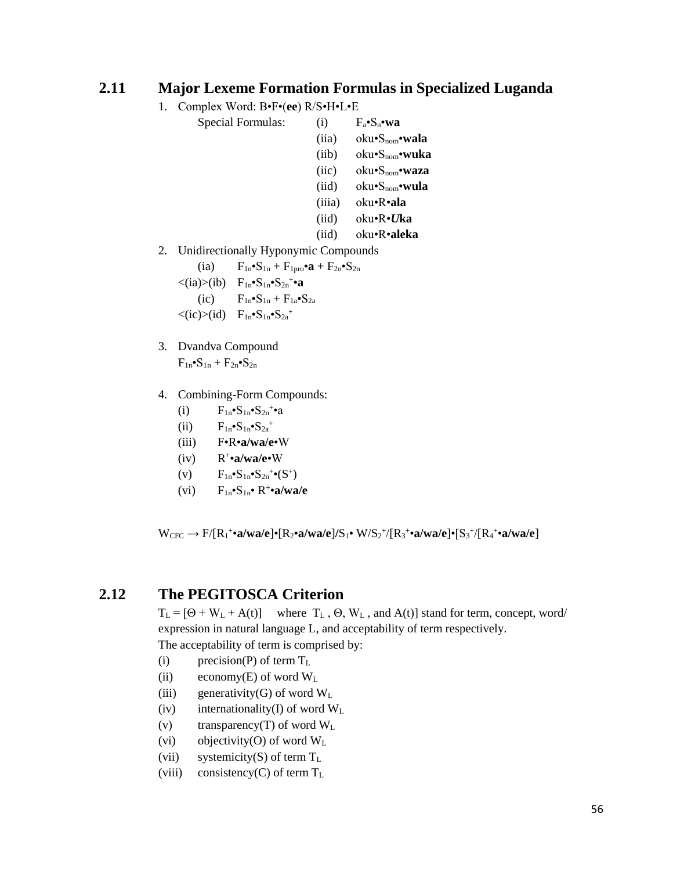### **2.11 Major Lexeme Formation Formulas in Specialized Luganda**

- 1. Complex Word: B•F•(**ee**) R/S•H•L•E
	- Special Formulas: (i)  $F_a \cdot S_n \cdot wa$ 
		- (iia) oku•Snom•**wala**
		- (iib) oku•Snom•**wuka**
		- (iic) oku•Snom•**waza**
		- (iid) oku•Snom•**wula**
		- (iiia) oku•R•**ala**
		- (iid) oku•R•*U***ka**
		- (iid) oku•R•**aleka**
- 2. Unidirectionally Hyponymic Compounds

(ia)  $F_{1n} \cdot S_{1n} + F_{1pro} \cdot a + F_{2n} \cdot S_{2n}$  $\langle$ (ia) $\rangle$ (ib)  $F_{1n}$ • $S_{1n}$ • $S_{2n}$ <sup>+</sup>•**a** (ic)  $F_{1n} \cdot S_{1n} + F_{1a} \cdot S_{2a}$  $\langle$ (ic)>(id)  $F_{1n}$ • $S_{1n}$ • $S_{2a}$ <sup>+</sup>

- 3. Dvandva Compound  $F_{1n}$ • $S_{1n}$  +  $F_{2n}$ • $S_{2n}$
- 4. Combining-Form Compounds:
	- (i)  $F_{1n} \cdot S_{1n} \cdot S_{2n} + a$
	- (ii)  $F_{1n} \cdot S_{1n} \cdot S_{2a}^+$
	- (iii) F•R•**a/wa/e**•W
	- $(iv)$ + •**a/wa/e**•W
	- (v)  $F_{1n} \cdot S_{1n} \cdot S_{2n}^{\dagger} \cdot (S^+)$
	- $(vi)$   $F_{1n}$ **•**S<sub>1n</sub>**•** R<sup>+</sup>**•a/wa/e**

W<sub>CFC</sub> → F/[R<sub>1</sub>+•a/wa/e]•[R<sub>2</sub>•a/wa/e]/S<sub>1</sub>• W/S<sub>2</sub><sup>+</sup>/[R<sub>3</sub>+•a/wa/e]•[S<sub>3</sub>+/[R<sub>4</sub>+•a/wa/e]

# **2.12 The PEGITOSCA Criterion**

 $T_L = [\Theta + W_L + A(t)]$  where  $T_L$ ,  $\Theta$ ,  $W_L$ , and  $A(t)$  stand for term, concept, word/ expression in natural language L, and acceptability of term respectively. The acceptability of term is comprised by:

- (i) precision(P) of term  $T_L$
- (ii) economy(E) of word  $W<sub>L</sub>$
- (iii) generativity(G) of word  $W<sub>L</sub>$
- (iv) internationality(I) of word  $W<sub>L</sub>$
- (v) transparency(T) of word  $W<sub>L</sub>$
- (vi) objectivity(O) of word  $W<sub>L</sub>$
- (vii) systemicity(S) of term  $T_L$
- (viii) consistency(C) of term  $T_L$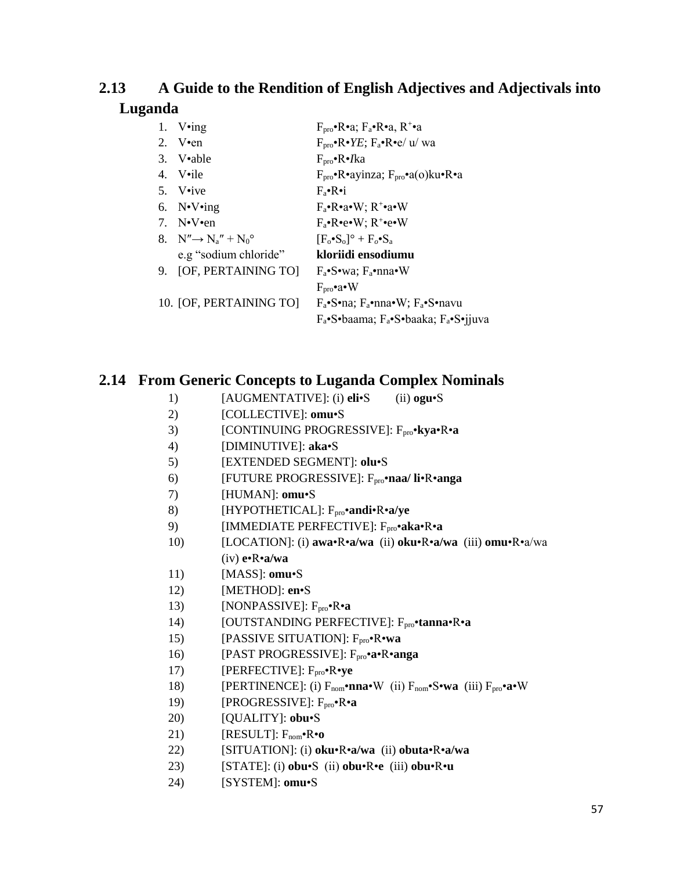#### A Guide to the Rendition of English Adjectives and Adjectivals into 2.13 Luganda

| 1. $V \cdot ing$                         | $F_{\text{pro}}^{\bullet}R_{\bullet}^{\bullet}a$ ; $F_{a}^{\bullet}R_{\bullet}^{\bullet}a$ , $R_{\bullet}^{\bullet}a$ |
|------------------------------------------|-----------------------------------------------------------------------------------------------------------------------|
| 2. V $\text{en}$                         | $F_{\text{pro}}^{\bullet}R\bullet YE; F_{\text{a}}^{\bullet}R\bullet e/u'$ wa                                         |
| $3.$ V•able                              | $F_{\text{pro}}$ •R• <i>I</i> ka                                                                                      |
| 4. V•ile                                 | $F_{\text{pro}}$ •R•ayinza; $F_{\text{pro}}$ •a(o)ku•R•a                                                              |
| 5. V•ive                                 | $F_{\rm a} \cdot R \cdot i$                                                                                           |
| 6. $N\cdot V\cdot$ ing                   | $F_a \cdot R \cdot a \cdot W$ ; $R^+ \cdot a \cdot W$                                                                 |
| 7. $N\cdot V\cdot en$                    | $F_a \cdot Re \cdot W$ ; $R^+ \cdot e \cdot W$                                                                        |
| 8. $N'' \rightarrow N_a'' + N_0^{\circ}$ | $[F_0 \bullet S_0]^{\circ} + F_0 \bullet S_a$                                                                         |
| e.g "sodium chloride"                    | kloriidi ensodiumu                                                                                                    |
| 9. [OF, PERTAINING TO]                   | $F_a \cdot S \cdot wa$ : $F_a \cdot nna \cdot W$                                                                      |
|                                          | $F_{\text{pro}}$ •a•W                                                                                                 |
| 10. [OF, PERTAINING TO]                  | $F_a \cdot S \cdot na$ ; $F_a \cdot nna \cdot W$ ; $F_a \cdot S \cdot na \cdot va$                                    |
|                                          | $F_a \cdot S \cdot baama$ ; $F_a \cdot S \cdot baaka$ ; $F_a \cdot S \cdot jjuva$                                     |

# 2.14 From Generic Concepts to Luganda Complex Nominals

- $1)$ [AUGMENTATIVE]: (i) eli•S  $(ii)$  ogu $\cdot$ S
- $2)$ [COLLECTIVE]: omu·S
- $3)$ [CONTINUING PROGRESSIVE]: F<sub>pro</sub>•kya•R•a
- $4)$ [DIMINUTIVE]: aka•S
- $5)$ [EXTENDED SEGMENT]: olu.S
- $6)$ [FUTURE PROGRESSIVE]: F<sub>pro</sub>•naa/ li•R•anga
- 7) [HUMAN]: omu·S
- [HYPOTHETICAL]: Fpro\*andi\*R\*a/ye 8)
- 9) [IMMEDIATE PERFECTIVE]: Fpro•aka•R•a
- [LOCATION]: (i) awa•R•a/wa (ii) oku•R•a/wa (iii) omu•R•a/wa  $10)$  $(iv)$  e $\cdot$ R $\cdot$ a/wa
- [MASS]: omu•S 11)
- $12)$ [METHOD]: en•S
- $13)$ [NONPASSIVE]:  $F_{pro} \cdot R \cdot a$
- 14) [OUTSTANDING PERFECTIVE]: Fpro•tanna•R•a
- 15) [PASSIVE SITUATION]: F<sub>pro</sub>•R•wa
- [PAST PROGRESSIVE]: F<sub>pro</sub>•a•R•anga  $16)$
- 17) [PERFECTIVE]: F<sub>pro</sub>•R•ye
- [PERTINENCE]: (i) F<sub>nom</sub>•nna•W (ii) F<sub>nom</sub>•S•wa (iii) F<sub>pro</sub>•a•W 18)
- [PROGRESSIVE]: F<sub>pro</sub>•R•a 19)
- [QUALITY]: obu•S 20)
- 21) [RESULT]:  $F_{nom} \cdot R \cdot o$
- [SITUATION]: (i) oku·R·a/wa (ii) obuta·R·a/wa 22)
- [STATE]: (i) obu•S (ii) obu•R•e (iii) obu•R•u 23)
- [SYSTEM]: omu·S 24)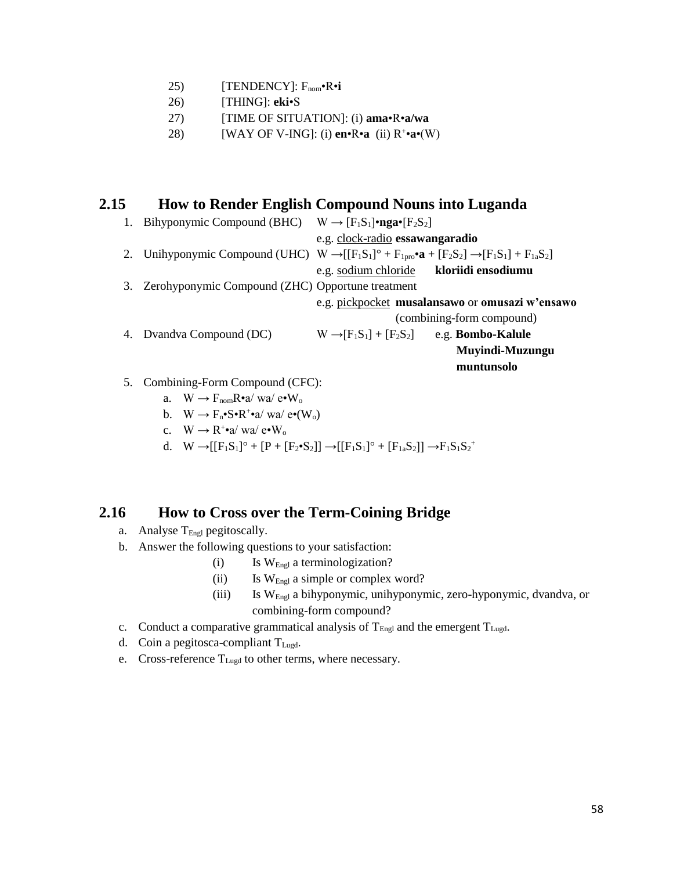- 25) [TENDENCY]: Fnom•R•**i**
- 26) [THING]: **eki**•S
- 27) [TIME OF SITUATION]: (i) **ama**•R•**a/wa**
- 28) [WAY OF V-ING]: (i) **en**•R•**a** (ii) R<sup>+</sup> •**a**•(W)

### **2.15 How to Render English Compound Nouns into Luganda**

| 1. | Bihyponymic Compound (BHC) $W \rightarrow [F_1S_1]$ •nga• $[F_2S_2]$                                                                      |                                                              |                                                 |
|----|-------------------------------------------------------------------------------------------------------------------------------------------|--------------------------------------------------------------|-------------------------------------------------|
|    |                                                                                                                                           | e.g. clock-radio essawangaradio                              |                                                 |
|    | 2. Unihyponymic Compound (UHC) $W \rightarrow [[F_1S_1]^{\circ} + F_{1pro} \cdot \mathbf{a} + [F_2S_2] \rightarrow [F_1S_1] + F_{1a}S_2]$ |                                                              |                                                 |
|    |                                                                                                                                           | e.g. sodium chloride kloriidi ensodiumu                      |                                                 |
|    | 3. Zerohyponymic Compound (ZHC) Opportune treatment                                                                                       |                                                              |                                                 |
|    |                                                                                                                                           |                                                              | e.g. pickpocket musalansawo or omusazi w'ensawo |
|    |                                                                                                                                           |                                                              | (combining-form compound)                       |
|    | 4. Dvandva Compound (DC)                                                                                                                  | $W \rightarrow [F_1S_1] + [F_2S_2]$ e.g. <b>Bombo-Kalule</b> |                                                 |
|    |                                                                                                                                           |                                                              | Muyindi-Muzungu                                 |
|    |                                                                                                                                           |                                                              | muntunsolo                                      |
|    | 5. Combining-Form Compound (CFC):                                                                                                         |                                                              |                                                 |
|    | $\mathbf{N}$ $\mathbf{V}$ $\mathbf{E}$ $\mathbf{D}_{\mathbf{e}\Omega}/\mathbf{w}\mathbf{e}/\mathbf{e}$                                    |                                                              |                                                 |

- a.  $W \rightarrow F_{\text{nom}}R \cdot a/wa/e \cdot W_o$
- b.  $W \to F_n \bullet S \bullet R^+ \bullet a/wa / e \bullet (W_0)$
- c.  $W \rightarrow R^+ \cdot a / w a / e \cdot W_0$
- d.  $W \rightarrow [[F_1S_1]^{\circ} + [P + [F_2 \bullet S_2]] \rightarrow [[F_1S_1]^{\circ} + [F_{1a}S_2]] \rightarrow F_1S_1S_2^+$

### **2.16 How to Cross over the Term-Coining Bridge**

- a. Analyse  $T_{\text{Engl}}$  pegitoscally.
- b. Answer the following questions to your satisfaction:
	- (i) Is  $W_{\text{Engl}}$  a terminologization?
	- (ii) Is W<sub>Engl</sub> a simple or complex word?
	- (iii) Is WEngl a bihyponymic, unihyponymic, zero-hyponymic, dvandva, or combining-form compound?
- c. Conduct a comparative grammatical analysis of  $T_{Engl}$  and the emergent  $T_{Lugd}$ .
- d. Coin a pegitosca-compliant  $T_{Lugd}$ .
- e. Cross-reference TLugd to other terms, where necessary.